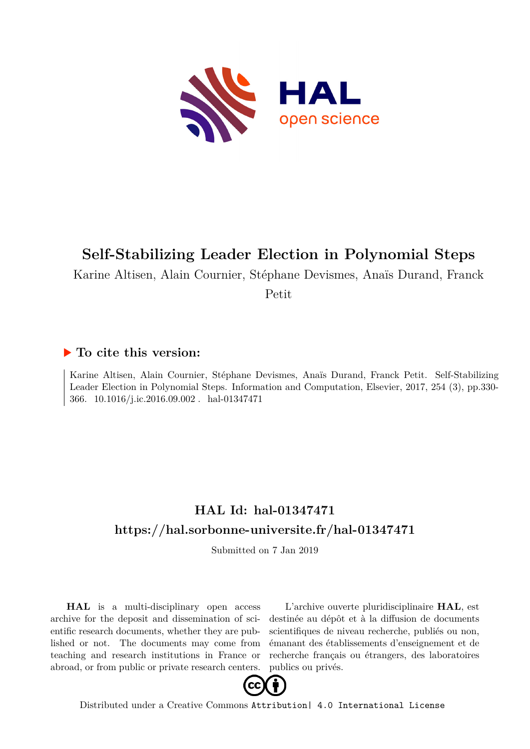

# **Self-Stabilizing Leader Election in Polynomial Steps**

Karine Altisen, Alain Cournier, Stéphane Devismes, Anaïs Durand, Franck

Petit

## **To cite this version:**

Karine Altisen, Alain Cournier, Stéphane Devismes, Anaïs Durand, Franck Petit. Self-Stabilizing Leader Election in Polynomial Steps. Information and Computation, Elsevier, 2017, 254 (3), pp.330- 366. 10.1016/j.ic.2016.09.002. hal-01347471

# **HAL Id: hal-01347471 <https://hal.sorbonne-universite.fr/hal-01347471>**

Submitted on 7 Jan 2019

**HAL** is a multi-disciplinary open access archive for the deposit and dissemination of scientific research documents, whether they are published or not. The documents may come from teaching and research institutions in France or abroad, or from public or private research centers.

L'archive ouverte pluridisciplinaire **HAL**, est destinée au dépôt et à la diffusion de documents scientifiques de niveau recherche, publiés ou non, émanant des établissements d'enseignement et de recherche français ou étrangers, des laboratoires publics ou privés.



Distributed under a Creative Commons [Attribution| 4.0 International License](http://creativecommons.org/licenses/by/4.0/)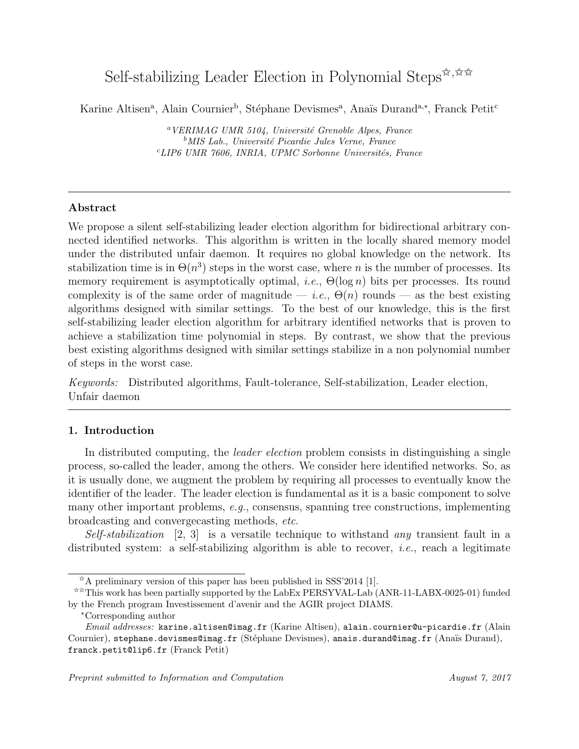# Self-stabilizing Leader Election in Polynomial Steps $\hat{\mathbf{x}}$ ,  $\hat{\mathbf{x}} \times$

Karine Altisen<sup>a</sup>, Alain Cournier<sup>b</sup>, Stéphane Devismes<sup>a</sup>, Anaïs Durand<sup>a,\*</sup>, Franck Petit<sup>c</sup>

 $\alpha$ VERIMAG UMR 5104, Université Grenoble Alpes, France  $^{b}$ MIS Lab., Université Picardie Jules Verne, France  $c$ LIP6 UMR 7606, INRIA, UPMC Sorbonne Universités, France

### Abstract

We propose a silent self-stabilizing leader election algorithm for bidirectional arbitrary connected identified networks. This algorithm is written in the locally shared memory model under the distributed unfair daemon. It requires no global knowledge on the network. Its stabilization time is in  $\Theta(n^3)$  steps in the worst case, where n is the number of processes. Its memory requirement is asymptotically optimal, *i.e.*,  $\Theta(\log n)$  bits per processes. Its round complexity is of the same order of magnitude — *i.e.*,  $\Theta(n)$  rounds — as the best existing algorithms designed with similar settings. To the best of our knowledge, this is the first self-stabilizing leader election algorithm for arbitrary identified networks that is proven to achieve a stabilization time polynomial in steps. By contrast, we show that the previous best existing algorithms designed with similar settings stabilize in a non polynomial number of steps in the worst case.

Keywords: Distributed algorithms, Fault-tolerance, Self-stabilization, Leader election, Unfair daemon

### 1. Introduction

In distributed computing, the *leader election* problem consists in distinguishing a single process, so-called the leader, among the others. We consider here identified networks. So, as it is usually done, we augment the problem by requiring all processes to eventually know the identifier of the leader. The leader election is fundamental as it is a basic component to solve many other important problems, e.g., consensus, spanning tree constructions, implementing broadcasting and convergecasting methods, etc.

Self-stabilization [2, 3] is a versatile technique to withstand any transient fault in a distributed system: a self-stabilizing algorithm is able to recover, *i.e.*, reach a legitimate

 $A \times A$  preliminary version of this paper has been published in SSS'2014 [1].

<sup>✩✩</sup>This work has been partially supported by the LabEx PERSYVAL-Lab (ANR-11-LABX-0025-01) funded by the French program Investissement d'avenir and the AGIR project DIAMS.

<sup>∗</sup>Corresponding author

Email addresses: karine.altisen@imag.fr (Karine Altisen), alain.cournier@u-picardie.fr (Alain Cournier), stephane.devismes@imag.fr (Stéphane Devismes), anais.durand@imag.fr (Anaïs Durand), franck.petit@lip6.fr (Franck Petit)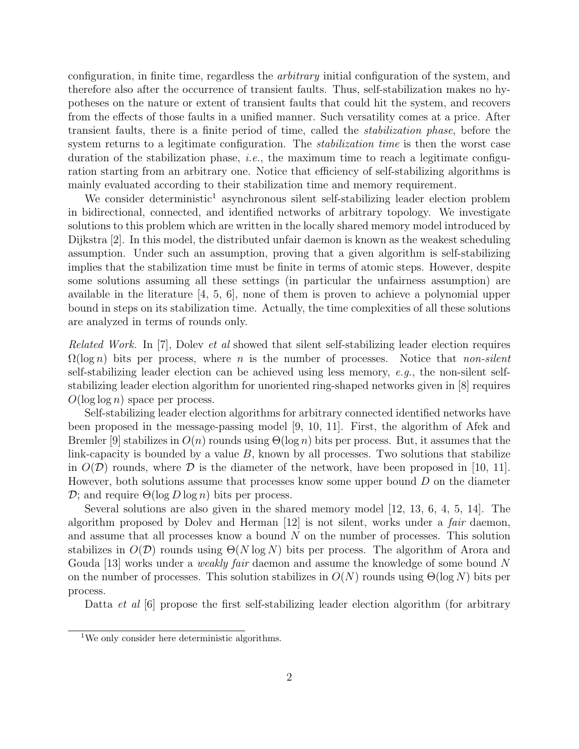configuration, in finite time, regardless the arbitrary initial configuration of the system, and therefore also after the occurrence of transient faults. Thus, self-stabilization makes no hypotheses on the nature or extent of transient faults that could hit the system, and recovers from the effects of those faults in a unified manner. Such versatility comes at a price. After transient faults, there is a finite period of time, called the stabilization phase, before the system returns to a legitimate configuration. The *stabilization time* is then the worst case duration of the stabilization phase, *i.e.*, the maximum time to reach a legitimate configuration starting from an arbitrary one. Notice that efficiency of self-stabilizing algorithms is mainly evaluated according to their stabilization time and memory requirement.

We consider deterministic<sup>1</sup> asynchronous silent self-stabilizing leader election problem in bidirectional, connected, and identified networks of arbitrary topology. We investigate solutions to this problem which are written in the locally shared memory model introduced by Dijkstra [2]. In this model, the distributed unfair daemon is known as the weakest scheduling assumption. Under such an assumption, proving that a given algorithm is self-stabilizing implies that the stabilization time must be finite in terms of atomic steps. However, despite some solutions assuming all these settings (in particular the unfairness assumption) are available in the literature  $\vert 4, 5, 6 \vert$ , none of them is proven to achieve a polynomial upper bound in steps on its stabilization time. Actually, the time complexities of all these solutions are analyzed in terms of rounds only.

Related Work. In [7], Dolev et al showed that silent self-stabilizing leader election requires  $\Omega(\log n)$  bits per process, where *n* is the number of processes. Notice that *non-silent* self-stabilizing leader election can be achieved using less memory, e.g., the non-silent selfstabilizing leader election algorithm for unoriented ring-shaped networks given in [8] requires  $O(\log \log n)$  space per process.

Self-stabilizing leader election algorithms for arbitrary connected identified networks have been proposed in the message-passing model [9, 10, 11]. First, the algorithm of Afek and Bremler [9] stabilizes in  $O(n)$  rounds using  $\Theta(\log n)$  bits per process. But, it assumes that the link-capacity is bounded by a value  $B$ , known by all processes. Two solutions that stabilize in  $O(D)$  rounds, where D is the diameter of the network, have been proposed in [10, 11]. However, both solutions assume that processes know some upper bound D on the diameter D; and require  $\Theta(\log D \log n)$  bits per process.

Several solutions are also given in the shared memory model [12, 13, 6, 4, 5, 14]. The algorithm proposed by Dolev and Herman  $[12]$  is not silent, works under a *fair* daemon, and assume that all processes know a bound N on the number of processes. This solution stabilizes in  $O(D)$  rounds using  $\Theta(N \log N)$  bits per process. The algorithm of Arora and Gouda [13] works under a *weakly fair* daemon and assume the knowledge of some bound N on the number of processes. This solution stabilizes in  $O(N)$  rounds using  $\Theta(\log N)$  bits per process.

Datta *et al*  $[6]$  propose the first self-stabilizing leader election algorithm (for arbitrary

<sup>&</sup>lt;sup>1</sup>We only consider here deterministic algorithms.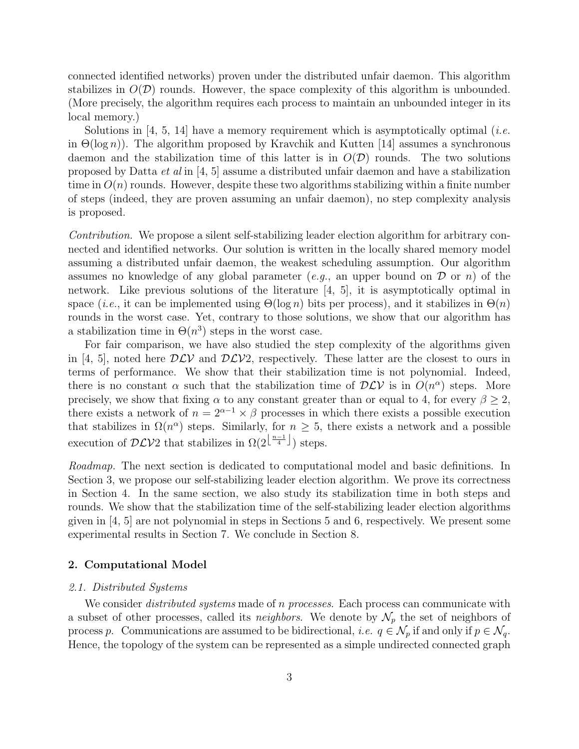connected identified networks) proven under the distributed unfair daemon. This algorithm stabilizes in  $O(D)$  rounds. However, the space complexity of this algorithm is unbounded. (More precisely, the algorithm requires each process to maintain an unbounded integer in its local memory.)

Solutions in [4, 5, 14] have a memory requirement which is asymptotically optimal (*i.e.* in  $\Theta(\log n)$ . The algorithm proposed by Kravchik and Kutten [14] assumes a synchronous daemon and the stabilization time of this latter is in  $O(D)$  rounds. The two solutions proposed by Datta *et al* in [4, 5] assume a distributed unfair daemon and have a stabilization time in  $O(n)$  rounds. However, despite these two algorithms stabilizing within a finite number of steps (indeed, they are proven assuming an unfair daemon), no step complexity analysis is proposed.

Contribution. We propose a silent self-stabilizing leader election algorithm for arbitrary connected and identified networks. Our solution is written in the locally shared memory model assuming a distributed unfair daemon, the weakest scheduling assumption. Our algorithm assumes no knowledge of any global parameter (e.g., an upper bound on  $\mathcal D$  or n) of the network. Like previous solutions of the literature [4, 5], it is asymptotically optimal in space (*i.e.*, it can be implemented using  $\Theta(\log n)$  bits per process), and it stabilizes in  $\Theta(n)$ rounds in the worst case. Yet, contrary to those solutions, we show that our algorithm has a stabilization time in  $\Theta(n^3)$  steps in the worst case.

For fair comparison, we have also studied the step complexity of the algorithms given in [4, 5], noted here  $D\mathcal{LV}$  and  $D\mathcal{LV}2$ , respectively. These latter are the closest to ours in terms of performance. We show that their stabilization time is not polynomial. Indeed, there is no constant  $\alpha$  such that the stabilization time of  $D\mathcal{LV}$  is in  $O(n^{\alpha})$  steps. More precisely, we show that fixing  $\alpha$  to any constant greater than or equal to 4, for every  $\beta \geq 2$ , there exists a network of  $n = 2^{\alpha-1} \times \beta$  processes in which there exists a possible execution that stabilizes in  $\Omega(n^{\alpha})$  steps. Similarly, for  $n \geq 5$ , there exists a network and a possible execution of  $\mathcal{DLV}2$  that stabilizes in  $\Omega(2^{\left\lfloor \frac{n-1}{4} \right\rfloor})$  steps.

Roadmap. The next section is dedicated to computational model and basic definitions. In Section 3, we propose our self-stabilizing leader election algorithm. We prove its correctness in Section 4. In the same section, we also study its stabilization time in both steps and rounds. We show that the stabilization time of the self-stabilizing leader election algorithms given in [4, 5] are not polynomial in steps in Sections 5 and 6, respectively. We present some experimental results in Section 7. We conclude in Section 8.

#### 2. Computational Model

#### 2.1. Distributed Systems

We consider *distributed systems* made of *n processes*. Each process can communicate with a subset of other processes, called its *neighbors*. We denote by  $\mathcal{N}_p$  the set of neighbors of process p. Communications are assumed to be bidirectional, *i.e.*  $q \in \mathcal{N}_p$  if and only if  $p \in \mathcal{N}_q$ . Hence, the topology of the system can be represented as a simple undirected connected graph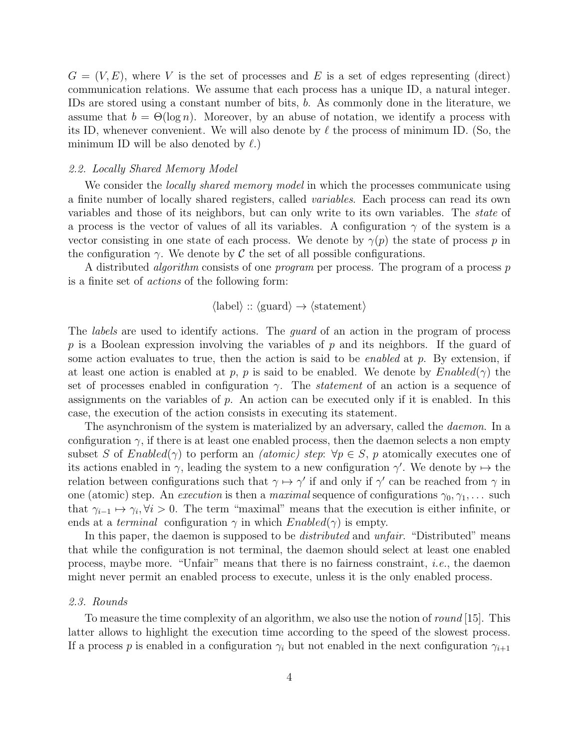$G = (V, E)$ , where V is the set of processes and E is a set of edges representing (direct) communication relations. We assume that each process has a unique ID, a natural integer. IDs are stored using a constant number of bits, b. As commonly done in the literature, we assume that  $b = \Theta(\log n)$ . Moreover, by an abuse of notation, we identify a process with its ID, whenever convenient. We will also denote by  $\ell$  the process of minimum ID. (So, the minimum ID will be also denoted by  $\ell$ .)

#### 2.2. Locally Shared Memory Model

We consider the *locally shared memory model* in which the processes communicate using a finite number of locally shared registers, called variables. Each process can read its own variables and those of its neighbors, but can only write to its own variables. The state of a process is the vector of values of all its variables. A configuration  $\gamma$  of the system is a vector consisting in one state of each process. We denote by  $\gamma(p)$  the state of process p in the configuration  $\gamma$ . We denote by C the set of all possible configurations.

A distributed *algorithm* consists of one *program* per process. The program of a process p is a finite set of actions of the following form:

$$
\langle
$$
label $\rangle$  ::  $\langle$ guard $\rangle \rightarrow \langle$ statement $\rangle$ 

The *labels* are used to identify actions. The *guard* of an action in the program of process p is a Boolean expression involving the variables of p and its neighbors. If the guard of some action evaluates to true, then the action is said to be *enabled* at  $p$ . By extension, if at least one action is enabled at p, p is said to be enabled. We denote by  $Enabled(\gamma)$  the set of processes enabled in configuration  $\gamma$ . The *statement* of an action is a sequence of assignments on the variables of  $p$ . An action can be executed only if it is enabled. In this case, the execution of the action consists in executing its statement.

The asynchronism of the system is materialized by an adversary, called the *daemon*. In a configuration  $\gamma$ , if there is at least one enabled process, then the daemon selects a non empty subset S of Enabled( $\gamma$ ) to perform an *(atomic) step*:  $\forall p \in S$ , p atomically executes one of its actions enabled in  $\gamma$ , leading the system to a new configuration  $\gamma'$ . We denote by  $\mapsto$  the relation between configurations such that  $\gamma \mapsto \gamma'$  if and only if  $\gamma'$  can be reached from  $\gamma$  in one (atomic) step. An *execution* is then a *maximal* sequence of configurations  $\gamma_0, \gamma_1, \ldots$  such that  $\gamma_{i-1} \mapsto \gamma_i, \forall i > 0$ . The term "maximal" means that the execution is either infinite, or ends at a *terminal* configuration  $\gamma$  in which  $Enabled(\gamma)$  is empty.

In this paper, the daemon is supposed to be *distributed* and *unfair*. "Distributed" means that while the configuration is not terminal, the daemon should select at least one enabled process, maybe more. "Unfair" means that there is no fairness constraint, *i.e.*, the daemon might never permit an enabled process to execute, unless it is the only enabled process.

#### 2.3. Rounds

To measure the time complexity of an algorithm, we also use the notion of round [15]. This latter allows to highlight the execution time according to the speed of the slowest process. If a process p is enabled in a configuration  $\gamma_i$  but not enabled in the next configuration  $\gamma_{i+1}$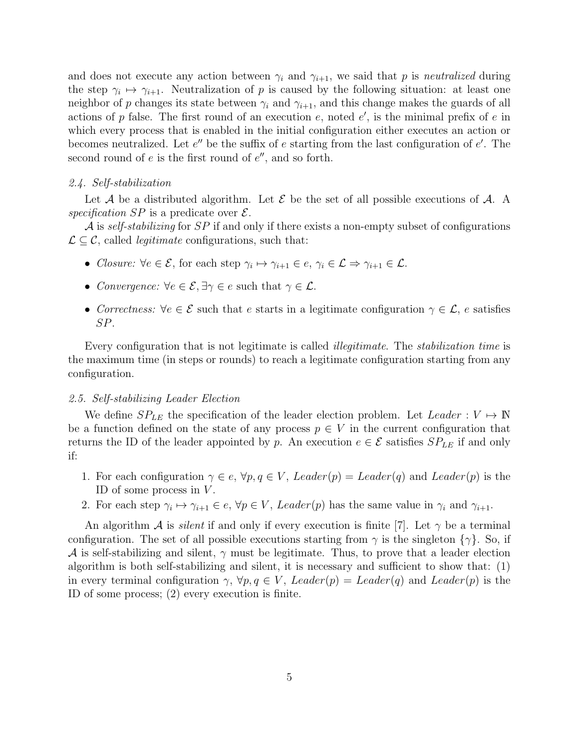and does not execute any action between  $\gamma_i$  and  $\gamma_{i+1}$ , we said that p is neutralized during the step  $\gamma_i \mapsto \gamma_{i+1}$ . Neutralization of p is caused by the following situation: at least one neighbor of p changes its state between  $\gamma_i$  and  $\gamma_{i+1}$ , and this change makes the guards of all actions of p false. The first round of an execution  $e$ , noted  $e'$ , is the minimal prefix of  $e$  in which every process that is enabled in the initial configuration either executes an action or becomes neutralized. Let  $e''$  be the suffix of  $e$  starting from the last configuration of  $e'$ . The second round of  $e$  is the first round of  $e''$ , and so forth.

#### 2.4. Self-stabilization

Let A be a distributed algorithm. Let E be the set of all possible executions of A. A specification SP is a predicate over  $\mathcal{E}$ .

 $\mathcal A$  is self-stabilizing for SP if and only if there exists a non-empty subset of configurations  $\mathcal{L} \subset \mathcal{C}$ , called *legitimate* configurations, such that:

- Closure:  $\forall e \in \mathcal{E}$ , for each step  $\gamma_i \mapsto \gamma_{i+1} \in e, \gamma_i \in \mathcal{L} \Rightarrow \gamma_{i+1} \in \mathcal{L}$ .
- Convergence:  $\forall e \in \mathcal{E}, \exists \gamma \in e \text{ such that } \gamma \in \mathcal{L}.$
- Correctness:  $\forall e \in \mathcal{E}$  such that e starts in a legitimate configuration  $\gamma \in \mathcal{L}$ , e satisfies SP.

Every configuration that is not legitimate is called illegitimate. The stabilization time is the maximum time (in steps or rounds) to reach a legitimate configuration starting from any configuration.

#### 2.5. Self-stabilizing Leader Election

We define  $SP_{LE}$  the specification of the leader election problem. Let Leader :  $V \mapsto \mathbb{N}$ be a function defined on the state of any process  $p \in V$  in the current configuration that returns the ID of the leader appointed by p. An execution  $e \in \mathcal{E}$  satisfies  $SP_{LE}$  if and only if:

- 1. For each configuration  $\gamma \in e$ ,  $\forall p, q \in V$ , Leader(p) = Leader(q) and Leader(p) is the ID of some process in  $V$ .
- 2. For each step  $\gamma_i \mapsto \gamma_{i+1} \in e, \forall p \in V$ , Leader(p) has the same value in  $\gamma_i$  and  $\gamma_{i+1}$ .

An algorithm A is *silent* if and only if every execution is finite [7]. Let  $\gamma$  be a terminal configuration. The set of all possible executions starting from  $\gamma$  is the singleton  $\{\gamma\}$ . So, if A is self-stabilizing and silent,  $\gamma$  must be legitimate. Thus, to prove that a leader election algorithm is both self-stabilizing and silent, it is necessary and sufficient to show that: (1) in every terminal configuration  $\gamma$ ,  $\forall p, q \in V$ , Leader(p) = Leader(q) and Leader(p) is the ID of some process; (2) every execution is finite.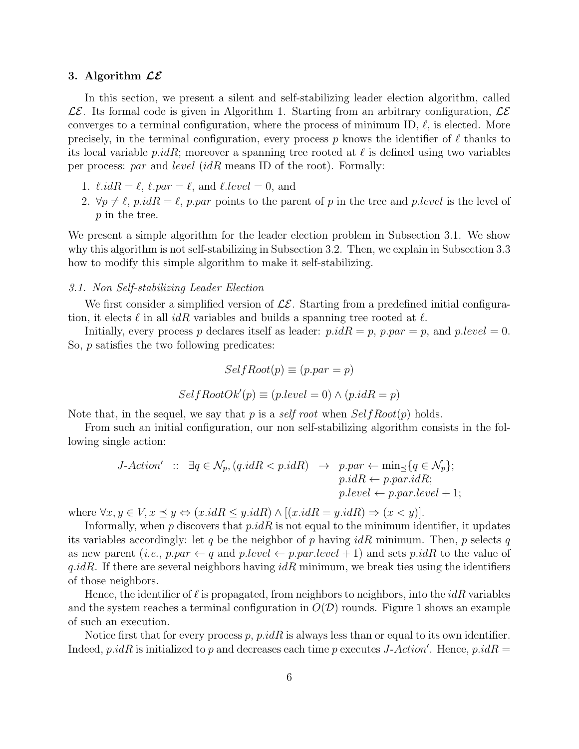#### 3. Algorithm  $\mathcal{LE}$

In this section, we present a silent and self-stabilizing leader election algorithm, called  $\mathcal{LE}$ . Its formal code is given in Algorithm 1. Starting from an arbitrary configuration,  $\mathcal{LE}$ converges to a terminal configuration, where the process of minimum ID,  $\ell$ , is elected. More precisely, in the terminal configuration, every process p knows the identifier of  $\ell$  thanks to its local variable *p.idR*; moreover a spanning tree rooted at  $\ell$  is defined using two variables per process: par and level (idR means ID of the root). Formally:

- 1.  $\ell.idR = \ell$ ,  $\ell par = \ell$ , and  $\ell.level = 0$ , and
- 2.  $\forall p \neq \ell$ , p.id $R = \ell$ , p.par points to the parent of p in the tree and p.level is the level of p in the tree.

We present a simple algorithm for the leader election problem in Subsection 3.1. We show why this algorithm is not self-stabilizing in Subsection 3.2. Then, we explain in Subsection 3.3 how to modify this simple algorithm to make it self-stabilizing.

#### 3.1. Non Self-stabilizing Leader Election

We first consider a simplified version of  $\mathcal{LE}$ . Starting from a predefined initial configuration, it elects  $\ell$  in all *idR* variables and builds a spanning tree rooted at  $\ell$ .

Initially, every process p declares itself as leader:  $p.idR = p$ ,  $p.par = p$ , and  $p-level = 0$ . So, p satisfies the two following predicates:

$$
SelfRoot(p) \equiv (p.par = p)
$$

$$
SelfRootOk'(p) \equiv (p. level = 0) \land (p.idR = p)
$$

Note that, in the sequel, we say that p is a self root when  $SelfRoot(p)$  holds.

From such an initial configuration, our non self-stabilizing algorithm consists in the following single action:

$$
J\text{-Action'} \ :: \ \exists q \in \mathcal{N}_p, (q.idR < p.idR) \ \rightarrow \ p.par \leftarrow \min_{\preceq} \{ q \in \mathcal{N}_p \}; \\
 p.idR \leftarrow p.par.idR; \\
 p-level \leftarrow p.par. level + 1;
$$

where  $\forall x, y \in V, x \leq y \Leftrightarrow (x.idR \leq y.idR) \land [(x.idR = y.idR) \Rightarrow (x < y)].$ 

Informally, when p discovers that  $p.idR$  is not equal to the minimum identifier, it updates its variables accordingly: let q be the neighbor of p having  $idR$  minimum. Then, p selects q as new parent (i.e., p.par  $\leftarrow q$  and p.level  $\leftarrow p$ .par.level + 1) and sets p.idR to the value of q.idR. If there are several neighbors having  $idR$  minimum, we break ties using the identifiers of those neighbors.

Hence, the identifier of  $\ell$  is propagated, from neighbors to neighbors, into the  $idR$  variables and the system reaches a terminal configuration in  $O(D)$  rounds. Figure 1 shows an example of such an execution.

Notice first that for every process p, p.idR is always less than or equal to its own identifier. Indeed, p.idR is initialized to p and decreases each time p executes J-Action'. Hence, p.idR =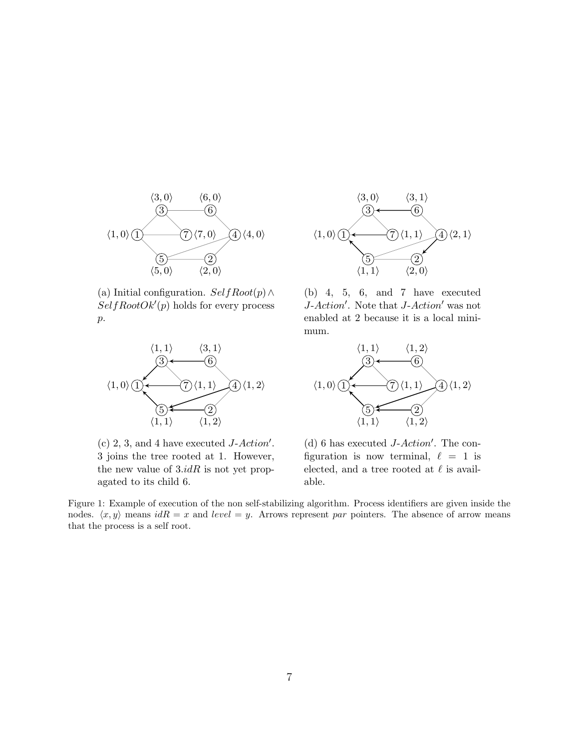

(a) Initial configuration.  $SelfRoot(p) \wedge$  $SelfRootOk'(p)$  holds for every process  $p$ .



(c) 2, 3, and 4 have executed  $J-Action'.$ 3 joins the tree rooted at 1. However, the new value of  $3.idR$  is not yet propagated to its child 6.



 $(b)$  4, 5, 6, and 7 have executed J-Action'. Note that J-Action' was not enabled at 2 because it is a local minimum.



(d) 6 has executed  $J\text{-}Action'.$  The configuration is now terminal,  $\ell = 1$  is elected, and a tree rooted at  $\ell$  is available.

Figure 1: Example of execution of the non self-stabilizing algorithm. Process identifiers are given inside the nodes.  $\langle x, y \rangle$  means  $idR = x$  and level = y. Arrows represent par pointers. The absence of arrow means that the process is a self root.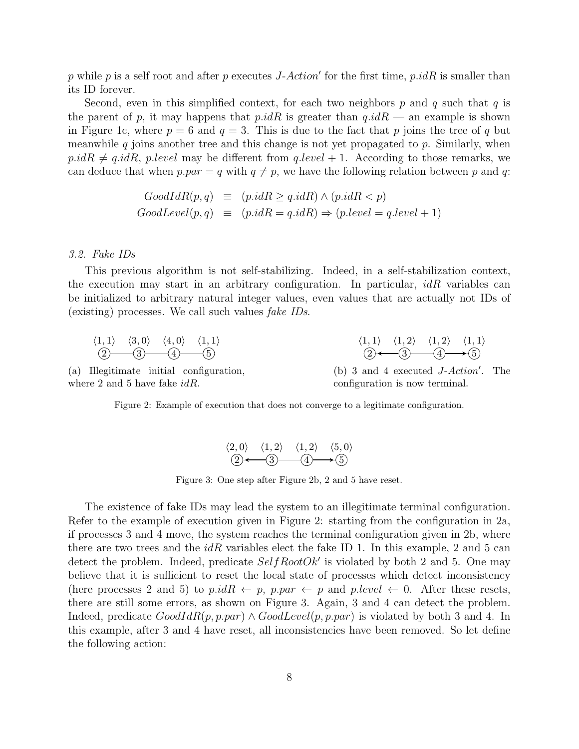p while p is a self root and after p executes J-Action' for the first time, p.idR is smaller than its ID forever.

Second, even in this simplified context, for each two neighbors p and q such that q is the parent of p, it may happens that  $p.idR$  is greater than  $q.idR$  — an example is shown in Figure 1c, where  $p = 6$  and  $q = 3$ . This is due to the fact that p joins the tree of q but meanwhile  $q$  joins another tree and this change is not yet propagated to  $p$ . Similarly, when  $p.idR \neq q.idR$ , p.level may be different from q.level + 1. According to those remarks, we can deduce that when  $p-par = q$  with  $q \neq p$ , we have the following relation between p and q:

$$
GoodIdR(p,q) \equiv (p.idR \ge q.idR) \land (p.idR < p)
$$
  
GoodLevel(p,q) \equiv (p.idR = q.idR) \Rightarrow (p-level = q-level + 1)

#### 3.2. Fake IDs

This previous algorithm is not self-stabilizing. Indeed, in a self-stabilization context, the execution may start in an arbitrary configuration. In particular,  $idR$  variables can be initialized to arbitrary natural integer values, even values that are actually not IDs of (existing) processes. We call such values fake IDs.

2 3 4 5 h1, 1i h3, 0i h4, 0i h1, 1i 2 3 4 5 h1, 1i h1, 2i h1, 2i h1, 1i

(a) Illegitimate initial configuration, where 2 and 5 have fake  $idR$ .

(b) 3 and 4 executed  $J-Action'$ . The configuration is now terminal.

Figure 2: Example of execution that does not converge to a legitimate configuration.

$$
\begin{array}{ccc}\n\langle 2,0\rangle & \langle 1,2\rangle & \langle 1,2\rangle & \langle 5,0\rangle \\
\hline\n\langle 2 \rangle & \langle 3 \rangle & \langle 4 \rangle & \langle 5 \rangle\n\end{array}
$$

Figure 3: One step after Figure 2b, 2 and 5 have reset.

The existence of fake IDs may lead the system to an illegitimate terminal configuration. Refer to the example of execution given in Figure 2: starting from the configuration in 2a, if processes 3 and 4 move, the system reaches the terminal configuration given in 2b, where there are two trees and the  $idR$  variables elect the fake ID 1. In this example, 2 and 5 can detect the problem. Indeed, predicate  $SelfRootOk'$  is violated by both 2 and 5. One may believe that it is sufficient to reset the local state of processes which detect inconsistency (here processes 2 and 5) to p.idR  $\leftarrow p$ , p.par  $\leftarrow p$  and p.level  $\leftarrow 0$ . After these resets, there are still some errors, as shown on Figure 3. Again, 3 and 4 can detect the problem. Indeed, predicate  $GoodIdR(p, p, par) \wedge GoodLevel(p, p, par)$  is violated by both 3 and 4. In this example, after 3 and 4 have reset, all inconsistencies have been removed. So let define the following action: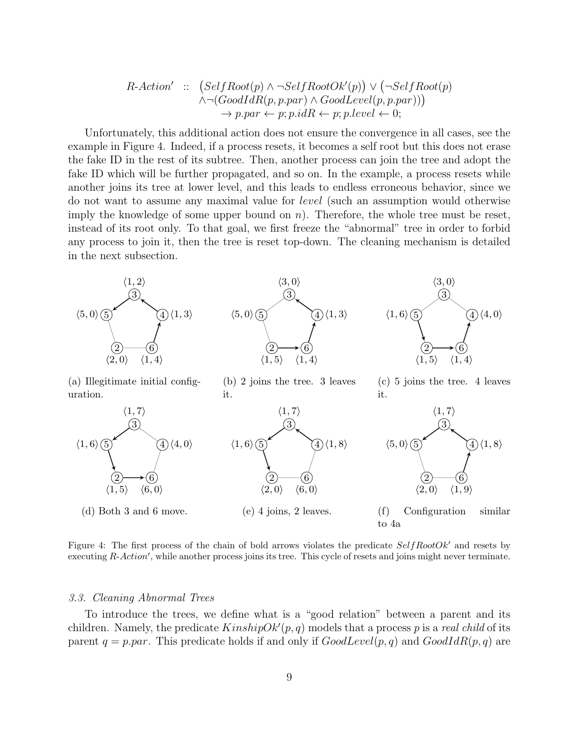$$
R\text{-Action'} :: \left(SelfRoot(p) \land \neg SelfRootOk'(p) \right) \lor \left( \neg SelfRoot(p) \land \neg \left( GoodIdR(p, p, par) \land GoodLevel(p, p, par) \right) \right) \\
 \rightarrow p, par \leftarrow p; p.idR \leftarrow p; p. level \leftarrow 0;
$$

Unfortunately, this additional action does not ensure the convergence in all cases, see the example in Figure 4. Indeed, if a process resets, it becomes a self root but this does not erase the fake ID in the rest of its subtree. Then, another process can join the tree and adopt the fake ID which will be further propagated, and so on. In the example, a process resets while another joins its tree at lower level, and this leads to endless erroneous behavior, since we do not want to assume any maximal value for level (such an assumption would otherwise imply the knowledge of some upper bound on  $n$ ). Therefore, the whole tree must be reset, instead of its root only. To that goal, we first freeze the "abnormal" tree in order to forbid any process to join it, then the tree is reset top-down. The cleaning mechanism is detailed in the next subsection.





Figure 4: The first process of the chain of bold arrows violates the predicate  $SelfRootOk'$  and resets by executing R-Action', while another process joins its tree. This cycle of resets and joins might never terminate.

#### 3.3. Cleaning Abnormal Trees

To introduce the trees, we define what is a "good relation" between a parent and its children. Namely, the predicate  $KinshipOk'(p, q)$  models that a process p is a real child of its parent  $q = ppar$ . This predicate holds if and only if  $GoodLevel(p, q)$  and  $GoodIdR(p, q)$  are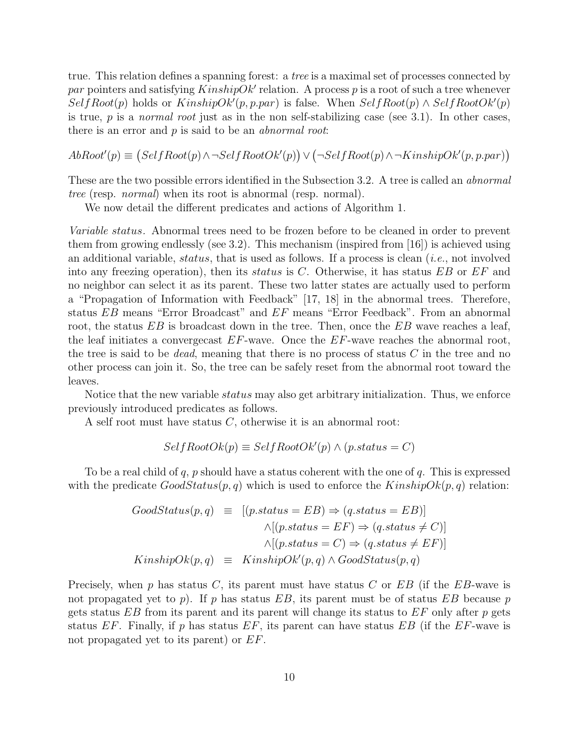true. This relation defines a spanning forest: a tree is a maximal set of processes connected by par pointers and satisfying  $KinshipOk'$  relation. A process p is a root of such a tree whenever  $SelfRoot(p)$  holds or  $KinshipOk'(p, p, par)$  is false. When  $SelfRoot(p) \wedge SelfRootOk'(p)$ is true,  $p$  is a *normal root* just as in the non self-stabilizing case (see 3.1). In other cases, there is an error and  $p$  is said to be an *abnormal root*:

 $AbRoot'(p) \equiv (SelfRoot(p) \land \neg SelfRootOk'(p)) \lor (\neg SelfRoot(p) \land \neg KinshipOk'(p, p, par))$ 

These are the two possible errors identified in the Subsection 3.2. A tree is called an *abnormal* tree (resp. normal) when its root is abnormal (resp. normal).

We now detail the different predicates and actions of Algorithm 1.

Variable status. Abnormal trees need to be frozen before to be cleaned in order to prevent them from growing endlessly (see 3.2). This mechanism (inspired from [16]) is achieved using an additional variable, status, that is used as follows. If a process is clean  $(i.e., not involved)$ into any freezing operation), then its *status* is C. Otherwise, it has status  $EB$  or  $EF$  and no neighbor can select it as its parent. These two latter states are actually used to perform a "Propagation of Information with Feedback" [17, 18] in the abnormal trees. Therefore, status EB means "Error Broadcast" and EF means "Error Feedback". From an abnormal root, the status  $EB$  is broadcast down in the tree. Then, once the  $EB$  wave reaches a leaf, the leaf initiates a convergecast  $EF$ -wave. Once the  $EF$ -wave reaches the abnormal root, the tree is said to be *dead*, meaning that there is no process of status  $C$  in the tree and no other process can join it. So, the tree can be safely reset from the abnormal root toward the leaves.

Notice that the new variable *status* may also get arbitrary initialization. Thus, we enforce previously introduced predicates as follows.

A self root must have status C, otherwise it is an abnormal root:

$$
SelfRootOk(p) \equiv SelfRootOk'(p) \land (p. status = C)
$$

To be a real child of q, p should have a status coherent with the one of q. This is expressed with the predicate  $GoodStatus(p, q)$  which is used to enforce the  $KinshipOk(p, q)$  relation:

$$
GoodStatus(p,q) \equiv [(p\: status = EB) \Rightarrow (q\: status = EB)]
$$
  
\n
$$
\land [(p\: status = EF) \Rightarrow (q\: status \neq C)]
$$
  
\n
$$
\land [(p\: status = C) \Rightarrow (q\: status \neq EF)]
$$
  
\n
$$
KinshipOk(p,q) \equiv KinshipOk'(p,q) \land GoodStatus(p,q)
$$

Precisely, when  $p$  has status  $C$ , its parent must have status  $C$  or  $EB$  (if the  $EB$ -wave is not propagated yet to  $p$ ). If  $p$  has status  $EB$ , its parent must be of status  $EB$  because  $p$ gets status  $EB$  from its parent and its parent will change its status to  $EF$  only after p gets status  $EF$ . Finally, if p has status  $EF$ , its parent can have status  $EB$  (if the  $EF$ -wave is not propagated yet to its parent) or EF.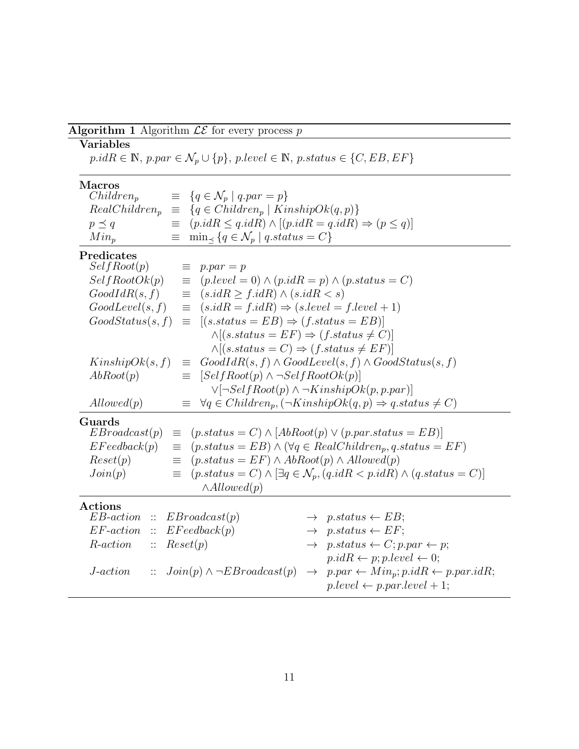## Algorithm 1 Algorithm  $\mathcal{LE}$  for every process  $p$

## Variables

 $p.idR \in \mathbb{N},$   $p.par \in \mathcal{N}_p \cup \{p\},$   $p.level \in \mathbb{N},$   $p.status \in \{C, EB, EF\}$ 

## Macros

| $Children_p$  | $\equiv \{q \in \mathcal{N}_p \mid q.parent = p\}$                                    |
|---------------|---------------------------------------------------------------------------------------|
|               | $RealChildren_p \equiv \{q \in Children_p \mid KinshipOk(q,p)\}\$                     |
| $p \preceq q$ | $\equiv$ $(p.idR \leq q.idR) \land [(p.idR = q.idR) \Rightarrow (p \leq q)]$          |
| $Min_{p}$     | $\equiv$ min <sub><math>\prec</math></sub> { $q \in \mathcal{N}_p$   $q.status = C$ } |

## Predicates

| SelfRoot(p)                                  |                       | $\equiv$ p.par = p                                                |                                                                                              |
|----------------------------------------------|-----------------------|-------------------------------------------------------------------|----------------------------------------------------------------------------------------------|
| SelfRootOk(p)                                |                       | $\equiv$ (p.level = 0) $\land$ (p.idR = p) $\land$ (p.status = C) |                                                                                              |
| GoodIdR(s, f)                                |                       | $\equiv (s.idR \ge f.idR) \wedge (s.idR < s)$                     |                                                                                              |
| GoodLevel(s, f)                              |                       | $(s.idR = f.idR) \Rightarrow (s-level = f-level + 1)$<br>$\equiv$ |                                                                                              |
| GoodStatus(s, f)                             |                       | $\equiv [(s. status = EB) \Rightarrow (f. status = EB)]$          |                                                                                              |
|                                              |                       | $\wedge$ [(s.status = EF) $\Rightarrow$ (f.status $\neq$ C)]      |                                                                                              |
|                                              |                       | $\wedge$ [(s.status = C) $\Rightarrow$ (f.status $\neq$ EF)]      |                                                                                              |
| KinshipOk(s, f)                              |                       |                                                                   | $\equiv \text{GoodIdR}(s, f) \wedge \text{GoodLevel}(s, f) \wedge \text{GoodStatus}(s, f)$   |
| AbRoot(p)                                    |                       | $\equiv$ [SelfRoot(p) $\land \neg SelfRootOk(p)$ ]                |                                                                                              |
|                                              |                       |                                                                   | $\vee[\neg SelfRoot(p) \wedge \neg KinshipOk(p, p, par)]$                                    |
| Allowed(p)                                   |                       |                                                                   | $\equiv \forall q \in Children_p, (\neg KinshipOk(q, p) \Rightarrow q. status \neq C)$       |
| Guards                                       |                       |                                                                   |                                                                                              |
| EBroadcast(p)                                |                       |                                                                   | $\equiv$ (p.status = C) $\land$ [AbRoot(p) $\lor$ (p.par.status = EB)]                       |
| EFeedback(p)                                 | 亖                     |                                                                   | $(p. status = EB) \wedge (\forall q \in RealChildren_p, q. status = EF)$                     |
| Reset(p)                                     | $\equiv$              | $(p. status = EF) \wedge AbRoot(p) \wedge Allowed(p)$             |                                                                                              |
| Join(p)                                      | $\equiv$ .            |                                                                   | $(p. status = C) \wedge [\exists q \in \mathcal{N}_p, (q.idR < p.idR) \wedge (q.state = C)]$ |
|                                              |                       | $\wedge$ Allowed $(p)$                                            |                                                                                              |
| $\rm Actions$                                |                       |                                                                   |                                                                                              |
| $EB\text{-}action :: EBroadcast(p)$          |                       |                                                                   | $\rightarrow$ p.status $\leftarrow$ EB;                                                      |
| $EF\text{-}action :: EF\text{} {e}edback(p)$ |                       |                                                                   | $\rightarrow$ p.status $\leftarrow EF$ ;                                                     |
| R-action                                     | $\therefore$ Reset(p) |                                                                   | $\rightarrow$ p.status $\leftarrow C$ ; p.par $\leftarrow$ p;                                |
|                                              |                       |                                                                   | $p.idR \leftarrow p; p-level \leftarrow 0;$                                                  |
| <i>J</i> -action                             |                       | $\therefore$ $Join(p) \land \neg EBroadcast(p)$                   | $\rightarrow$ p.par $\leftarrow Min_p$ ; p.idR $\leftarrow p$ .par.idR;                      |
|                                              |                       |                                                                   | $p.\text{level} \leftarrow p.\text{par}.\text{level} + 1;$                                   |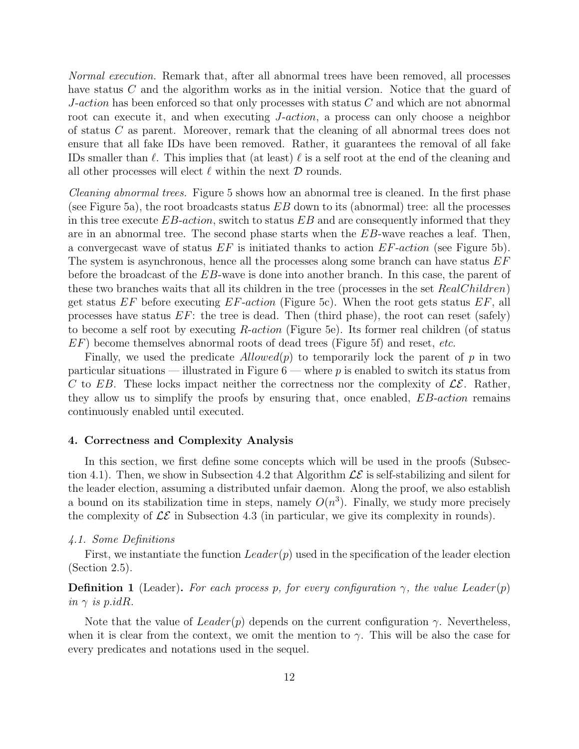Normal execution. Remark that, after all abnormal trees have been removed, all processes have status C and the algorithm works as in the initial version. Notice that the guard of  $J\text{-action}$  has been enforced so that only processes with status  $C$  and which are not abnormal root can execute it, and when executing *J-action*, a process can only choose a neighbor of status C as parent. Moreover, remark that the cleaning of all abnormal trees does not ensure that all fake IDs have been removed. Rather, it guarantees the removal of all fake IDs smaller than  $\ell$ . This implies that (at least)  $\ell$  is a self root at the end of the cleaning and all other processes will elect  $\ell$  within the next  $\mathcal D$  rounds.

Cleaning abnormal trees. Figure 5 shows how an abnormal tree is cleaned. In the first phase (see Figure 5a), the root broadcasts status  $EB$  down to its (abnormal) tree: all the processes in this tree execute  $EB\text{-}action$ , switch to status  $EB$  and are consequently informed that they are in an abnormal tree. The second phase starts when the EB-wave reaches a leaf. Then, a converge cast wave of status  $EF$  is initiated thanks to action  $EF$ -action (see Figure 5b). The system is asynchronous, hence all the processes along some branch can have status  $EF$ before the broadcast of the EB-wave is done into another branch. In this case, the parent of these two branches waits that all its children in the tree (processes in the set RealChildren) get status  $EF$  before executing  $EF\text{-}action$  (Figure 5c). When the root gets status  $EF$ , all processes have status  $EF$ : the tree is dead. Then (third phase), the root can reset (safely) to become a self root by executing R-action (Figure 5e). Its former real children (of status  $EF$ ) become themselves abnormal roots of dead trees (Figure 5f) and reset, *etc.* 

Finally, we used the predicate  $Allowed(p)$  to temporarily lock the parent of p in two particular situations — illustrated in Figure  $6$  — where p is enabled to switch its status from C to EB. These locks impact neither the correctness nor the complexity of  $\mathcal{LE}$ . Rather, they allow us to simplify the proofs by ensuring that, once enabled, EB-action remains continuously enabled until executed.

#### 4. Correctness and Complexity Analysis

In this section, we first define some concepts which will be used in the proofs (Subsection 4.1). Then, we show in Subsection 4.2 that Algorithm  $\mathcal{LE}$  is self-stabilizing and silent for the leader election, assuming a distributed unfair daemon. Along the proof, we also establish a bound on its stabilization time in steps, namely  $O(n^3)$ . Finally, we study more precisely the complexity of  $\mathcal{LE}$  in Subsection 4.3 (in particular, we give its complexity in rounds).

#### 4.1. Some Definitions

First, we instantiate the function  $Leader(p)$  used in the specification of the leader election (Section 2.5).

## **Definition 1** (Leader). For each process p, for every configuration  $\gamma$ , the value Leader(p) in  $\gamma$  is p.idR.

Note that the value of  $Leader(p)$  depends on the current configuration  $\gamma$ . Nevertheless, when it is clear from the context, we omit the mention to  $\gamma$ . This will be also the case for every predicates and notations used in the sequel.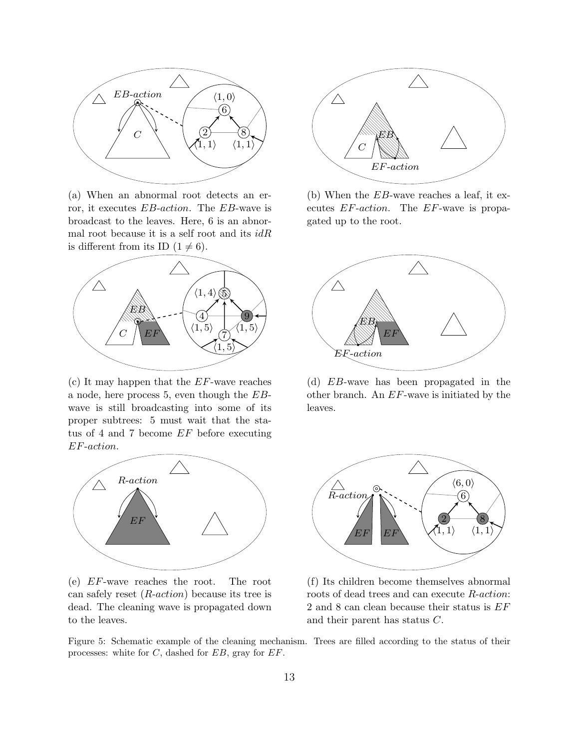

(a) When an abnormal root detects an error, it executes EB-action. The EB-wave is broadcast to the leaves. Here, 6 is an abnormal root because it is a self root and its  $idR$ is different from its ID  $(1 \neq 6)$ .



(c) It may happen that the  $EF$ -wave reaches a node, here process 5, even though the EBwave is still broadcasting into some of its proper subtrees: 5 must wait that the status of 4 and 7 become EF before executing EF-action.



(e) EF-wave reaches the root. The root can safely reset  $(R\text{-}action)$  because its tree is dead. The cleaning wave is propagated down to the leaves.



(b) When the EB-wave reaches a leaf, it executes EF-action. The EF-wave is propagated up to the root.



(d) EB-wave has been propagated in the other branch. An EF-wave is initiated by the leaves.



(f) Its children become themselves abnormal roots of dead trees and can execute R-action: 2 and 8 can clean because their status is EF and their parent has status C.

Figure 5: Schematic example of the cleaning mechanism. Trees are filled according to the status of their processes: white for  $C$ , dashed for  $EB$ , gray for  $EF$ .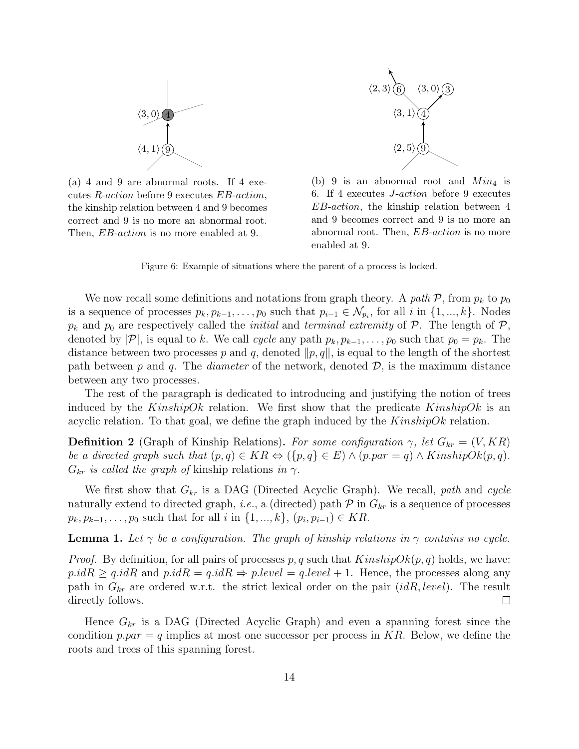

(a) 4 and 9 are abnormal roots. If 4 executes R-action before 9 executes EB-action, the kinship relation between 4 and 9 becomes correct and 9 is no more an abnormal root. Then, *EB-action* is no more enabled at 9.



(b) 9 is an abnormal root and  $Min_4$  is 6. If 4 executes J-action before 9 executes EB-action, the kinship relation between 4 and 9 becomes correct and 9 is no more an abnormal root. Then, EB-action is no more enabled at 9.

Figure 6: Example of situations where the parent of a process is locked.

We now recall some definitions and notations from graph theory. A path  $P$ , from  $p_k$  to  $p_0$ is a sequence of processes  $p_k, p_{k-1}, \ldots, p_0$  such that  $p_{i-1} \in \mathcal{N}_{p_i}$ , for all i in  $\{1, ..., k\}$ . Nodes  $p_k$  and  $p_0$  are respectively called the *initial* and *terminal extremity* of  $P$ . The length of  $P$ , denoted by  $|\mathcal{P}|$ , is equal to k. We call cycle any path  $p_k, p_{k-1}, \ldots, p_0$  such that  $p_0 = p_k$ . The distance between two processes p and q, denoted  $\|p, q\|$ , is equal to the length of the shortest path between p and q. The *diameter* of the network, denoted  $D$ , is the maximum distance between any two processes.

The rest of the paragraph is dedicated to introducing and justifying the notion of trees induced by the KinshipOk relation. We first show that the predicate KinshipOk is an acyclic relation. To that goal, we define the graph induced by the  $KinshipOk$  relation.

**Definition 2** (Graph of Kinship Relations). For some configuration  $\gamma$ , let  $G_{kr} = (V, KR)$ be a directed graph such that  $(p,q) \in KR \Leftrightarrow (\{p,q\} \in E) \wedge (p-par = q) \wedge KinshipOk(p,q).$  $G_{kr}$  is called the graph of kinship relations in  $\gamma$ .

We first show that  $G_{kr}$  is a DAG (Directed Acyclic Graph). We recall, path and cycle naturally extend to directed graph, *i.e.*, a (directed) path  $P$  in  $G_{kr}$  is a sequence of processes  $p_k, p_{k-1}, \ldots, p_0$  such that for all i in  $\{1, ..., k\}, (p_i, p_{i-1}) \in KR$ .

**Lemma 1.** Let  $\gamma$  be a configuration. The graph of kinship relations in  $\gamma$  contains no cycle.

*Proof.* By definition, for all pairs of processes p, q such that  $KinshipOk(p, q)$  holds, we have:  $p.idR \geq q.idR$  and  $p.idR = q.idR \Rightarrow p-level = q-level + 1$ . Hence, the processes along any path in  $G_{kr}$  are ordered w.r.t. the strict lexical order on the pair  $(idR, level)$ . The result directly follows.  $\Box$ 

Hence  $G_{kr}$  is a DAG (Directed Acyclic Graph) and even a spanning forest since the condition  $p, par = q$  implies at most one successor per process in KR. Below, we define the roots and trees of this spanning forest.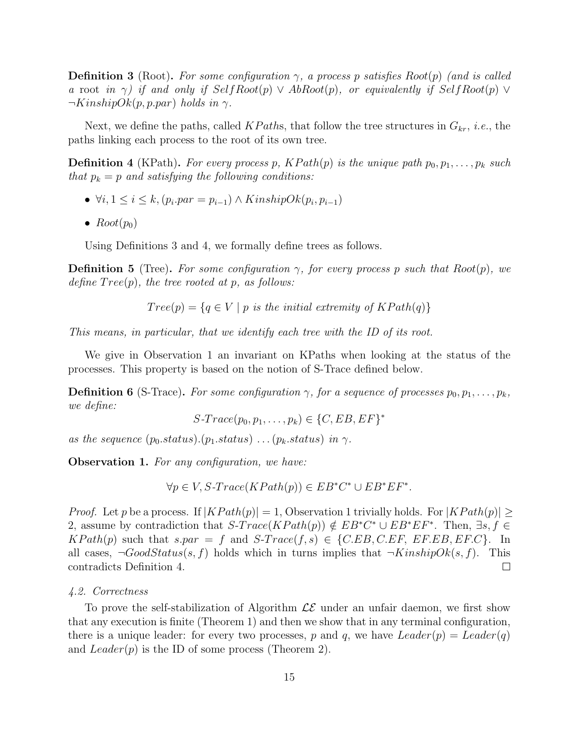**Definition 3** (Root). For some configuration  $\gamma$ , a process p satisfies Root(p) (and is called a root in  $\gamma$ ) if and only if SelfRoot(p)  $\vee$  AbRoot(p), or equivalently if SelfRoot(p)  $\vee$  $\neg KinshipOk(p, p. par) holds in \gamma.$ 

Next, we define the paths, called KPaths, that follow the tree structures in  $G_{kr}$ , *i.e.*, the paths linking each process to the root of its own tree.

**Definition 4** (KPath). For every process p,  $KPath(p)$  is the unique path  $p_0, p_1, \ldots, p_k$  such that  $p_k = p$  and satisfying the following conditions:

- $\forall i, 1 \leq i \leq k, (p_i, par = p_{i-1}) \wedge KinshipOk(p_i, p_{i-1})$
- $Root(p_0)$

Using Definitions 3 and 4, we formally define trees as follows.

**Definition 5** (Tree). For some configuration  $\gamma$ , for every process p such that Root(p), we define  $Tree(p)$ , the tree rooted at p, as follows:

 $Tree(p) = \{q \in V \mid p \text{ is the initial extremity of } KPath(q)\}\$ 

This means, in particular, that we identify each tree with the ID of its root.

We give in Observation 1 an invariant on KPaths when looking at the status of the processes. This property is based on the notion of S-Trace defined below.

**Definition 6** (S-Trace). For some configuration  $\gamma$ , for a sequence of processes  $p_0, p_1, \ldots, p_k$ , we define:

 $S\text{-}Trace(p_0, p_1, \ldots, p_k) \in \{C, EB, EF\}^*$ 

as the sequence  $(p_0.status) \cdot (p_1.status) \cdot \ldots (p_k.status) \cdot in \gamma$ .

**Observation 1.** For any configuration, we have:

 $\forall p \in V, S\text{-}Trace(KPath(p)) \in EB^*C^* \cup EB^*EF^*.$ 

*Proof.* Let p be a process. If  $|KPath(p)| = 1$ , Observation 1 trivially holds. For  $|KPath(p)| \ge$ 2, assume by contradiction that  $S\text{-}Trace(KPath(p)) \notin EB^*C^* \cup EB^*EF^*$ . Then,  $\exists s, f \in$  $KPath(p)$  such that  $spar = f$  and  $S-Trace(f, s) \in \{C.EB, C.EF, EF.EB, EF.C\}$ . In all cases,  $\neg GoodStatus(s, f)$  holds which in turns implies that  $\neg KinshipOk(s, f)$ . This contradicts Definition 4.  $\Box$ 

#### 4.2. Correctness

To prove the self-stabilization of Algorithm  $\mathcal{LE}$  under an unfair daemon, we first show that any execution is finite (Theorem 1) and then we show that in any terminal configuration, there is a unique leader: for every two processes, p and q, we have  $Leader(p) = Leader(q)$ and  $Leader(p)$  is the ID of some process (Theorem 2).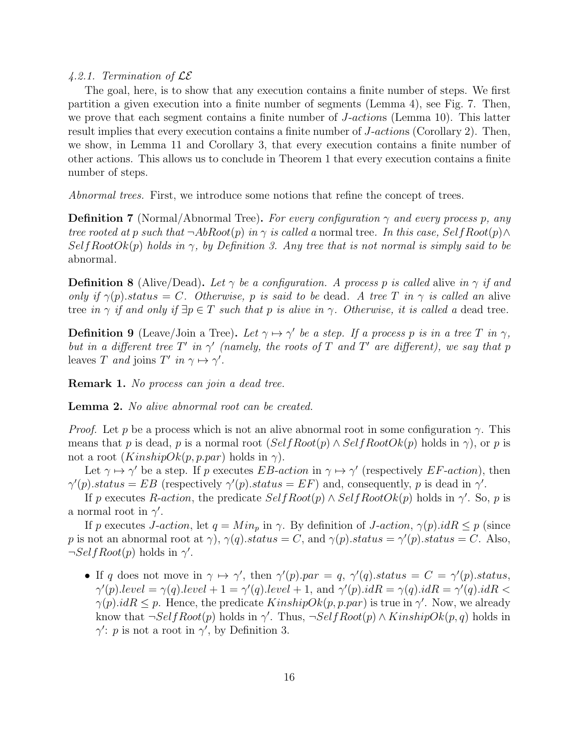#### 4.2.1. Termination of  $\mathcal{LE}$

The goal, here, is to show that any execution contains a finite number of steps. We first partition a given execution into a finite number of segments (Lemma 4), see Fig. 7. Then, we prove that each segment contains a finite number of *J*-actions (Lemma 10). This latter result implies that every execution contains a finite number of J-actions (Corollary 2). Then, we show, in Lemma 11 and Corollary 3, that every execution contains a finite number of other actions. This allows us to conclude in Theorem 1 that every execution contains a finite number of steps.

Abnormal trees. First, we introduce some notions that refine the concept of trees.

**Definition 7** (Normal/Abnormal Tree). For every configuration  $\gamma$  and every process p, any tree rooted at p such that  $\neg AbRoot(p)$  in  $\gamma$  is called a normal tree. In this case, Self Root(p)  $\wedge$  $SelfRootOk(p)$  holds in  $\gamma$ , by Definition 3. Any tree that is not normal is simply said to be abnormal.

**Definition 8** (Alive/Dead). Let  $\gamma$  be a configuration. A process p is called alive in  $\gamma$  if and only if  $\gamma(p)$  status = C. Otherwise, p is said to be dead. A tree T in  $\gamma$  is called an alive tree in  $\gamma$  if and only if  $\exists p \in T$  such that p is alive in  $\gamma$ . Otherwise, it is called a dead tree.

**Definition 9** (Leave/Join a Tree). Let  $\gamma \mapsto \gamma'$  be a step. If a process p is in a tree T in  $\gamma$ , but in a different tree  $T'$  in  $\gamma'$  (namely, the roots of T and T' are different), we say that p leaves T and joins T' in  $\gamma \mapsto \gamma'$ .

**Remark 1.** No process can join a dead tree.

Lemma 2. No alive abnormal root can be created.

*Proof.* Let p be a process which is not an alive abnormal root in some configuration  $\gamma$ . This means that p is dead, p is a normal root  $(SelfRoot(p) \wedge SelfRootOk(p))$  holds in  $\gamma$ ), or p is not a root  $(KinshipOk(p, p, par)$  holds in  $\gamma$ ).

Let  $\gamma \mapsto \gamma'$  be a step. If p executes EB-action in  $\gamma \mapsto \gamma'$  (respectively EF-action), then  $\gamma'(p).status = EB$  (respectively  $\gamma'(p).status = EF)$  and, consequently, p is dead in  $\gamma'$ .

If p executes R-action, the predicate  $SelfRoot(p) \wedge SelfRootOk(p)$  holds in  $\gamma'$ . So, p is a normal root in  $\gamma'$ .

If p executes J-action, let  $q = Min_p$  in  $\gamma$ . By definition of J-action,  $\gamma(p).idR \leq p$  (since p is not an abnormal root at  $\gamma$ ),  $\gamma(q)$ .status = C, and  $\gamma(p)$ .status =  $\gamma'(p)$ .status = C. Also,  $\neg SelfRoot(p)$  holds in  $\gamma'$ .

• If q does not move in  $\gamma \mapsto \gamma'$ , then  $\gamma'(p).par = q$ ,  $\gamma'(q).status = C = \gamma'(p).status$ ,  $\gamma'(p).level = \gamma(q).level + 1 = \gamma'(q).level + 1, \text{ and } \gamma'(p).idR = \gamma(q).idR = \gamma'(q).idR <$  $\gamma(p).idR \leq p$ . Hence, the predicate  $KinshipOk(p, p. par)$  is true in  $\gamma'$ . Now, we already know that  $\neg SelfRoot(p)$  holds in  $\gamma'$ . Thus,  $\neg SelfRoot(p) \land KinshipOk(p,q)$  holds in  $\gamma'$ : p is not a root in  $\gamma'$ , by Definition 3.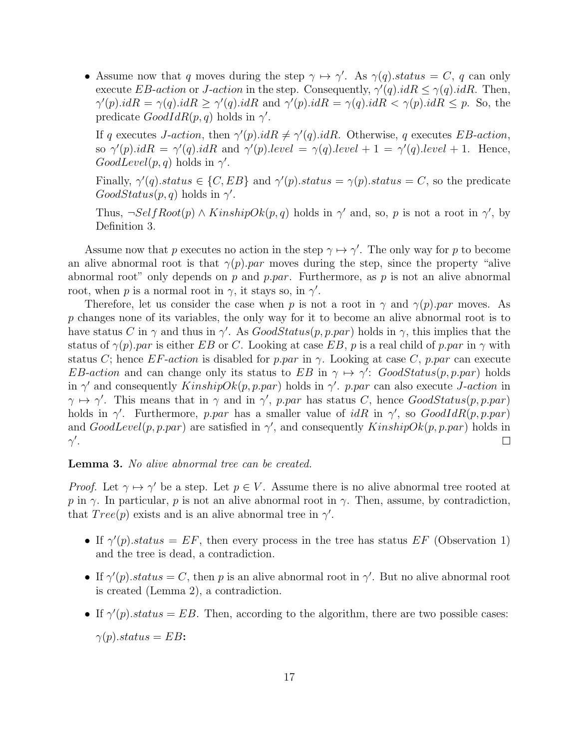• Assume now that q moves during the step  $\gamma \mapsto \gamma'$ . As  $\gamma(q)$  status = C, q can only execute EB-action or J-action in the step. Consequently,  $\gamma'(q).idR \leq \gamma(q).idR$ . Then,  $\gamma'(p).idR = \gamma(q).idR \geq \gamma'(q).idR$  and  $\gamma'(p).idR = \gamma(q).idR < \gamma(p).idR \leq p$ . So, the predicate  $GoodIdR(p, q)$  holds in  $\gamma'$ .

If q executes *J-action*, then  $\gamma'(p).idR \neq \gamma'(q).idR$ . Otherwise, q executes *EB-action*, so  $\gamma'(p).idR = \gamma'(q).idR$  and  $\gamma'(p).level = \gamma(q).level + 1 = \gamma'(q).level + 1. Hence,$  $GoodLevel(p, q)$  holds in  $\gamma'$ .

Finally,  $\gamma'(q)$  status  $\in \{C, EB\}$  and  $\gamma'(p)$  status  $= \gamma(p)$  status  $= C$ , so the predicate  $GoodStatus(p, q)$  holds in  $\gamma'$ .

Thus,  $\neg SelfRoot(p) \land KinshipOk(p,q)$  holds in  $\gamma'$  and, so, p is not a root in  $\gamma'$ , by Definition 3.

Assume now that p executes no action in the step  $\gamma \mapsto \gamma'$ . The only way for p to become an alive abnormal root is that  $\gamma(p)$ .par moves during the step, since the property "alive abnormal root" only depends on p and p.par. Furthermore, as p is not an alive abnormal root, when p is a normal root in  $\gamma$ , it stays so, in  $\gamma'$ .

Therefore, let us consider the case when p is not a root in  $\gamma$  and  $\gamma(p)$ . par moves. As p changes none of its variables, the only way for it to become an alive abnormal root is to have status C in  $\gamma$  and thus in  $\gamma'$ . As  $GoodStatus(p, p, par)$  holds in  $\gamma$ , this implies that the status of  $\gamma(p)$ .par is either EB or C. Looking at case EB, p is a real child of p.par in  $\gamma$  with status C; hence  $EF\text{-action}$  is disabled for p.par in  $\gamma$ . Looking at case C, p.par can execute EB-action and can change only its status to EB in  $\gamma \mapsto \gamma'$ : GoodStatus(p, p.par) holds in  $\gamma'$  and consequently  $KinshipOk(p, p, par)$  holds in  $\gamma'$ . p.par can also execute *J*-action in  $\gamma \mapsto \gamma'$ . This means that in  $\gamma$  and in  $\gamma'$ , p.par has status C, hence GoodStatus(p, p.par) holds in  $\gamma'$ . Furthermore, p.par has a smaller value of idR in  $\gamma'$ , so  $GoodIdR(p, p, par)$ and  $GoodLevel(p, p, par)$  are satisfied in  $\gamma'$ , and consequently  $KinshipOk(p, p, par)$  holds in  $\gamma'$ .  $\Box$ 

#### Lemma 3. No alive abnormal tree can be created.

*Proof.* Let  $\gamma \mapsto \gamma'$  be a step. Let  $p \in V$ . Assume there is no alive abnormal tree rooted at p in γ. In particular, p is not an alive abnormal root in γ. Then, assume, by contradiction, that  $Tree(p)$  exists and is an alive abnormal tree in  $\gamma'$ .

- If  $\gamma'(p)$  status = EF, then every process in the tree has status EF (Observation 1) and the tree is dead, a contradiction.
- If  $\gamma'(p)$  status = C, then p is an alive abnormal root in  $\gamma'$ . But no alive abnormal root is created (Lemma 2), a contradiction.
- If  $\gamma'(p)$  status = EB. Then, according to the algorithm, there are two possible cases:

 $\gamma(p).status = EB$ :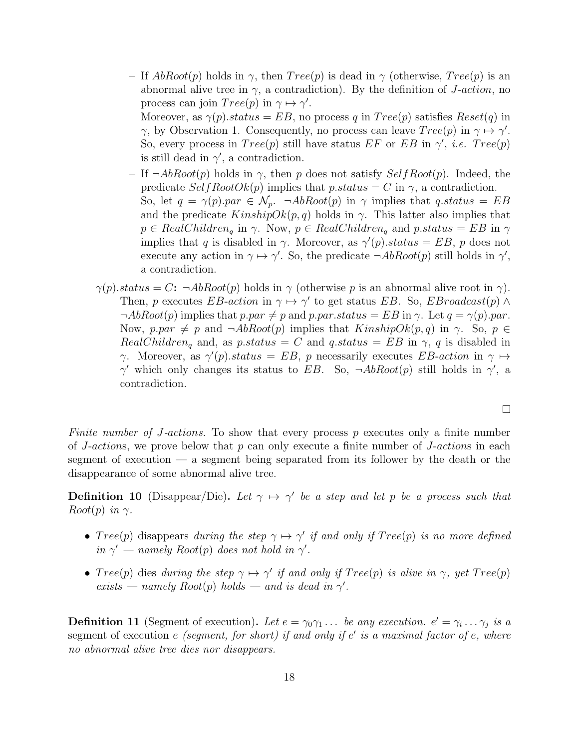– If  $AbRoot(p)$  holds in  $\gamma$ , then  $Tree(p)$  is dead in  $\gamma$  (otherwise,  $Tree(p)$  is an abnormal alive tree in  $\gamma$ , a contradiction). By the definition of *J*-action, no process can join  $Tree(p)$  in  $\gamma \mapsto \gamma'$ .

Moreover, as  $\gamma(p)$  status = EB, no process q in  $Tree(p)$  satisfies  $Reset(q)$  in  $\gamma$ , by Observation 1. Consequently, no process can leave  $Tree(p)$  in  $\gamma \mapsto \gamma'$ . So, every process in  $Tree(p)$  still have status  $EF$  or  $EB$  in  $\gamma'$ , *i.e.*  $Tree(p)$ is still dead in  $\gamma'$ , a contradiction.

- If  $\neg AbRoot(p)$  holds in  $\gamma$ , then p does not satisfy  $SelfRoot(p)$ . Indeed, the predicate  $SelfRootOk(p)$  implies that p.status = C in  $\gamma$ , a contradiction. So, let  $q = \gamma(p)$  par  $\in \mathcal{N}_p$ .  $\neg AbRoot(p)$  in  $\gamma$  implies that q status = EB and the predicate  $KinshipOk(p, q)$  holds in  $\gamma$ . This latter also implies that  $p \in RealChildren_q$  in  $\gamma$ . Now,  $p \in RealChildren_q$  and  $p\_status = EB$  in  $\gamma$ implies that q is disabled in  $\gamma$ . Moreover, as  $\gamma'(p)$ .status = EB, p does not execute any action in  $\gamma \mapsto \gamma'$ . So, the predicate  $\neg AbRoot(p)$  still holds in  $\gamma'$ , a contradiction.
- $\gamma(p)$ .status = C:  $\neg AbRoot(p)$  holds in  $\gamma$  (otherwise p is an abnormal alive root in  $\gamma$ ). Then, p executes EB-action in  $\gamma \mapsto \gamma'$  to get status EB. So, EBroadcast(p)  $\wedge$  $\neg AbRoot(p)$  implies that p.par  $\neq p$  and p.par.status = EB in  $\gamma$ . Let  $q = \gamma(p)$ .par. Now, p.par  $\neq p$  and  $\neg AbRoot(p)$  implies that  $KinshipOk(p, q)$  in  $\gamma$ . So,  $p \in$  $RealChildren<sub>q</sub>$  and, as p.status = C and q.status = EB in  $\gamma$ , q is disabled in  $\gamma$ . Moreover, as  $\gamma'(p)$ .status = EB, p necessarily executes EB-action in  $\gamma \mapsto$  $\gamma'$  which only changes its status to EB. So,  $\neg AbRoot(p)$  still holds in  $\gamma'$ , a contradiction.

 $\Box$ 

Finite number of J-actions. To show that every process p executes only a finite number of J-actions, we prove below that  $p$  can only execute a finite number of J-actions in each segment of execution — a segment being separated from its follower by the death or the disappearance of some abnormal alive tree.

**Definition 10** (Disappear/Die). Let  $\gamma \mapsto \gamma'$  be a step and let p be a process such that  $Root(p)$  in  $\gamma$ .

- $Tree(p)$  disappears during the step  $\gamma \mapsto \gamma'$  if and only if  $Tree(p)$  is no more defined in  $\gamma'$  – namely Root(p) does not hold in  $\gamma'$ .
- $Tree(p)$  dies during the step  $\gamma \mapsto \gamma'$  if and only if  $Tree(p)$  is alive in  $\gamma$ , yet  $Tree(p)$ exists — namely  $Root(p)$  holds — and is dead in  $\gamma'$ .

**Definition 11** (Segment of execution). Let  $e = \gamma_0 \gamma_1 ...$  be any execution.  $e' = \gamma_i ... \gamma_j$  is a segment of execution  $e$  (segment, for short) if and only if  $e'$  is a maximal factor of  $e$ , where no abnormal alive tree dies nor disappears.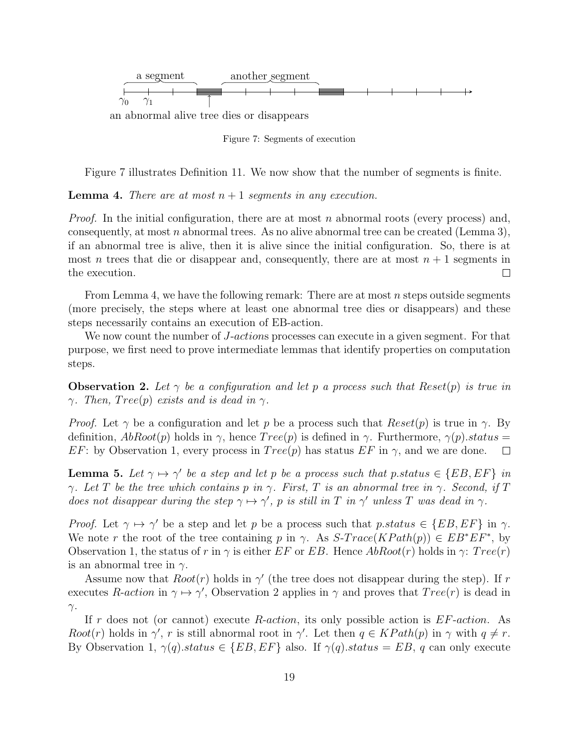

Figure 7: Segments of execution

Figure 7 illustrates Definition 11. We now show that the number of segments is finite.

**Lemma 4.** There are at most  $n + 1$  segments in any execution.

*Proof.* In the initial configuration, there are at most n abnormal roots (every process) and, consequently, at most n abnormal trees. As no alive abnormal tree can be created (Lemma 3), if an abnormal tree is alive, then it is alive since the initial configuration. So, there is at most *n* trees that die or disappear and, consequently, there are at most  $n + 1$  segments in the execution.  $\Box$ 

From Lemma 4, we have the following remark: There are at most n steps outside segments (more precisely, the steps where at least one abnormal tree dies or disappears) and these steps necessarily contains an execution of EB-action.

We now count the number of *J-actions* processes can execute in a given segment. For that purpose, we first need to prove intermediate lemmas that identify properties on computation steps.

**Observation 2.** Let  $\gamma$  be a configuration and let p a process such that Reset(p) is true in  $\gamma$ . Then, Tree(p) exists and is dead in  $\gamma$ .

*Proof.* Let  $\gamma$  be a configuration and let p be a process such that  $Reset(p)$  is true in  $\gamma$ . By definition,  $AbRoot(p)$  holds in  $\gamma$ , hence  $Tree(p)$  is defined in  $\gamma$ . Furthermore,  $\gamma(p)$ .status = EF: by Observation 1, every process in  $Tree(p)$  has status EF in  $\gamma$ , and we are done.  $\Box$ 

**Lemma 5.** Let  $\gamma \mapsto \gamma'$  be a step and let p be a process such that p.status  $\in \{EB, EF\}$  in  $\gamma$ . Let T be the tree which contains p in  $\gamma$ . First, T is an abnormal tree in  $\gamma$ . Second, if T does not disappear during the step  $\gamma \mapsto \gamma'$ , p is still in T in  $\gamma'$  unless T was dead in  $\gamma$ .

*Proof.* Let  $\gamma \mapsto \gamma'$  be a step and let p be a process such that p.status  $\in \{EB, EF\}$  in  $\gamma$ . We note r the root of the tree containing p in  $\gamma$ . As  $S\text{-}Trace(KPath(p)) \in EB^*EF^*$ , by Observation 1, the status of r in  $\gamma$  is either EF or EB. Hence  $AbRoot(r)$  holds in  $\gamma$ :  $Tree(r)$ is an abnormal tree in  $\gamma$ .

Assume now that  $Root(r)$  holds in  $\gamma'$  (the tree does not disappear during the step). If r executes R-action in  $\gamma \mapsto \gamma'$ , Observation 2 applies in  $\gamma$  and proves that  $Tree(r)$  is dead in  $γ.$ 

If r does not (or cannot) execute R-action, its only possible action is  $EF\text{-action}$ . As Root(r) holds in  $\gamma'$ , r is still abnormal root in  $\gamma'$ . Let then  $q \in KPath(p)$  in  $\gamma$  with  $q \neq r$ . By Observation 1,  $\gamma(q)$ .status  $\in$  {EB, EF} also. If  $\gamma(q)$ .status = EB, q can only execute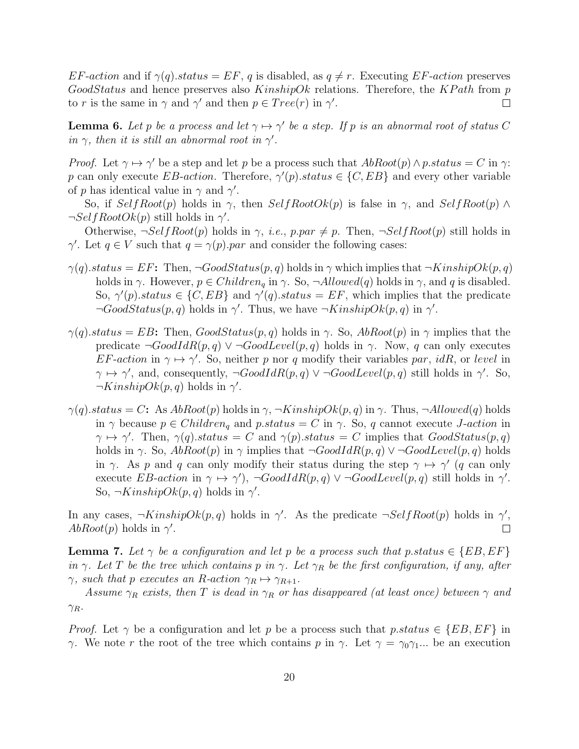$EF\text{-}action$  and if  $\gamma(q)\text{-}status = EF$ , q is disabled, as  $q \neq r$ . Executing EF-action preserves  $Good Status$  and hence preserves also  $KinshipOk$  relations. Therefore, the  $KPath$  from p to r is the same in  $\gamma$  and  $\gamma'$  and then  $p \in Tree(r)$  in  $\gamma'$ .  $\Box$ 

**Lemma 6.** Let p be a process and let  $\gamma \mapsto \gamma'$  be a step. If p is an abnormal root of status C in  $\gamma$ , then it is still an abnormal root in  $\gamma'$ .

*Proof.* Let  $\gamma \mapsto \gamma'$  be a step and let p be a process such that  $AbRoot(p) \wedge p status = C$  in  $\gamma$ : p can only execute EB-action. Therefore,  $\gamma'(p)$  status  $\in \{C, EB\}$  and every other variable of p has identical value in  $\gamma$  and  $\gamma'$ .

So, if  $SelfRoot(p)$  holds in  $\gamma$ , then  $SelfRootOk(p)$  is false in  $\gamma$ , and  $SelfRoot(p) \wedge$  $\neg SelfRootOk(p)$  still holds in  $\gamma'$ .

Otherwise,  $\neg SelfRoot(p)$  holds in  $\gamma$ , *i.e.*,  $p, par \neq p$ . Then,  $\neg SelfRoot(p)$  still holds in  $\gamma'$ . Let  $q \in V$  such that  $q = \gamma(p)$  par and consider the following cases:

- $\gamma(q)$ .status = EF: Then,  $\neg GoodStatus(p, q)$  holds in  $\gamma$  which implies that  $\neg KinshipOk(p, q)$ holds in  $\gamma$ . However,  $p \in Children_q$  in  $\gamma$ . So,  $\neg Allowed(q)$  holds in  $\gamma$ , and q is disabled. So,  $\gamma'(p)$ .status  $\in \{C, EB\}$  and  $\gamma'(q)$ .status = EF, which implies that the predicate  $\neg GoodStatus(p, q)$  holds in  $\gamma'$ . Thus, we have  $\neg KinshipOk(p, q)$  in  $\gamma'$ .
- $\gamma(q)$ .status = EB: Then, GoodStatus $(p, q)$  holds in  $\gamma$ . So, AbRoot $(p)$  in  $\gamma$  implies that the predicate  $\neg GoodIdR(p, q) \vee \neg GoodLevel(p, q)$  holds in  $\gamma$ . Now, q can only executes EF-action in  $\gamma \mapsto \gamma'$ . So, neither p nor q modify their variables par, idR, or level in  $\gamma \mapsto \gamma'$ , and, consequently,  $\neg GoodIdR(p, q) \vee \neg GoodLevel(p, q)$  still holds in  $\gamma'$ . So,  $\neg KinshipOk(p, q)$  holds in  $\gamma'$ .
- $\gamma(q)$ .status = C: As  $AbRoot(p)$  holds in  $\gamma$ ,  $\neg KinshipOk(p, q)$  in  $\gamma$ . Thus,  $\neg Allowed(q)$  holds in  $\gamma$  because  $p \in Children_q$  and  $p\_status = C$  in  $\gamma$ . So, q cannot execute *J*-action in  $\gamma \mapsto \gamma'$ . Then,  $\gamma(q)$  status = C and  $\gamma(p)$  status = C implies that  $GoodStatus(p, q)$ holds in  $\gamma$ . So,  $AbRoot(p)$  in  $\gamma$  implies that  $\neg GoodIdR(p,q) \vee \neg GoodLevel(p,q)$  holds in γ. As p and q can only modify their status during the step  $\gamma \mapsto \gamma'$  (q can only execute EB-action in  $\gamma \mapsto \gamma'$ ,  $\neg GoodIdR(p,q) \vee \neg GoodLevel(p,q)$  still holds in  $\gamma'$ . So,  $\neg KinshipOk(p, q)$  holds in  $\gamma'$ .

In any cases,  $\neg KinshipOk(p, q)$  holds in  $\gamma'$ . As the predicate  $\neg SelfRoot(p)$  holds in  $\gamma'$ ,  $AbRoot(p)$  holds in  $\gamma'$ .  $\Box$ 

**Lemma 7.** Let  $\gamma$  be a configuration and let p be a process such that p.status  $\in \{EB, EF\}$ in γ. Let T be the tree which contains p in γ. Let  $\gamma_R$  be the first configuration, if any, after  $\gamma$ , such that p executes an R-action  $\gamma_R \mapsto \gamma_{R+1}$ .

Assume  $\gamma_R$  exists, then T is dead in  $\gamma_R$  or has disappeared (at least once) between  $\gamma$  and  $\gamma_R$ .

*Proof.* Let  $\gamma$  be a configuration and let p be a process such that p.status  $\in \{EB, EF\}$  in γ. We note r the root of the tree which contains p in γ. Let  $\gamma = \gamma_0 \gamma_1 ...$  be an execution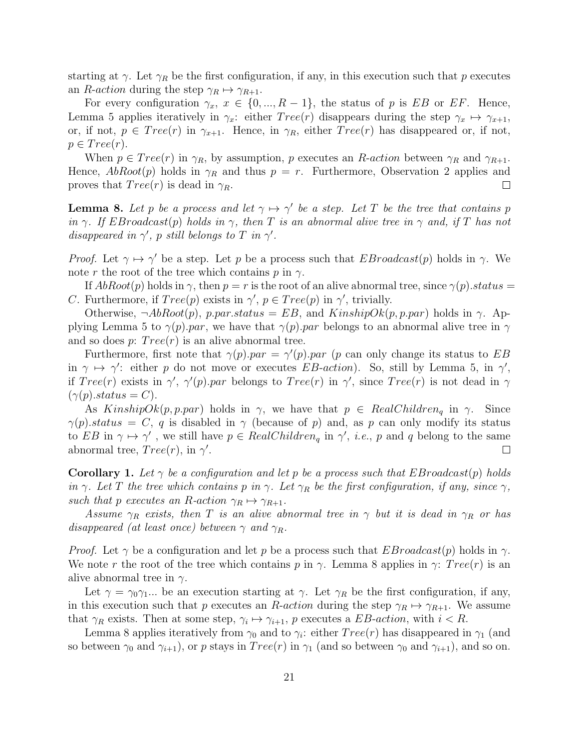starting at  $\gamma$ . Let  $\gamma_R$  be the first configuration, if any, in this execution such that p executes an *R*-*action* during the step  $\gamma_R \mapsto \gamma_{R+1}$ .

For every configuration  $\gamma_x, x \in \{0, ..., R-1\}$ , the status of p is EB or EF. Hence, Lemma 5 applies iteratively in  $\gamma_x$ : either  $Tree(r)$  disappears during the step  $\gamma_x \mapsto \gamma_{x+1}$ , or, if not,  $p \in Tree(r)$  in  $\gamma_{x+1}$ . Hence, in  $\gamma_R$ , either  $Tree(r)$  has disappeared or, if not,  $p \in Tree(r).$ 

When  $p \in Tree(r)$  in  $\gamma_R$ , by assumption, p executes an R-action between  $\gamma_R$  and  $\gamma_{R+1}$ . Hence,  $AbRoot(p)$  holds in  $\gamma_R$  and thus  $p = r$ . Furthermore, Observation 2 applies and proves that  $Tree(r)$  is dead in  $\gamma_R$ .  $\Box$ 

**Lemma 8.** Let p be a process and let  $\gamma \mapsto \gamma'$  be a step. Let T be the tree that contains p in  $\gamma$ . If EBroadcast(p) holds in  $\gamma$ , then T is an abnormal alive tree in  $\gamma$  and, if T has not disappeared in  $\gamma'$ , p still belongs to T in  $\gamma'$ .

*Proof.* Let  $\gamma \mapsto \gamma'$  be a step. Let p be a process such that  $EBroadcast(p)$  holds in  $\gamma$ . We note r the root of the tree which contains p in  $\gamma$ .

If  $AbRoot(p)$  holds in  $\gamma$ , then  $p = r$  is the root of an alive abnormal tree, since  $\gamma(p)$ . status = C. Furthermore, if  $Tree(p)$  exists in  $\gamma'$ ,  $p \in Tree(p)$  in  $\gamma'$ , trivially.

Otherwise,  $\neg AbRoot(p)$ , p.par.status = EB, and KinshipOk(p, p.par) holds in  $\gamma$ . Applying Lemma 5 to  $\gamma(p)$ .par, we have that  $\gamma(p)$ .par belongs to an abnormal alive tree in  $\gamma$ and so does  $p: Tree(r)$  is an alive abnormal tree.

Furthermore, first note that  $\gamma(p)$  par =  $\gamma'(p)$  par (p can only change its status to EB in  $\gamma \mapsto \gamma'$ : either p do not move or executes EB-action). So, still by Lemma 5, in  $\gamma'$ , if  $Tree(r)$  exists in  $\gamma'$ ,  $\gamma'(p)$  par belongs to  $Tree(r)$  in  $\gamma'$ , since  $Tree(r)$  is not dead in  $\gamma$  $(\gamma(p).status = C).$ 

As  $KinshipOk(p, p, par)$  holds in  $\gamma$ , we have that  $p \in RealChildren_q$  in  $\gamma$ . Since  $\gamma(p)$ .status = C, q is disabled in  $\gamma$  (because of p) and, as p can only modify its status to EB in  $\gamma \mapsto \gamma'$ , we still have  $p \in RealChildren_q$  in  $\gamma'$ , *i.e.*, p and q belong to the same abnormal tree,  $Tree(r)$ , in  $\gamma'$ .  $\Box$ 

**Corollary 1.** Let  $\gamma$  be a configuration and let p be a process such that EBroadcast(p) holds in  $\gamma$ . Let T the tree which contains p in  $\gamma$ . Let  $\gamma_R$  be the first configuration, if any, since  $\gamma$ , such that p executes an R-action  $\gamma_R \mapsto \gamma_{R+1}$ .

Assume  $\gamma_R$  exists, then T is an alive abnormal tree in  $\gamma$  but it is dead in  $\gamma_R$  or has disappeared (at least once) between  $\gamma$  and  $\gamma_R$ .

*Proof.* Let  $\gamma$  be a configuration and let p be a process such that  $E_{\text{Broadcast}}(p)$  holds in  $\gamma$ . We note r the root of the tree which contains p in  $\gamma$ . Lemma 8 applies in  $\gamma$ : Tree(r) is an alive abnormal tree in  $\gamma$ .

Let  $\gamma = \gamma_0 \gamma_1 ...$  be an execution starting at  $\gamma$ . Let  $\gamma_R$  be the first configuration, if any, in this execution such that p executes an R-action during the step  $\gamma_R \mapsto \gamma_{R+1}$ . We assume that  $\gamma_R$  exists. Then at some step,  $\gamma_i \mapsto \gamma_{i+1}$ , p executes a *EB*-action, with  $i < R$ .

Lemma 8 applies iteratively from  $\gamma_0$  and to  $\gamma_i$ : either  $Tree(r)$  has disappeared in  $\gamma_1$  (and so between  $\gamma_0$  and  $\gamma_{i+1}$ , or p stays in  $Tree(r)$  in  $\gamma_1$  (and so between  $\gamma_0$  and  $\gamma_{i+1}$ ), and so on.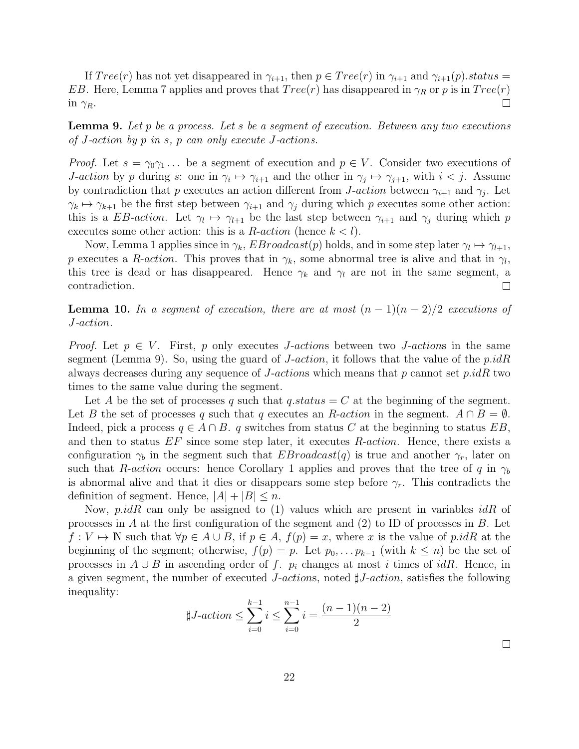If  $Tree(r)$  has not yet disappeared in  $\gamma_{i+1}$ , then  $p \in Tree(r)$  in  $\gamma_{i+1}$  and  $\gamma_{i+1}(p).status =$ EB. Here, Lemma 7 applies and proves that  $Tree(r)$  has disappeared in  $\gamma_R$  or p is in  $Tree(r)$  $\Box$ in  $\gamma_R$ .

**Lemma 9.** Let p be a process. Let s be a segment of execution. Between any two executions of J-action by p in s, p can only execute J-actions.

*Proof.* Let  $s = \gamma_0 \gamma_1 \dots$  be a segment of execution and  $p \in V$ . Consider two executions of *J-action* by p during s: one in  $\gamma_i \mapsto \gamma_{i+1}$  and the other in  $\gamma_j \mapsto \gamma_{j+1}$ , with  $i < j$ . Assume by contradiction that p executes an action different from J-action between  $\gamma_{i+1}$  and  $\gamma_j$ . Let  $\gamma_k \mapsto \gamma_{k+1}$  be the first step between  $\gamma_{i+1}$  and  $\gamma_i$  during which p executes some other action: this is a EB-action. Let  $\gamma_l \mapsto \gamma_{l+1}$  be the last step between  $\gamma_{i+1}$  and  $\gamma_j$  during which p executes some other action: this is a *R-action* (hence  $k < l$ ).

Now, Lemma 1 applies since in  $\gamma_k$ ,  $EBroadcast(p)$  holds, and in some step later  $\gamma_l \mapsto \gamma_{l+1}$ , p executes a R-action. This proves that in  $\gamma_k$ , some abnormal tree is alive and that in  $\gamma_l$ , this tree is dead or has disappeared. Hence  $\gamma_k$  and  $\gamma_l$  are not in the same segment, a contradiction.  $\Box$ 

**Lemma 10.** In a segment of execution, there are at most  $(n-1)(n-2)/2$  executions of J-action.

*Proof.* Let  $p \in V$ . First, p only executes *J-actions* between two *J-actions* in the same segment (Lemma 9). So, using the guard of  $J\text{-action}$ , it follows that the value of the  $p.idR$ always decreases during any sequence of *J-actions* which means that p cannot set  $p.idR$  two times to the same value during the segment.

Let A be the set of processes q such that  $q\:$ status  $= C$  at the beginning of the segment. Let B the set of processes q such that q executes an R-action in the segment.  $A \cap B = \emptyset$ . Indeed, pick a process  $q \in A \cap B$ . q switches from status C at the beginning to status EB, and then to status  $EF$  since some step later, it executes  $R\text{-action}$ . Hence, there exists a configuration  $\gamma_b$  in the segment such that  $E Broadcast(q)$  is true and another  $\gamma_r$ , later on such that R-action occurs: hence Corollary 1 applies and proves that the tree of q in  $\gamma_b$ is abnormal alive and that it dies or disappears some step before  $\gamma_r$ . This contradicts the definition of segment. Hence,  $|A| + |B| \leq n$ .

Now, p.idR can only be assigned to (1) values which are present in variables  $idR$  of processes in A at the first configuration of the segment and  $(2)$  to ID of processes in B. Let  $f: V \mapsto \mathbb{N}$  such that  $\forall p \in A \cup B$ , if  $p \in A$ ,  $f(p) = x$ , where x is the value of p.idR at the beginning of the segment; otherwise,  $f(p) = p$ . Let  $p_0, \ldots, p_{k-1}$  (with  $k \leq n$ ) be the set of processes in  $A \cup B$  in ascending order of f.  $p_i$  changes at most i times of idR. Hence, in a given segment, the number of executed *J*-actions, noted  $\sharp J\text{-action}$ , satisfies the following inequality:

$$
\sharp J\text{-action} \le \sum_{i=0}^{k-1} i \le \sum_{i=0}^{n-1} i = \frac{(n-1)(n-2)}{2}
$$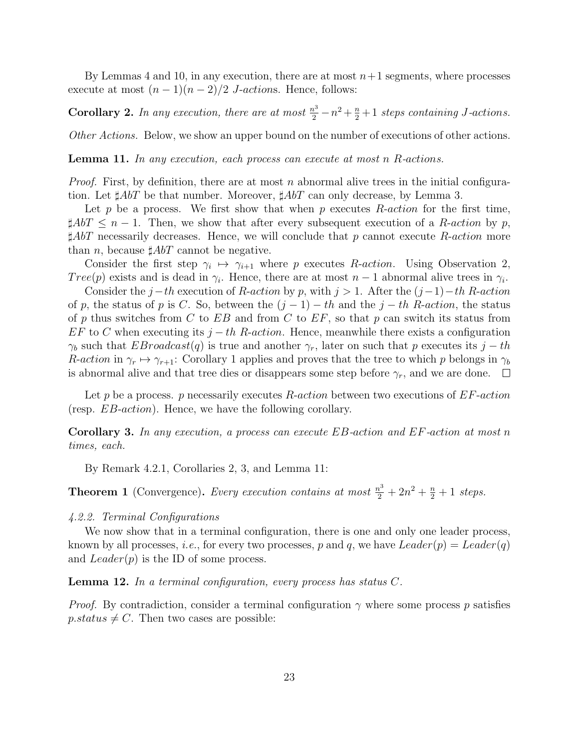By Lemmas 4 and 10, in any execution, there are at most  $n+1$  segments, where processes execute at most  $(n-1)(n-2)/2$  *J*-actions. Hence, follows:

**Corollary 2.** In any execution, there are at most  $\frac{n^3}{2} - n^2 + \frac{n}{2} + 1$  steps containing J-actions.

Other Actions. Below, we show an upper bound on the number of executions of other actions.

Lemma 11. In any execution, each process can execute at most n R-actions.

*Proof.* First, by definition, there are at most n abnormal alive trees in the initial configuration. Let  $\sharp AbT$  be that number. Moreover,  $\sharp AbT$  can only decrease, by Lemma 3.

Let p be a process. We first show that when p executes  $R\text{-}action$  for the first time,  $\sharp AbT \leq n-1$ . Then, we show that after every subsequent execution of a R-action by p,  $\sharp AbT$  necessarily decreases. Hence, we will conclude that p cannot execute R-action more than *n*, because  $\sharp AbT$  cannot be negative.

Consider the first step  $\gamma_i \mapsto \gamma_{i+1}$  where p executes R-action. Using Observation 2, Tree(p) exists and is dead in  $\gamma_i$ . Hence, there are at most  $n-1$  abnormal alive trees in  $\gamma_i$ .

Consider the  $j-th$  execution of R-action by p, with  $j > 1$ . After the  $(j-1)-th$  R-action of p, the status of p is C. So, between the  $(j-1) - th$  and the  $j-th$  R-action, the status of p thus switches from C to  $EB$  and from C to  $EF$ , so that p can switch its status from  $EF$  to C when executing its  $j-th$  R-action. Hence, meanwhile there exists a configuration  $\gamma_b$  such that EBroadcast(q) is true and another  $\gamma_r$ , later on such that p executes its j – th R-action in  $\gamma_r \mapsto \gamma_{r+1}$ : Corollary 1 applies and proves that the tree to which p belongs in  $\gamma_b$ is abnormal alive and that tree dies or disappears some step before  $\gamma_r$ , and we are done.  $\Box$ 

Let p be a process. p necessarily executes  $R\text{-action}$  between two executions of  $EF\text{-action}$ (resp. EB-action). Hence, we have the following corollary.

Corollary 3. In any execution, a process can execute EB-action and EF-action at most n times, each.

By Remark 4.2.1, Corollaries 2, 3, and Lemma 11:

**Theorem 1** (Convergence). Every execution contains at most  $\frac{n^3}{2} + 2n^2 + \frac{n}{2} + 1$  steps.

#### 4.2.2. Terminal Configurations

We now show that in a terminal configuration, there is one and only one leader process, known by all processes, *i.e.*, for every two processes, p and q, we have  $Leader(p) = Leader(q)$ and  $Leader(p)$  is the ID of some process.

**Lemma 12.** In a terminal configuration, every process has status  $C$ .

*Proof.* By contradiction, consider a terminal configuration  $\gamma$  where some process p satisfies  $p\_status \neq C$ . Then two cases are possible: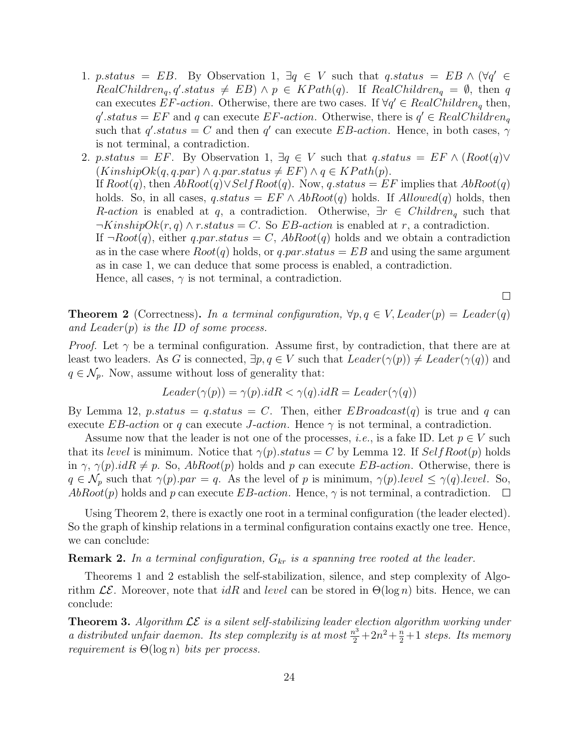- 1. p.status = EB. By Observation 1,  $\exists q \in V$  such that q.status = EB  $\wedge (\forall q' \in V)$  $RealChildren_q, q'.status \neq EB) \land p \in KPath(q).$  If  $RealChildren_q = \emptyset$ , then q can executes EF-action. Otherwise, there are two cases. If  $\forall q' \in RealChildren_q$  then,  $q'.status = EF$  and q can execute  $EF\text{-action}$ . Otherwise, there is  $q' \in RealChildren_q$ such that  $q'$  status = C and then  $q'$  can execute EB-action. Hence, in both cases,  $\gamma$ is not terminal, a contradiction.
- 2. p.status = EF. By Observation 1,  $\exists q \in V$  such that  $q\_status = EF \wedge (Root(q) \vee$  $(KinshipOk(q,q.par) \land q.par.status \neq EF) \land q \in KPath(p).$ If  $Root(q)$ , then  $Abboot(q) \vee SelfRoot(q)$ . Now, q.status = EF implies that  $Abboot(q)$ holds. So, in all cases,  $q.\text{status} = EF \land \text{AbRoot}(q)$  holds. If  $\text{Allowed}(q)$  holds, then R-action is enabled at q, a contradiction. Otherwise,  $\exists r \in Children_q$  such that  $\neg KinshipOk(r, q) \wedge r. status = C.$  So *EB*-action is enabled at r, a contradiction. If  $\neg Root(q)$ , either q.par.status = C,  $AbRoot(q)$  holds and we obtain a contradiction as in the case where  $Root(q)$  holds, or q.par.status = EB and using the same argument as in case 1, we can deduce that some process is enabled, a contradiction. Hence, all cases,  $\gamma$  is not terminal, a contradiction.

 $\Box$ 

**Theorem 2** (Correctness). In a terminal configuration,  $\forall p, q \in V$ , Leader $(p) = Leader(q)$ and Leader $(p)$  is the ID of some process.

*Proof.* Let  $\gamma$  be a terminal configuration. Assume first, by contradiction, that there are at least two leaders. As G is connected,  $\exists p, q \in V$  such that  $Leader(\gamma(p)) \neq Leader(\gamma(q))$  and  $q \in \mathcal{N}_p$ . Now, assume without loss of generality that:

$$
Leader(\gamma(p)) = \gamma(p).idR < \gamma(q).idR = Leader(\gamma(q))
$$

By Lemma 12, p.status = q.status = C. Then, either  $E_{\text{Broadcast}}(q)$  is true and q can execute EB-action or q can execute J-action. Hence  $\gamma$  is not terminal, a contradiction.

Assume now that the leader is not one of the processes, *i.e.*, is a fake ID. Let  $p \in V$  such that its level is minimum. Notice that  $\gamma(p)$  status = C by Lemma 12. If SelfRoot(p) holds in  $\gamma$ ,  $\gamma(p).idR \neq p$ . So,  $AbRoot(p)$  holds and p can execute *EB-action*. Otherwise, there is  $q \in \mathcal{N}_p$  such that  $\gamma(p)$ .par = q. As the level of p is minimum,  $\gamma(p)$ .level  $\leq \gamma(q)$ .level. So,  $AbRoot(p)$  holds and p can execute  $EB-action$ . Hence,  $\gamma$  is not terminal, a contradiction.  $\Box$ 

Using Theorem 2, there is exactly one root in a terminal configuration (the leader elected). So the graph of kinship relations in a terminal configuration contains exactly one tree. Hence, we can conclude:

#### **Remark 2.** In a terminal configuration,  $G_{kr}$  is a spanning tree rooted at the leader.

Theorems 1 and 2 establish the self-stabilization, silence, and step complexity of Algorithm  $\mathcal{LE}$ . Moreover, note that idR and level can be stored in  $\Theta(\log n)$  bits. Hence, we can conclude:

**Theorem 3.** Algorithm  $\mathcal{LE}$  is a silent self-stabilizing leader election algorithm working under a distributed unfair daemon. Its step complexity is at most  $\frac{n^3}{2} + 2n^2 + \frac{n}{2} + 1$  steps. Its memory requirement is  $\Theta(\log n)$  bits per process.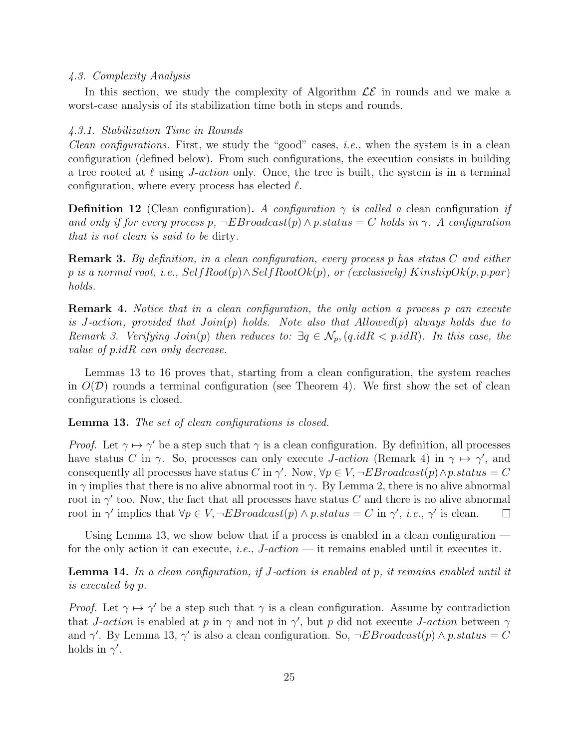#### 4.3. Complexity Analysis

In this section, we study the complexity of Algorithm  $\mathcal{LE}$  in rounds and we make a worst-case analysis of its stabilization time both in steps and rounds.

#### 4.3.1. Stabilization Time in Rounds

*Clean configurations.* First, we study the "good" cases, *i.e.*, when the system is in a clean configuration (defined below). From such configurations, the execution consists in building a tree rooted at  $\ell$  using *J-action* only. Once, the tree is built, the system is in a terminal configuration, where every process has elected  $\ell$ .

**Definition 12** (Clean configuration). A configuration  $\gamma$  is called a clean configuration if and only if for every process  $p, \neg EBroadcast(p) \wedge p status = C$  holds in  $\gamma$ . A configuration that is not clean is said to be dirty.

Remark 3. By definition, in a clean configuration, every process p has status C and either p is a normal root, i.e.,  $SelfRoot(p) \wedge SelfRoot(p)$ , or (exclusively) KinshipOk(p, p.par) holds.

Remark 4. Notice that in a clean configuration, the only action a process p can execute is J-action, provided that  $Join(p)$  holds. Note also that  $Allowed(p)$  always holds due to Remark 3. Verifying  $Join(p)$  then reduces to:  $\exists q \in \mathcal{N}_p$ ,  $(q.id R < p.id R)$ . In this case, the value of p.idR can only decrease.

Lemmas 13 to 16 proves that, starting from a clean configuration, the system reaches in  $O(D)$  rounds a terminal configuration (see Theorem 4). We first show the set of clean configurations is closed.

Lemma 13. The set of clean configurations is closed.

*Proof.* Let  $\gamma \mapsto \gamma'$  be a step such that  $\gamma$  is a clean configuration. By definition, all processes have status C in  $\gamma$ . So, processes can only execute *J-action* (Remark 4) in  $\gamma \mapsto \gamma'$ , and consequently all processes have status C in  $\gamma'$ . Now,  $\forall p \in V, \neg EBroadcast(p) \land p.state = C$ in  $\gamma$  implies that there is no alive abnormal root in  $\gamma$ . By Lemma 2, there is no alive abnormal root in  $\gamma'$  too. Now, the fact that all processes have status C and there is no alive abnormal root in  $\gamma'$  implies that  $\forall p \in V, \neg EBroadcast(p) \land p.startus = C$  in  $\gamma', i.e., \gamma'$  is clean.  $\Box$ 

Using Lemma 13, we show below that if a process is enabled in a clean configuration  $$ for the only action it can execute, *i.e.*,  $J\text{-action}$  — it remains enabled until it executes it.

**Lemma 14.** In a clean configuration, if J-action is enabled at p, it remains enabled until it is executed by p.

*Proof.* Let  $\gamma \mapsto \gamma'$  be a step such that  $\gamma$  is a clean configuration. Assume by contradiction that *J-action* is enabled at p in  $\gamma$  and not in  $\gamma'$ , but p did not execute *J-action* between  $\gamma$ and  $\gamma'$ . By Lemma 13,  $\gamma'$  is also a clean configuration. So,  $\neg E Broadcast(p) \wedge p\_status = C$ holds in  $\gamma'$ .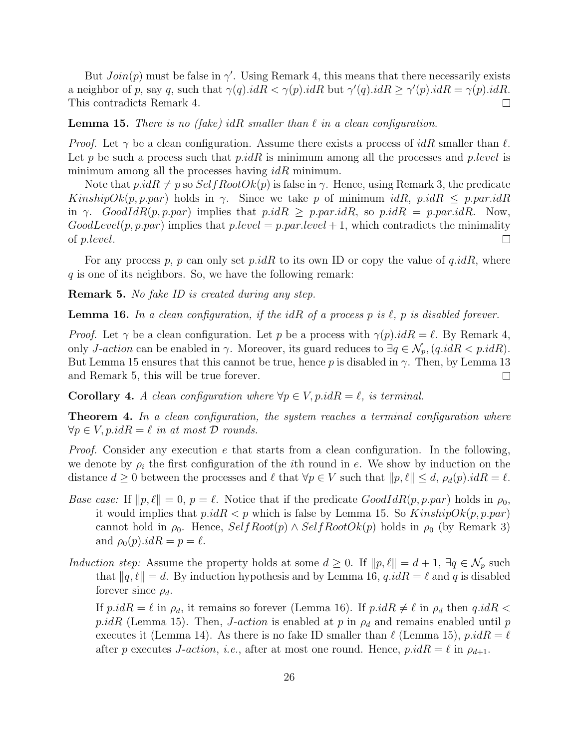But  $Join(p)$  must be false in  $\gamma'$ . Using Remark 4, this means that there necessarily exists a neighbor of p, say q, such that  $\gamma(q).idR < \gamma(p).idR$  but  $\gamma'(q).idR \geq \gamma'(p).idR = \gamma(p).idR$ . This contradicts Remark 4.  $\Box$ 

**Lemma 15.** There is no (fake) idR smaller than  $\ell$  in a clean configuration.

*Proof.* Let  $\gamma$  be a clean configuration. Assume there exists a process of idR smaller than  $\ell$ . Let p be such a process such that  $p.idR$  is minimum among all the processes and  $p-level$  is minimum among all the processes having  $idR$  minimum.

Note that  $p.idR \neq p$  so  $SelfRootOk(p)$  is false in  $\gamma$ . Hence, using Remark 3, the predicate KinshipOk(p, p.par) holds in γ. Since we take p of minimum idR, p.idR  $\leq$  p.par.idR in γ. GoodIdR(p, p.par) implies that  $p.idR \geq p.par.idR$ , so  $p.idR = p.par.idR$ . Now,  $GoodLevel(p, p, par)$  implies that  $p-level = p, par. level + 1$ , which contradicts the minimality of p.level.  $\Box$ 

For any process p, p can only set p.idR to its own ID or copy the value of  $q.idR$ , where  $q$  is one of its neighbors. So, we have the following remark:

Remark 5. No fake ID is created during any step.

**Lemma 16.** In a clean configuration, if the idR of a process p is  $\ell$ , p is disabled forever.

*Proof.* Let  $\gamma$  be a clean configuration. Let p be a process with  $\gamma(p).idR = \ell$ . By Remark 4, only *J-action* can be enabled in  $\gamma$ . Moreover, its guard reduces to  $\exists q \in \mathcal{N}_p$ ,  $(q.id R < p.id R)$ . But Lemma 15 ensures that this cannot be true, hence p is disabled in  $\gamma$ . Then, by Lemma 13 and Remark 5, this will be true forever.  $\Box$ 

**Corollary 4.** A clean configuration where  $\forall p \in V$ , p.id $R = \ell$ , is terminal.

**Theorem 4.** In a clean configuration, the system reaches a terminal configuration where  $\forall p \in V, p.idR = \ell$  in at most D rounds.

*Proof.* Consider any execution  $e$  that starts from a clean configuration. In the following, we denote by  $\rho_i$  the first configuration of the *i*th round in *e*. We show by induction on the distance  $d \geq 0$  between the processes and  $\ell$  that  $\forall p \in V$  such that  $||p, \ell|| \leq d$ ,  $\rho_d(p).idR = \ell$ .

- Base case: If  $\|p, \ell\| = 0$ ,  $p = \ell$ . Notice that if the predicate  $GoodIR(p, p, par)$  holds in  $\rho_0$ , it would implies that  $p.idR < p$  which is false by Lemma 15. So  $KinshipOk(p, p, par)$ cannot hold in  $\rho_0$ . Hence,  $SelfRoot(p) \wedge SelfRootOk(p)$  holds in  $\rho_0$  (by Remark 3) and  $\rho_0(p).idR = p = \ell$ .
- Induction step: Assume the property holds at some  $d \geq 0$ . If  $||p, \ell|| = d + 1$ ,  $\exists q \in \mathcal{N}_p$  such that  $||q, \ell|| = d$ . By induction hypothesis and by Lemma 16,  $q.idR = \ell$  and q is disabled forever since  $\rho_d$ .

If  $p.idR = \ell$  in  $\rho_d$ , it remains so forever (Lemma 16). If  $p.idR \neq \ell$  in  $\rho_d$  then  $q.idR <$ p.idR (Lemma 15). Then, *J-action* is enabled at p in  $\rho_d$  and remains enabled until p executes it (Lemma 14). As there is no fake ID smaller than  $\ell$  (Lemma 15), p.id $R = \ell$ after p executes J-action, i.e., after at most one round. Hence,  $p.idR = \ell$  in  $\rho_{d+1}$ .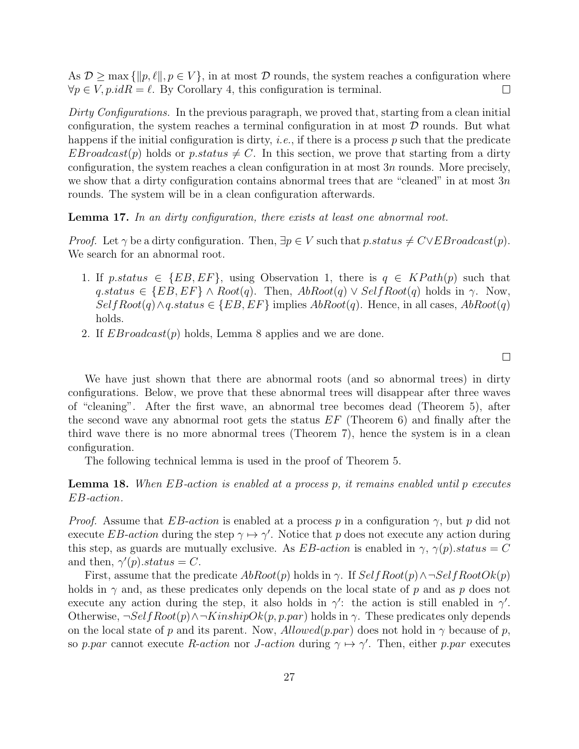As  $\mathcal{D} \geq \max \{\Vert p, \ell \Vert, p \in V\}$ , in at most  $\mathcal D$  rounds, the system reaches a configuration where  $\forall p \in V, p.idR = \ell$ . By Corollary 4, this configuration is terminal.  $\Box$ 

Dirty Configurations. In the previous paragraph, we proved that, starting from a clean initial configuration, the system reaches a terminal configuration in at most  $D$  rounds. But what happens if the initial configuration is dirty, *i.e.*, if there is a process  $p$  such that the predicate  $E Broadcast(p)$  holds or p.status  $\neq C$ . In this section, we prove that starting from a dirty configuration, the system reaches a clean configuration in at most  $3n$  rounds. More precisely, we show that a dirty configuration contains abnormal trees that are "cleaned" in at most  $3n$ rounds. The system will be in a clean configuration afterwards.

Lemma 17. In an dirty configuration, there exists at least one abnormal root.

*Proof.* Let  $\gamma$  be a dirty configuration. Then,  $\exists p \in V$  such that  $p\_status \neq C \vee EBroadcast(p)$ . We search for an abnormal root.

- 1. If p.status  $\in \{EB, EF\}$ , using Observation 1, there is  $q \in KPath(p)$  such that  $q.\text{status} \in \{EB, EF\} \land \text{Root}(q)$ . Then,  $\text{AbRoot}(q) \lor \text{SelfRoot}(q)$  holds in  $\gamma$ . Now,  $SelfRoot(q) \land q. status \in \{EB, EF\}$  implies  $AbRoot(q)$ . Hence, in all cases,  $AbRoot(q)$ holds.
- 2. If  $E Broadcast(p)$  holds, Lemma 8 applies and we are done.

 $\Box$ 

We have just shown that there are abnormal roots (and so abnormal trees) in dirty configurations. Below, we prove that these abnormal trees will disappear after three waves of "cleaning". After the first wave, an abnormal tree becomes dead (Theorem 5), after the second wave any abnormal root gets the status  $EF$  (Theorem 6) and finally after the third wave there is no more abnormal trees (Theorem 7), hence the system is in a clean configuration.

The following technical lemma is used in the proof of Theorem 5.

**Lemma 18.** When  $EB$ -action is enabled at a process p, it remains enabled until p executes EB-action.

*Proof.* Assume that EB-action is enabled at a process p in a configuration  $\gamma$ , but p did not execute EB-action during the step  $\gamma \mapsto \gamma'$ . Notice that p does not execute any action during this step, as guards are mutually exclusive. As  $EB\text{-action}$  is enabled in  $\gamma$ ,  $\gamma(p)\text{-}status = C$ and then,  $\gamma'(p).status = C$ .

First, assume that the predicate  $AbRoot(p)$  holds in  $\gamma$ . If  $SelfRoot(p) \wedge \neg SelfRootOk(p)$ holds in  $\gamma$  and, as these predicates only depends on the local state of p and as p does not execute any action during the step, it also holds in  $\gamma'$ : the action is still enabled in  $\gamma'$ . Otherwise,  $\neg SelfRoot(p) \land \neg KinshipOk(p, p, par)$  holds in  $\gamma$ . These predicates only depends on the local state of p and its parent. Now,  $Allowd(p, par)$  does not hold in  $\gamma$  because of p, so p.par cannot execute R-action nor J-action during  $\gamma \mapsto \gamma'$ . Then, either p.par executes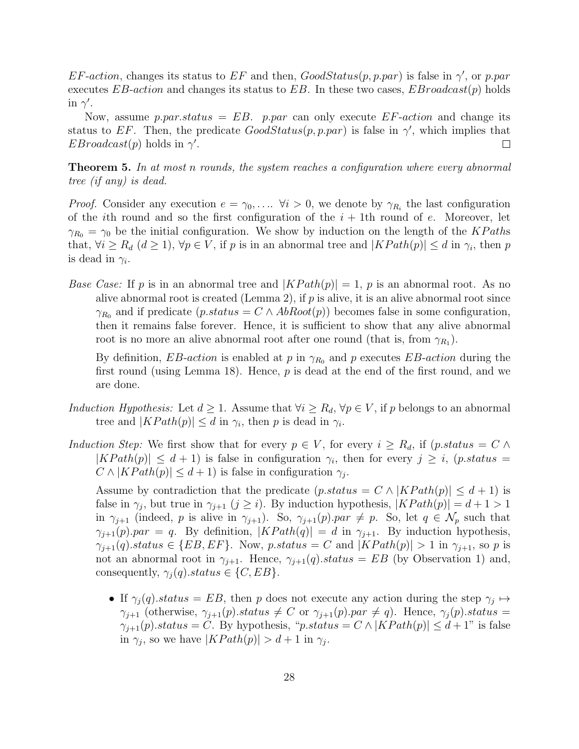EF-action, changes its status to EF and then,  $GoodStatus(p, p, par)$  is false in  $\gamma'$ , or p.par executes EB-action and changes its status to EB. In these two cases,  $E_{\text{Broadcast}(p)}$  holds in  $\gamma'$ .

Now, assume p.par.status = EB. p.par can only execute  $EF\text{-action}$  and change its status to EF. Then, the predicate  $GoodStatus(p, p, par)$  is false in  $\gamma'$ , which implies that  $EBroadcast(p)$  holds in  $\gamma'$ .  $\Box$ 

**Theorem 5.** In at most n rounds, the system reaches a configuration where every abnormal tree (if any) is dead.

*Proof.* Consider any execution  $e = \gamma_0, \ldots \forall i > 0$ , we denote by  $\gamma_{R_i}$  the last configuration of the *i*th round and so the first configuration of the  $i + 1$ th round of *e*. Moreover, let  $\gamma_{R_0} = \gamma_0$  be the initial configuration. We show by induction on the length of the KP aths that,  $\forall i \geq R_d \ (d \geq 1)$ ,  $\forall p \in V$ , if p is in an abnormal tree and  $|KPath(p)| \leq d$  in  $\gamma_i$ , then p is dead in  $\gamma_i$ .

*Base Case:* If p is in an abnormal tree and  $|KPath(p)| = 1$ , p is an abnormal root. As no alive abnormal root is created (Lemma 2), if  $p$  is alive, it is an alive abnormal root since  $\gamma_{R_0}$  and if predicate  $(p.status = C \land AbRoot(p))$  becomes false in some configuration, then it remains false forever. Hence, it is sufficient to show that any alive abnormal root is no more an alive abnormal root after one round (that is, from  $\gamma_{R_1}$ ).

By definition,  $EB\text{-}action$  is enabled at p in  $\gamma_{R_0}$  and p executes  $EB\text{-}action$  during the first round (using Lemma 18). Hence,  $p$  is dead at the end of the first round, and we are done.

- Induction Hypothesis: Let  $d \geq 1$ . Assume that  $\forall i \geq R_d$ ,  $\forall p \in V$ , if p belongs to an abnormal tree and  $|KPath(p)| \leq d$  in  $\gamma_i$ , then p is dead in  $\gamma_i$ .
- Induction Step: We first show that for every  $p \in V$ , for every  $i \geq R_d$ , if  $(p.status = C \wedge$  $|KPath(p)| \leq d+1$ ) is false in configuration  $\gamma_i$ , then for every  $j \geq i$ , (p.status =  $C \wedge |KPath(p)| \leq d+1$ ) is false in configuration  $\gamma_j$ .

Assume by contradiction that the predicate  $(p.status = C \land |KPath(p)| \leq d+1)$  is false in  $\gamma_j$ , but true in  $\gamma_{j+1}$   $(j \geq i)$ . By induction hypothesis,  $|KPath(p)| = d + 1 > 1$ in  $\gamma_{j+1}$  (indeed, p is alive in  $\gamma_{j+1}$ ). So,  $\gamma_{j+1}(p)$ . par  $\neq p$ . So, let  $q \in \mathcal{N}_p$  such that  $\gamma_{j+1}(p)$ .par = q. By definition,  $|KPath(q)| = d$  in  $\gamma_{j+1}$ . By induction hypothesis,  $\gamma_{j+1}(q).status \in \{EB, EF\}.$  Now, p.status = C and  $|KPath(p)| > 1$  in  $\gamma_{j+1}$ , so p is not an abnormal root in  $\gamma_{j+1}$ . Hence,  $\gamma_{j+1}(q)$ .status = EB (by Observation 1) and, consequently,  $\gamma_i(q)$ .status  $\in \{C, EB\}.$ 

• If  $\gamma_j(q)$  status = EB, then p does not execute any action during the step  $\gamma_j \mapsto$  $\gamma_{j+1}$  (otherwise,  $\gamma_{j+1}(p).status \neq C$  or  $\gamma_{j+1}(p).par \neq q$ ). Hence,  $\gamma_j(p).status =$  $\gamma_{i+1}(p).status = C.$  By hypothesis, "p.status =  $C \wedge |KPath(p)| \leq d+1$ " is false in  $\gamma_j$ , so we have  $|KPath(p)| > d+1$  in  $\gamma_j$ .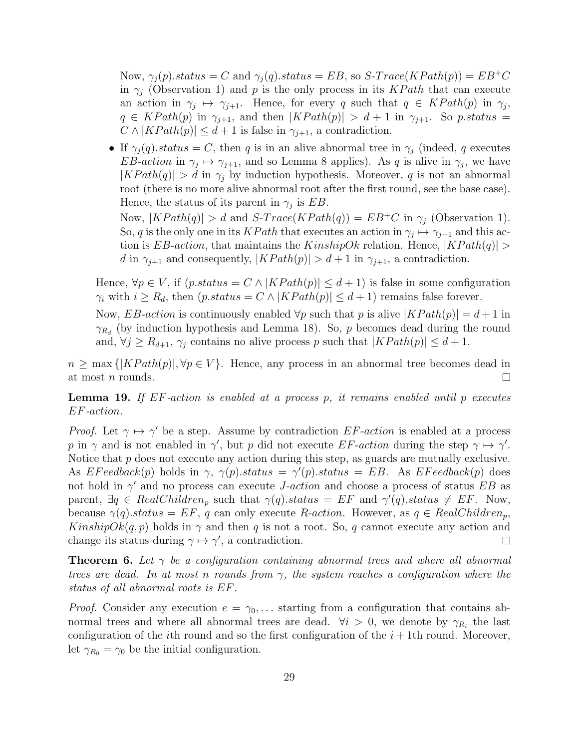Now,  $\gamma_i(p).status = C$  and  $\gamma_i(q).status = EB$ , so  $S\text{-}Trace(KPath(p)) = EB^+C$ in  $\gamma_i$  (Observation 1) and p is the only process in its KPath that can execute an action in  $\gamma_j \mapsto \gamma_{j+1}$ . Hence, for every q such that  $q \in KPath(p)$  in  $\gamma_j$ ,  $q \in KPath(p)$  in  $\gamma_{j+1}$ , and then  $|KPath(p)| > d+1$  in  $\gamma_{j+1}$ . So p.status =  $C \wedge |KPath(p)| \leq d+1$  is false in  $\gamma_{i+1}$ , a contradiction.

• If  $\gamma_i(q)$  status = C, then q is in an alive abnormal tree in  $\gamma_j$  (indeed, q executes EB-action in  $\gamma_j \mapsto \gamma_{j+1}$ , and so Lemma 8 applies). As q is alive in  $\gamma_j$ , we have  $|KPath(q)| > d$  in  $\gamma_i$  by induction hypothesis. Moreover, q is not an abnormal root (there is no more alive abnormal root after the first round, see the base case). Hence, the status of its parent in  $\gamma_j$  is EB.

Now,  $|KPath(q)| > d$  and  $S-Trace(KPath(q)) = EB^+C$  in  $\gamma_i$  (Observation 1). So, q is the only one in its KPath that executes an action in  $\gamma_j \mapsto \gamma_{j+1}$  and this action is EB-action, that maintains the KinshipOk relation. Hence,  $|KPath(q)| >$ d in  $\gamma_{j+1}$  and consequently,  $|KPath(p)| > d+1$  in  $\gamma_{j+1}$ , a contradiction.

Hence,  $\forall p \in V$ , if  $(p.status = C \land |KPath(p)| \leq d+1)$  is false in some configuration  $\gamma_i$  with  $i \geq R_d$ , then  $(p.status = C \land |KPath(p)| \leq d+1)$  remains false forever.

Now, EB-action is continuously enabled  $\forall p$  such that p is alive  $|KPath(p)| = d+1$  in  $\gamma_{R_d}$  (by induction hypothesis and Lemma 18). So, p becomes dead during the round and,  $\forall j \geq R_{d+1}, \gamma_j$  contains no alive process p such that  $|KPath(p)| \leq d+1$ .

 $n \geq \max\{|KPath(p)|, \forall p \in V\}.$  Hence, any process in an abnormal tree becomes dead in at most n rounds.  $\Box$ 

**Lemma 19.** If  $EF$ -action is enabled at a process p, it remains enabled until p executes EF-action.

*Proof.* Let  $\gamma \mapsto \gamma'$  be a step. Assume by contradiction EF-action is enabled at a process p in  $\gamma$  and is not enabled in  $\gamma'$ , but p did not execute EF-action during the step  $\gamma \mapsto \gamma'$ . Notice that  $p$  does not execute any action during this step, as guards are mutually exclusive. As  $E$ Feedback $(p)$  holds in  $\gamma$ ,  $\gamma(p)$ .status =  $\gamma'(p)$ .status = EB. As EFeedback $(p)$  does not hold in  $\gamma'$  and no process can execute *J-action* and choose a process of status EB as parent,  $\exists q \in RealChildren_p$  such that  $\gamma(q).status = EF$  and  $\gamma'(q).status \neq EF$ . Now, because  $\gamma(q)$  status = EF, q can only execute R-action. However, as  $q \in RealChildren_p$ , KinshipOk(q, p) holds in  $\gamma$  and then q is not a root. So, q cannot execute any action and change its status during  $\gamma \mapsto \gamma'$ , a contradiction.  $\Box$ 

**Theorem 6.** Let  $\gamma$  be a configuration containing abnormal trees and where all abnormal trees are dead. In at most n rounds from  $\gamma$ , the system reaches a configuration where the status of all abnormal roots is EF.

*Proof.* Consider any execution  $e = \gamma_0, \ldots$  starting from a configuration that contains abnormal trees and where all abnormal trees are dead.  $\forall i > 0$ , we denote by  $\gamma_{R_i}$  the last configuration of the *i*th round and so the first configuration of the  $i + 1$ th round. Moreover, let  $\gamma_{R_0} = \gamma_0$  be the initial configuration.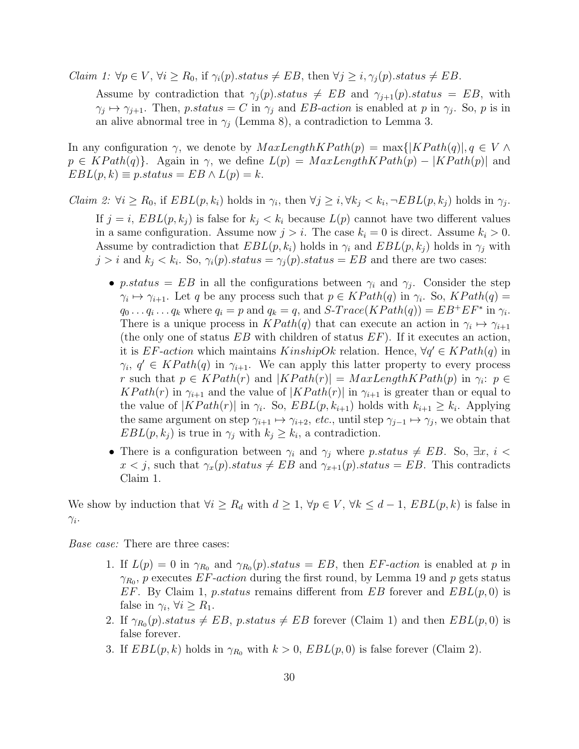*Claim 1:*  $\forall p \in V, \forall i \ge R_0$ , if  $\gamma_i(p)$ *status*  $\neq EB$ , then  $\forall j \ge i, \gamma_i(p)$ *status*  $\neq EB$ .

Assume by contradiction that  $\gamma_i(p).status \neq EB$  and  $\gamma_{i+1}(p).status = EB$ , with  $\gamma_j \mapsto \gamma_{j+1}$ . Then, p.status = C in  $\gamma_j$  and EB-action is enabled at p in  $\gamma_j$ . So, p is in an alive abnormal tree in  $\gamma_i$  (Lemma 8), a contradiction to Lemma 3.

In any configuration  $\gamma$ , we denote by  $MaxLengthKPath(p) = \max\{|KPath(q)|, q \in V \wedge$  $p \in KPath(q)$ . Again in  $\gamma$ , we define  $L(p) = MaxLengthKPath(p) - |KPath(p)|$  and  $EBL(p, k) \equiv p.stateus = EB \wedge L(p) = k.$ 

*Claim 2:*  $\forall i \geq R_0$ , if  $EBL(p, k_i)$  holds in  $\gamma_i$ , then  $\forall j \geq i, \forall k_j < k_i, \neg EBL(p, k_j)$  holds in  $\gamma_j$ . If  $j = i$ ,  $EBL(p, k_j)$  is false for  $k_j < k_i$  because  $L(p)$  cannot have two different values in a same configuration. Assume now  $j > i$ . The case  $k_i = 0$  is direct. Assume  $k_i > 0$ . Assume by contradiction that  $EBL(p, k_i)$  holds in  $\gamma_i$  and  $EBL(p, k_j)$  holds in  $\gamma_i$  with  $j > i$  and  $k_j < k_i$ . So,  $\gamma_i(p)$ .status =  $\gamma_j(p)$ .status = EB and there are two cases:

- p.status = EB in all the configurations between  $\gamma_i$  and  $\gamma_j$ . Consider the step  $\gamma_i \mapsto \gamma_{i+1}$ . Let q be any process such that  $p \in KPath(q)$  in  $\gamma_i$ . So,  $KPath(q)$  =  $q_0 \ldots q_i \ldots q_k$  where  $q_i = p$  and  $q_k = q$ , and  $S\text{-}Trace(KPath(q)) = EB^+EF^*$  in  $\gamma_i$ . There is a unique process in  $KPath(q)$  that can execute an action in  $\gamma_i \mapsto \gamma_{i+1}$ (the only one of status  $EB$  with children of status  $EF$ ). If it executes an action, it is  $EF\text{-action}$  which maintains  $KinshipOk$  relation. Hence,  $\forall q' \in KPath(q)$  in  $\gamma_i, q' \in KPath(q)$  in  $\gamma_{i+1}$ . We can apply this latter property to every process r such that  $p \in KPath(r)$  and  $|KPath(r)| = MaxLengthKPath(p)$  in  $\gamma_i: p \in$  $KPath(r)$  in  $\gamma_{i+1}$  and the value of  $|KPath(r)|$  in  $\gamma_{i+1}$  is greater than or equal to the value of  $|KPath(r)|$  in  $\gamma_i$ . So,  $EBL(p, k_{i+1})$  holds with  $k_{i+1} \geq k_i$ . Applying the same argument on step  $\gamma_{i+1} \mapsto \gamma_{i+2}$ , etc., until step  $\gamma_{j-1} \mapsto \gamma_j$ , we obtain that  $EBL(p, k_j)$  is true in  $\gamma_j$  with  $k_j \geq k_i$ , a contradiction.
- There is a configuration between  $\gamma_i$  and  $\gamma_j$  where p.status  $\neq EB$ . So,  $\exists x, i$  <  $x < j$ , such that  $\gamma_x(p).status \neq EB$  and  $\gamma_{x+1}(p).status = EB$ . This contradicts Claim 1.

We show by induction that  $\forall i \geq R_d$  with  $d \geq 1$ ,  $\forall p \in V$ ,  $\forall k \leq d-1$ ,  $EBL(p, k)$  is false in  $\gamma_i$ .

*Base case:* There are three cases:

- 1. If  $L(p) = 0$  in  $\gamma_{R_0}$  and  $\gamma_{R_0}(p)$ .status = EB, then EF-action is enabled at p in  $\gamma_{R_0}$ , p executes EF-action during the first round, by Lemma 19 and p gets status EF. By Claim 1, p.status remains different from EB forever and  $EBL(p, 0)$  is false in  $\gamma_i, \forall i \geq R_1.$
- 2. If  $\gamma_{R_0}(p).status \neq EB$ , p.status  $\neq EB$  forever (Claim 1) and then  $EBL(p, 0)$  is false forever.
- 3. If  $EBL(p, k)$  holds in  $\gamma_{R_0}$  with  $k > 0$ ,  $EBL(p, 0)$  is false forever (Claim 2).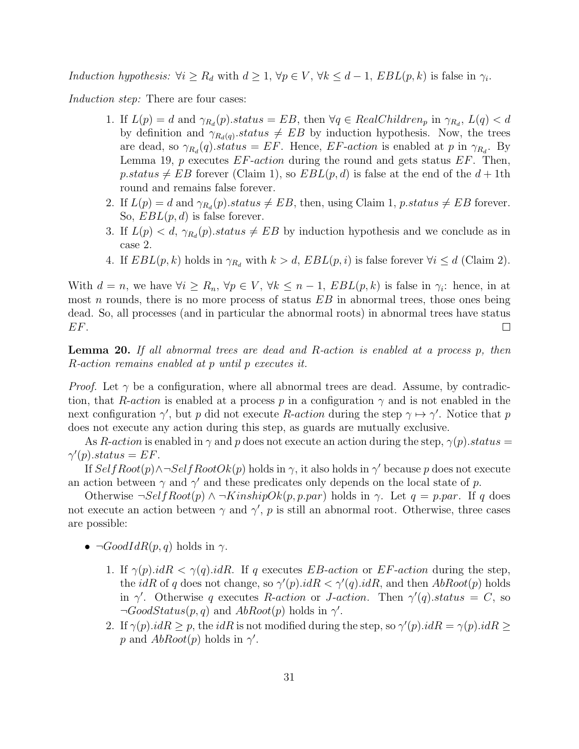Induction hypothesis:  $\forall i \geq R_d$  with  $d \geq 1$ ,  $\forall p \in V$ ,  $\forall k \leq d-1$ ,  $EBL(p, k)$  is false in  $\gamma_i$ .

Induction step: There are four cases:

- 1. If  $L(p) = d$  and  $\gamma_{R_d}(p)$ .status = EB, then  $\forall q \in RealChildren_p$  in  $\gamma_{R_d}, L(q) < d$ by definition and  $\gamma_{R_d(q)}$  status  $\neq EB$  by induction hypothesis. Now, the trees are dead, so  $\gamma_{R_d}(q)$ .status = EF. Hence, EF-action is enabled at p in  $\gamma_{R_d}$ . By Lemma 19,  $p$  executes  $EF\text{-}action$  during the round and gets status  $EF$ . Then, p.status  $\neq EB$  forever (Claim 1), so  $EBL(p, d)$  is false at the end of the  $d + 1$ th round and remains false forever.
- 2. If  $L(p) = d$  and  $\gamma_{R_d}(p)$ .status  $\neq EB$ , then, using Claim 1, p.status  $\neq EB$  forever. So,  $EBL(p, d)$  is false forever.
- 3. If  $L(p) < d$ ,  $\gamma_{R_d}(p)$  status  $\neq EB$  by induction hypothesis and we conclude as in case 2.
- 4. If  $EBL(p, k)$  holds in  $\gamma_{R_d}$  with  $k > d$ ,  $EBL(p, i)$  is false forever  $\forall i \leq d$  (Claim 2).

With  $d = n$ , we have  $\forall i \geq R_n$ ,  $\forall p \in V$ ,  $\forall k \leq n-1$ ,  $EBL(p, k)$  is false in  $\gamma_i$ : hence, in at most n rounds, there is no more process of status  $EB$  in abnormal trees, those ones being dead. So, all processes (and in particular the abnormal roots) in abnormal trees have status EF.  $\Box$ 

Lemma 20. If all abnormal trees are dead and R-action is enabled at a process p, then R-action remains enabled at p until p executes it.

*Proof.* Let  $\gamma$  be a configuration, where all abnormal trees are dead. Assume, by contradiction, that R-action is enabled at a process p in a configuration  $\gamma$  and is not enabled in the next configuration  $\gamma'$ , but p did not execute R-action during the step  $\gamma \mapsto \gamma'$ . Notice that p does not execute any action during this step, as guards are mutually exclusive.

As R-action is enabled in  $\gamma$  and p does not execute an action during the step,  $\gamma(p)$ . status =  $\gamma'(p).status = EF.$ 

If  $SelfRoot(p) \land \neg SelfRootOk(p)$  holds in  $\gamma$ , it also holds in  $\gamma'$  because p does not execute an action between  $\gamma$  and  $\gamma'$  and these predicates only depends on the local state of p.

Otherwise  $\neg SelfRoot(p) \land \neg KinshipOk(p, p, par)$  holds in  $\gamma$ . Let  $q = p, par$ . If q does not execute an action between  $\gamma$  and  $\gamma'$ , p is still an abnormal root. Otherwise, three cases are possible:

- $\neg GoodIdR(p, q)$  holds in  $\gamma$ .
	- 1. If  $\gamma(p).idR < \gamma(q).idR$ . If q executes EB-action or EF-action during the step, the *idR* of q does not change, so  $\gamma'(p) \cdot idR < \gamma'(q) \cdot idR$ , and then  $AbRoot(p)$  holds in  $\gamma'$ . Otherwise q executes R-action or J-action. Then  $\gamma'(q)$  status = C, so  $\neg GoodStatus(p, q)$  and  $AbRoot(p)$  holds in  $\gamma'$ .
	- 2. If  $\gamma(p).idR \geq p$ , the  $idR$  is not modified during the step, so  $\gamma'(p).idR = \gamma(p).idR \geq$ p and  $AbRoot(p)$  holds in  $\gamma'$ .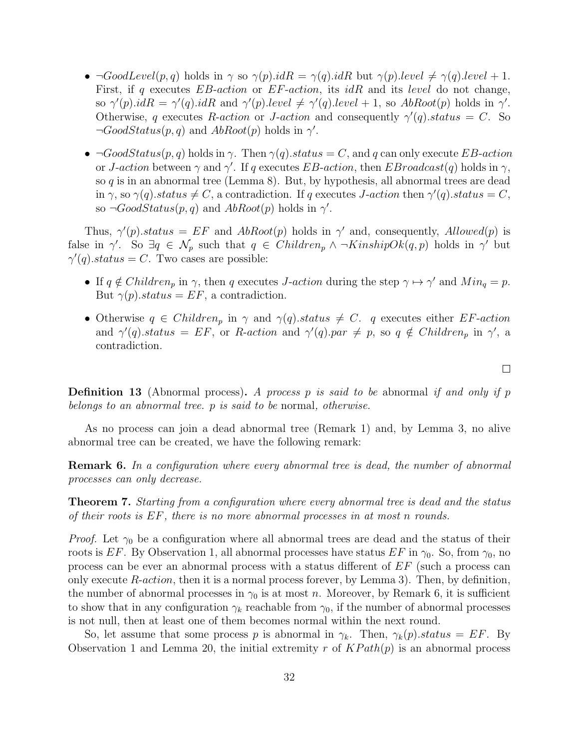- $\neg GoodLevel(p, q)$  holds in  $\gamma$  so  $\gamma(p).idR = \gamma(q).idR$  but  $\gamma(p).level \neq \gamma(q).level + 1.$ First, if q executes  $EB$ -action or  $EF$ -action, its idR and its level do not change, so  $\gamma'(p).idR = \gamma'(q).idR$  and  $\gamma'(p).level \neq \gamma'(q).level + 1$ , so  $AbRoot(p)$  holds in  $\gamma'$ . Otherwise, q executes R-action or J-action and consequently  $\gamma'(q)$ . status = C. So  $\neg GoodStatus(p, q)$  and  $AbRoot(p)$  holds in  $\gamma'$ .
- $\neg GoodStatus(p, q)$  holds in  $\gamma$ . Then  $\gamma(q).status = C$ , and q can only execute EB-action or *J*-action between  $\gamma$  and  $\gamma'$ . If q executes EB-action, then EBroadcast(q) holds in  $\gamma$ , so  $q$  is in an abnormal tree (Lemma 8). But, by hypothesis, all abnormal trees are dead in  $\gamma$ , so  $\gamma(q)$ .status  $\neq C$ , a contradiction. If q executes J-action then  $\gamma'(q)$ .status = C, so  $\neg GoodStatus(p, q)$  and  $AbRoot(p)$  holds in  $\gamma'$ .

Thus,  $\gamma'(p).status = EF$  and  $AbRoot(p)$  holds in  $\gamma'$  and, consequently,  $Allowed(p)$  is false in  $\gamma'$ . So  $\exists q \in \mathcal{N}_p$  such that  $q \in Children_p \wedge \neg KinshipOk(q,p)$  holds in  $\gamma'$  but  $\gamma'(q)$ .status = C. Two cases are possible:

- If  $q \notin Children_p$  in  $\gamma$ , then q executes *J*-action during the step  $\gamma \mapsto \gamma'$  and  $Min_q = p$ . But  $\gamma(p)$ .status = EF, a contradiction.
- Otherwise  $q \in Children_p$  in  $\gamma$  and  $\gamma(q)$ .status  $\neq C$ . q executes either EF-action and  $\gamma'(q)$ .status = EF, or R-action and  $\gamma'(q)$ .par  $\neq$  p, so  $q \notin Children_p$  in  $\gamma'$ , a contradiction.

**Definition 13** (Abnormal process). A process p is said to be abnormal if and only if p belongs to an abnormal tree. p is said to be normal, otherwise.

As no process can join a dead abnormal tree (Remark 1) and, by Lemma 3, no alive abnormal tree can be created, we have the following remark:

**Remark 6.** In a configuration where every abnormal tree is dead, the number of abnormal processes can only decrease.

Theorem 7. Starting from a configuration where every abnormal tree is dead and the status of their roots is EF, there is no more abnormal processes in at most n rounds.

*Proof.* Let  $\gamma_0$  be a configuration where all abnormal trees are dead and the status of their roots is EF. By Observation 1, all abnormal processes have status EF in  $\gamma_0$ . So, from  $\gamma_0$ , no process can be ever an abnormal process with a status different of EF (such a process can only execute  $R\text{-}action$ , then it is a normal process forever, by Lemma 3). Then, by definition, the number of abnormal processes in  $\gamma_0$  is at most n. Moreover, by Remark 6, it is sufficient to show that in any configuration  $\gamma_k$  reachable from  $\gamma_0$ , if the number of abnormal processes is not null, then at least one of them becomes normal within the next round.

So, let assume that some process p is abnormal in  $\gamma_k$ . Then,  $\gamma_k(p).status = EF$ . By Observation 1 and Lemma 20, the initial extremity r of  $KPath(p)$  is an abnormal process

 $\Box$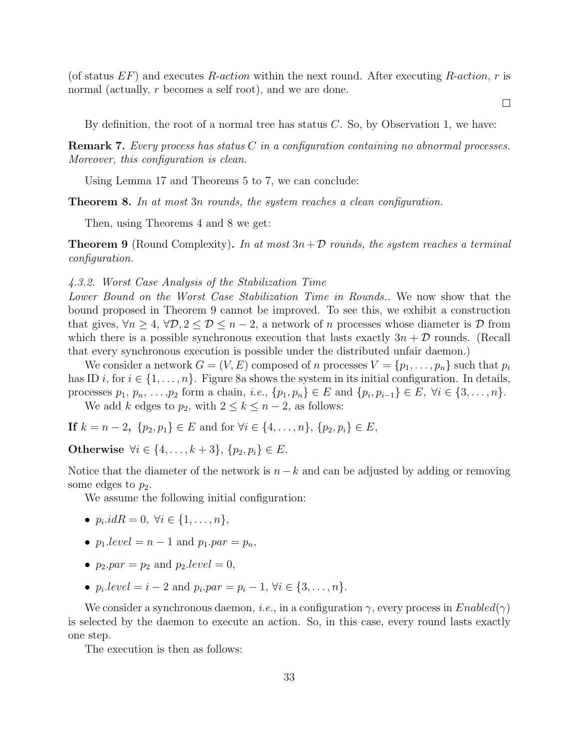(of status  $EF$ ) and executes R-action within the next round. After executing R-action, r is normal (actually, r becomes a self root), and we are done.

By definition, the root of a normal tree has status  $C$ . So, by Observation 1, we have:

 $\Box$ 

**Remark 7.** Every process has status  $C$  in a configuration containing no abnormal processes. Moreover, this configuration is clean.

Using Lemma 17 and Theorems 5 to 7, we can conclude:

**Theorem 8.** In at most 3n rounds, the system reaches a clean configuration.

Then, using Theorems 4 and 8 we get:

**Theorem 9** (Round Complexity). In at most  $3n + D$  rounds, the system reaches a terminal configuration.

4.3.2. Worst Case Analysis of the Stabilization Time

Lower Bound on the Worst Case Stabilization Time in Rounds.. We now show that the bound proposed in Theorem 9 cannot be improved. To see this, we exhibit a construction that gives,  $\forall n \geq 4$ ,  $\forall \mathcal{D}, 2 \leq \mathcal{D} \leq n-2$ , a network of n processes whose diameter is  $\mathcal{D}$  from which there is a possible synchronous execution that lasts exactly  $3n + D$  rounds. (Recall that every synchronous execution is possible under the distributed unfair daemon.)

We consider a network  $G = (V, E)$  composed of n processes  $V = \{p_1, \ldots, p_n\}$  such that  $p_i$ has ID i, for  $i \in \{1, \ldots, n\}$ . Figure 8a shows the system in its initial configuration. In details, processes  $p_1, p_n, \ldots, p_2$  form a chain, *i.e.*,  $\{p_1, p_n\} \in E$  and  $\{p_i, p_{i-1}\} \in E$ ,  $\forall i \in \{3, \ldots, n\}$ . We add k edges to  $p_2$ , with  $2 \leq k \leq n-2$ , as follows:

**If**  $k = n - 2$ ,  $\{p_2, p_1\}$  ∈ E and for  $\forall i$  ∈ {4, ..., n},  $\{p_2, p_i\}$  ∈ E,

Otherwise  $\forall i \in \{4, ..., k+3\}, \{p_2, p_i\} \in E$ .

Notice that the diameter of the network is  $n-k$  and can be adjusted by adding or removing some edges to  $p_2$ .

We assume the following initial configuration:

- $p_i.idR = 0, \ \forall i \in \{1, ..., n\},\$
- $p_1.\text{level} = n 1$  and  $p_1.\text{par} = p_n$ ,
- $p_2$ .par =  $p_2$  and  $p_2$ .level = 0,
- $p_i.\text{level} = i 2 \text{ and } p_i.\text{par} = p_i 1, \forall i \in \{3, ..., n\}.$

We consider a synchronous daemon, *i.e.*, in a configuration  $\gamma$ , every process in  $Enabled(\gamma)$ is selected by the daemon to execute an action. So, in this case, every round lasts exactly one step.

The execution is then as follows: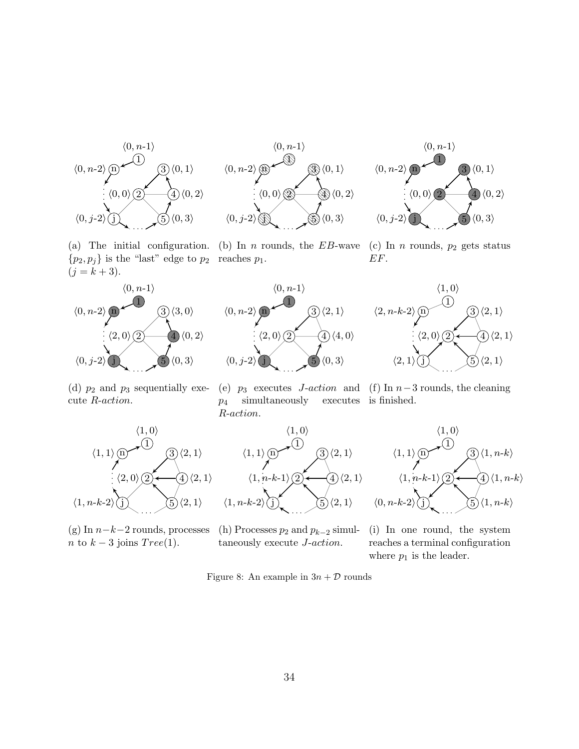





(a) The initial configuration. (b) In *n* rounds, the  $EB$ -wave  $\{p_2, p_j\}$  is the "last" edge to  $p_2$  reaches  $p_1$ .  $(j = k + 3).$ 









cute R-action.

(d)  $p_2$  and  $p_3$  sequentially exe- (e)  $p_3$  executes *J-action* and (f) In n-3 rounds, the cleaning  $p_4$  simultaneously executes is finished. R-action.



n to  $k-3$  joins  $Tree(1)$ .

(g) In  $n-k-2$  rounds, processes (h) Processes  $p_2$  and  $p_{k-2}$  simultaneously execute J-action.

(i) In one round, the system reaches a terminal configuration where  $p_1$  is the leader.

Figure 8: An example in  $3n + D$  rounds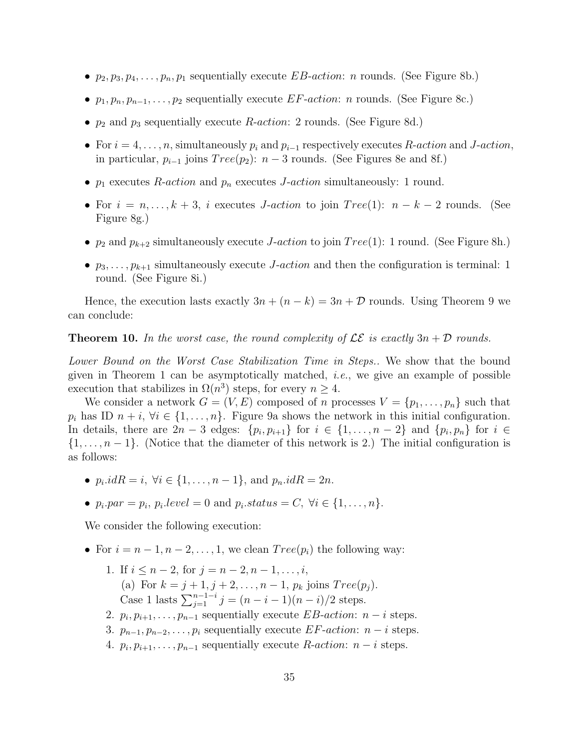- $p_2, p_3, p_4, \ldots, p_n, p_1$  sequentially execute *EB-action: n* rounds. (See Figure 8b.)
- $p_1, p_n, p_{n-1}, \ldots, p_2$  sequentially execute EF-action: n rounds. (See Figure 8c.)
- $p_2$  and  $p_3$  sequentially execute R-action: 2 rounds. (See Figure 8d.)
- For  $i = 4, \ldots, n$ , simultaneously  $p_i$  and  $p_{i-1}$  respectively executes R-action and J-action, in particular,  $p_{i-1}$  joins  $Tree(p_2)$ :  $n-3$  rounds. (See Figures 8e and 8f.)
- $p_1$  executes R-action and  $p_n$  executes J-action simultaneously: 1 round.
- For  $i = n, \ldots, k + 3$ , i executes *J-action* to join  $Tree(1)$ :  $n k 2$  rounds. (See Figure 8g.)
- $p_2$  and  $p_{k+2}$  simultaneously execute *J-action* to join  $Tree(1)$ : 1 round. (See Figure 8h.)
- $p_3, \ldots, p_{k+1}$  simultaneously execute *J-action* and then the configuration is terminal: 1 round. (See Figure 8i.)

Hence, the execution lasts exactly  $3n + (n - k) = 3n + \mathcal{D}$  rounds. Using Theorem 9 we can conclude:

**Theorem 10.** In the worst case, the round complexity of  $LE$  is exactly  $3n + D$  rounds.

Lower Bound on the Worst Case Stabilization Time in Steps.. We show that the bound given in Theorem 1 can be asymptotically matched, *i.e.*, we give an example of possible execution that stabilizes in  $\Omega(n^3)$  steps, for every  $n \geq 4$ .

We consider a network  $G = (V, E)$  composed of n processes  $V = \{p_1, \ldots, p_n\}$  such that  $p_i$  has ID  $n + i$ ,  $\forall i \in \{1, ..., n\}$ . Figure 9a shows the network in this initial configuration. In details, there are  $2n-3$  edges:  $\{p_i, p_{i+1}\}\;$  for  $i \in \{1, \ldots, n-2\}$  and  $\{p_i, p_n\}\;$  for  $i \in$  $\{1, \ldots, n-1\}$ . (Notice that the diameter of this network is 2.) The initial configuration is as follows:

- $p_i.idR = i, \forall i \in \{1, ..., n 1\}, \text{ and } p_n.idR = 2n.$
- $p_i$ .  $par = p_i$ ,  $p_i$ .  $level = 0$  and  $p_i$ .  $status = C$ ,  $\forall i \in \{1, ..., n\}$ .

We consider the following execution:

- For  $i = n 1, n 2, \ldots, 1$ , we clean  $Tree(p_i)$  the following way:
	- 1. If  $i \leq n-2$ , for  $j = n-2, n-1, \ldots, i$ , (a) For  $k = j + 1, j + 2, \ldots, n - 1, p_k$  joins  $Tree(p_i)$ . Case 1 lasts  $\sum_{j=1}^{n-1-i} j = (n-i-1)(n-i)/2$  steps.
	- 2.  $p_i, p_{i+1}, \ldots, p_{n-1}$  sequentially execute EB-action:  $n-i$  steps.
	- 3.  $p_{n-1}, p_{n-2}, \ldots, p_i$  sequentially execute EF-action:  $n-i$  steps.
	- 4.  $p_i, p_{i+1}, \ldots, p_{n-1}$  sequentially execute R-action:  $n-i$  steps.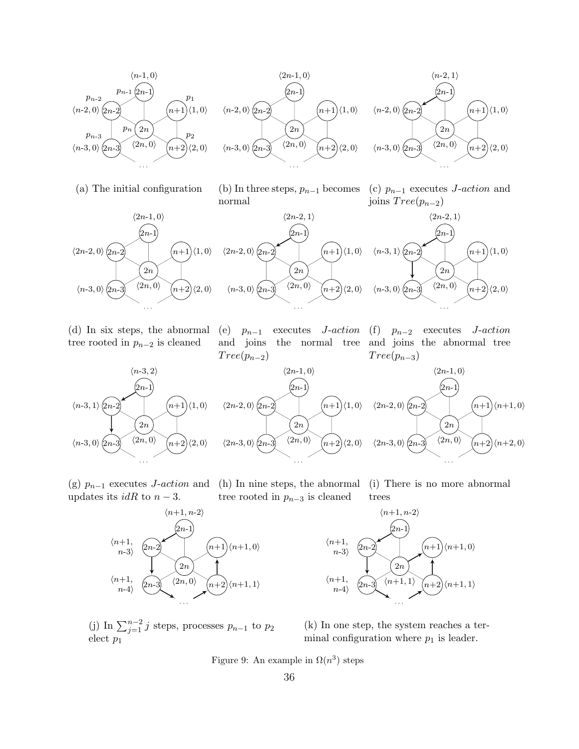

(a) The initial configuration



 $_{[2n-1]}$ 

 $\langle 2n-2, 1 \rangle$ 

 $(n+1)$ 





 $2n$  $\langle n-3,0\rangle$   $\langle 2n-3\rangle$   $\langle 2n,0\rangle$   $\langle n+2\rangle$   $\langle 2,0\rangle$ . . .  $n+2$  $\langle 2n, 0 \rangle$ 

 $\langle 2n-2, 0 \rangle$   $\langle 2n-2 \rangle$ 



(d) In six steps, the abnormal tree rooted in  $p_{n-2}$  is cleaned

(e)  $p_{n-1}$  executes *J*-action and joins the normal tree and joins the abnormal tree  $Tree(p_{n-2})$ 

(f)  $p_{n-2}$  executes J-action  $Tree(p_{n-3})$ 



(g)  $p_{n-1}$  executes J-action and updates its  $idR$  to  $n-3$ .



(h) In nine steps, the abnormal tree rooted in  $p_{n-3}$  is cleaned (i) There is no more abnormal trees

2n  $\big(2n-1\big)$  $_{2n}$ 2n-3 . . .  $n+2$  $n+1$  $\langle n+1, 1 \rangle$  $\langle n+1,$  $n-3$  $\langle n+1,$  $n-4$  $\langle n+1, 1 \rangle$  $\langle n+1, 0 \rangle$ 

 $\langle n+1, n-2 \rangle$ 

(j) In  $\sum_{j=1}^{n-2} j$  steps, processes  $p_{n-1}$  to  $p_2$ elect  $p_1$ 

(k) In one step, the system reaches a terminal configuration where  $p_1$  is leader.

Figure 9: An example in  $\Omega(n^3)$  steps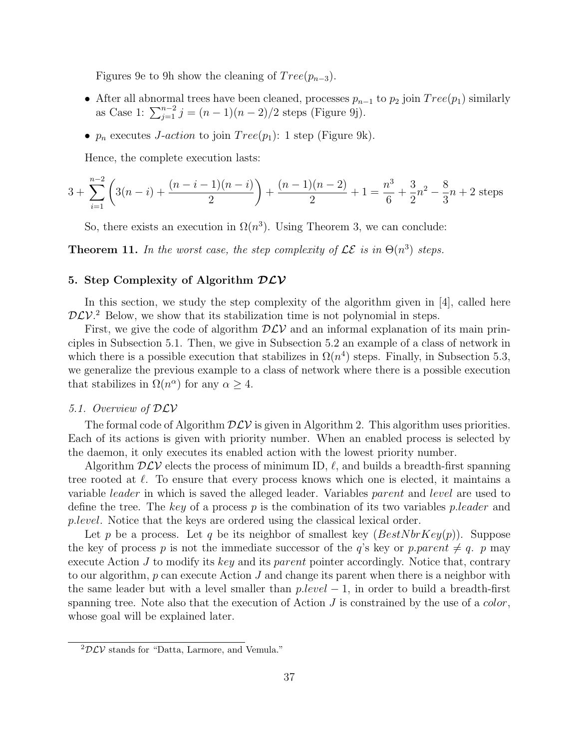Figures 9e to 9h show the cleaning of  $Tree(p_{n-3})$ .

- After all abnormal trees have been cleaned, processes  $p_{n-1}$  to  $p_2$  join  $Tree(p_1)$  similarly as Case 1:  $\sum_{j=1}^{n-2} j = (n-1)(n-2)/2$  steps (Figure 9j).
- $p_n$  executes *J-action* to join  $Tree(p_1)$ : 1 step (Figure 9k).

Hence, the complete execution lasts:

$$
3 + \sum_{i=1}^{n-2} \left( 3(n-i) + \frac{(n-i-1)(n-i)}{2} \right) + \frac{(n-1)(n-2)}{2} + 1 = \frac{n^3}{6} + \frac{3}{2}n^2 - \frac{8}{3}n + 2 \text{ steps}
$$

So, there exists an execution in  $\Omega(n^3)$ . Using Theorem 3, we can conclude:

**Theorem 11.** In the worst case, the step complexity of  $\mathcal{LE}$  is in  $\Theta(n^3)$  steps.

### 5. Step Complexity of Algorithm  $DCV$

In this section, we study the step complexity of the algorithm given in [4], called here  $D\mathcal{L}V$ <sup>2</sup> Below, we show that its stabilization time is not polynomial in steps.

First, we give the code of algorithm  $D\mathcal{LV}$  and an informal explanation of its main principles in Subsection 5.1. Then, we give in Subsection 5.2 an example of a class of network in which there is a possible execution that stabilizes in  $\Omega(n^4)$  steps. Finally, in Subsection 5.3, we generalize the previous example to a class of network where there is a possible execution that stabilizes in  $\Omega(n^{\alpha})$  for any  $\alpha \geq 4$ .

#### 5.1. Overview of DLV

The formal code of Algorithm  $\mathcal{DLV}$  is given in Algorithm 2. This algorithm uses priorities. Each of its actions is given with priority number. When an enabled process is selected by the daemon, it only executes its enabled action with the lowest priority number.

Algorithm  $D\mathcal{L}V$  elects the process of minimum ID,  $\ell$ , and builds a breadth-first spanning tree rooted at  $\ell$ . To ensure that every process knows which one is elected, it maintains a variable leader in which is saved the alleged leader. Variables parent and level are used to define the tree. The key of a process  $p$  is the combination of its two variables pleader and p.level. Notice that the keys are ordered using the classical lexical order.

Let p be a process. Let q be its neighbor of smallest key  $(BestNbrKey(p))$ . Suppose the key of process p is not the immediate successor of the q's key or p. parent  $\neq q$ . p may execute Action  $J$  to modify its key and its parent pointer accordingly. Notice that, contrary to our algorithm,  $p$  can execute Action  $J$  and change its parent when there is a neighbor with the same leader but with a level smaller than  $p.level - 1$ , in order to build a breadth-first spanning tree. Note also that the execution of Action  $J$  is constrained by the use of a *color*, whose goal will be explained later.

 ${}^{2}\mathcal{D}\mathcal{L}V$  stands for "Datta, Larmore, and Vemula."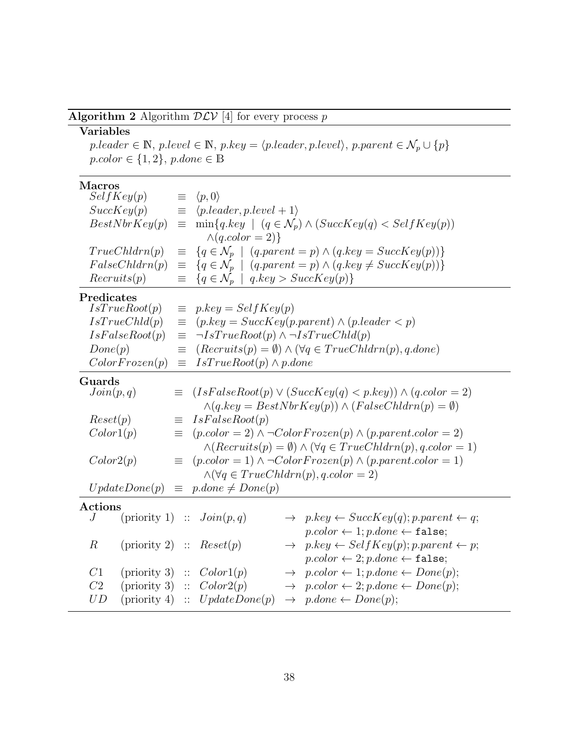Algorithm 2 Algorithm  $\mathcal{DLV}$  [4] for every process  $p$ 

## Variables

 $p. leader \in \mathbb{N}, \, p. level \in \mathbb{N}, \, p. key = \langle p. leader, p. level \rangle, \, p. parent \in \mathcal{N}_p \cup \{p\}$  $pcolor \in \{1,2\},$   $p{:}done \in \mathbb{B}$ 

## Macros

| SelfKey(p)                  | $\equiv$ | $\langle p,0\rangle$                                        |               |                                                                                       |
|-----------------------------|----------|-------------------------------------------------------------|---------------|---------------------------------------------------------------------------------------|
| SuccKey(p)                  | $\equiv$ | $\langle pطer, p. level + 1 \rangle$                        |               |                                                                                       |
| BestNbrKey(p)               | 亖        |                                                             |               | $\min\{q \text{.} key \mid (q \in \mathcal{N}_p) \wedge (SuccKey(q) < SelfKey(p))\}$  |
|                             |          | $\wedge (q.color = 2)$                                      |               |                                                                                       |
| TrueChldrn(p)               | $\equiv$ |                                                             |               | $\{q \in \mathcal{N}_p \mid (q.parent = p) \wedge (q-key = SuccKey(p))\}$             |
| FalseChldrn(p)              | $\equiv$ |                                                             |               | $\{q \in \mathcal{N}_p \mid (q.parent = p) \wedge (q-key \neq SuccKey(p))\}$          |
| Recuits(p)                  | $\equiv$ | $\{q \in \mathcal{N}_p \mid q \text{.} key > SuccKey(p)\}\$ |               |                                                                                       |
|                             |          |                                                             |               |                                                                                       |
| Predicates<br>IsTrueRoot(p) | $\equiv$ | $p \text{.} key = SelfKey(p)$                               |               |                                                                                       |
| IsTrueChld(p)               |          |                                                             |               | $(p.\textit{key} = SuccKey(p.\textit{parent}) \land (p.\textit{leader} < p)$          |
|                             | $\equiv$ |                                                             |               |                                                                                       |
| IsFalseRoot(p)              | $\equiv$ | $\neg IsTrueRoot(p) \land \neg IsTrueChild(p)$              |               |                                                                                       |
| Done(p)                     | $\equiv$ |                                                             |               | $(Recuits(p) = \emptyset) \wedge (\forall q \in TrueChildren(p), q.done)$             |
| ColorFrozen(p)              | $\equiv$ | $IsTrueRoot(p) \wedge p.done$                               |               |                                                                                       |
| Guards                      |          |                                                             |               |                                                                                       |
| Join(p,q)                   | $\equiv$ |                                                             |               | $(IsFalseRoot(p) \vee (SuccKey(q) < p.key)) \wedge (q-color=2)$                       |
|                             |          |                                                             |               | $\wedge (q \cdot key = BestNbrKey(p)) \wedge (FalseChildren(p) = \emptyset)$          |
| Reset(p)                    | ≡        | IsFalseRoot(p)                                              |               |                                                                                       |
| Color1(p)                   | Ξ.       |                                                             |               | $(p.color = 2) \land \neg ColorFrozen(p) \land (p.parent.color = 2)$                  |
|                             |          |                                                             |               | $\wedge (Recuits(p) = \emptyset) \wedge (\forall q \in TrueChildren(p), q-color = 1)$ |
| Color2(p)                   | $\equiv$ |                                                             |               | $(p.color = 1) \land \neg ColorFrozen(p) \land (p.parent.color = 1)$                  |
|                             |          | $\wedge (\forall q \in TrueChldrn(p), q-color = 2)$         |               |                                                                                       |
| UpdateDone(p)               | $\equiv$ | $p\cdot done \neq Done(p)$                                  |               |                                                                                       |
| <b>Actions</b>              |          |                                                             |               |                                                                                       |
| J                           |          | (priority 1) :: $Join(p,q)$                                 |               | $\rightarrow$ p.key $\leftarrow$ SuccKey(q); p.parent $\leftarrow$ q;                 |
|                             |          |                                                             |               | $p-color \leftarrow 1; p.done \leftarrow false;$                                      |
| $\boldsymbol{R}$            |          | (priority 2) :: $Reset(p)$                                  |               | $\rightarrow$ p.key $\leftarrow$ Self Key(p); p.parent $\leftarrow$ p;                |
|                             |          |                                                             |               | $p-color \leftarrow 2; p.done \leftarrow false;$                                      |
| C1                          |          | (priority 3) :: $Color1(p)$                                 |               | $\rightarrow$ p.color $\leftarrow$ 1; p.done $\leftarrow$ Done(p);                    |
| C2                          |          | (priority 3) :: $Color2(p)$                                 | $\rightarrow$ | $p-color \leftarrow 2; p.done \leftarrow Done(p);$                                    |
| UD                          |          | (priority 4) :: $UpdateDone(p)$                             |               | $\rightarrow$ p.done $\leftarrow$ Done(p);                                            |
|                             |          |                                                             |               |                                                                                       |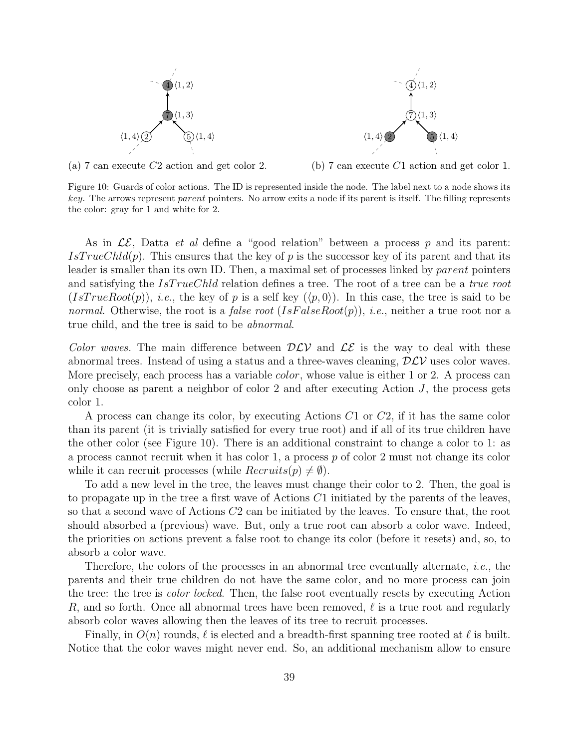



(a) 7 can execute C2 action and get color 2.

(b) 7 can execute C1 action and get color 1.

Figure 10: Guards of color actions. The ID is represented inside the node. The label next to a node shows its key. The arrows represent parent pointers. No arrow exits a node if its parent is itself. The filling represents the color: gray for 1 and white for 2.

As in  $\mathcal{LE}$ , Datta *et al* define a "good relation" between a process p and its parent:  $IsTrueChld(p)$ . This ensures that the key of p is the successor key of its parent and that its leader is smaller than its own ID. Then, a maximal set of processes linked by *parent* pointers and satisfying the  $IsTrueChld$  relation defines a tree. The root of a tree can be a true root  $(IsTrueRoot(p)),$  *i.e.*, the key of p is a self key  $(\langle p, 0 \rangle)$ . In this case, the tree is said to be normal. Otherwise, the root is a *false root*  $(IsFalseRoot(p)), i.e.,$  neither a true root nor a true child, and the tree is said to be abnormal.

Color waves. The main difference between  $D\mathcal{LV}$  and  $\mathcal{LE}$  is the way to deal with these abnormal trees. Instead of using a status and a three-waves cleaning,  $D\mathcal{LV}$  uses color waves. More precisely, each process has a variable *color*, whose value is either 1 or 2. A process can only choose as parent a neighbor of color 2 and after executing Action J, the process gets color 1.

A process can change its color, by executing Actions C1 or C2, if it has the same color than its parent (it is trivially satisfied for every true root) and if all of its true children have the other color (see Figure 10). There is an additional constraint to change a color to 1: as a process cannot recruit when it has color 1, a process  $p$  of color 2 must not change its color while it can recruit processes (while  $Recruits(p) \neq \emptyset$ ).

To add a new level in the tree, the leaves must change their color to 2. Then, the goal is to propagate up in the tree a first wave of Actions  $C1$  initiated by the parents of the leaves, so that a second wave of Actions C2 can be initiated by the leaves. To ensure that, the root should absorbed a (previous) wave. But, only a true root can absorb a color wave. Indeed, the priorities on actions prevent a false root to change its color (before it resets) and, so, to absorb a color wave.

Therefore, the colors of the processes in an abnormal tree eventually alternate, i.e., the parents and their true children do not have the same color, and no more process can join the tree: the tree is color locked. Then, the false root eventually resets by executing Action R, and so forth. Once all abnormal trees have been removed,  $\ell$  is a true root and regularly absorb color waves allowing then the leaves of its tree to recruit processes.

Finally, in  $O(n)$  rounds,  $\ell$  is elected and a breadth-first spanning tree rooted at  $\ell$  is built. Notice that the color waves might never end. So, an additional mechanism allow to ensure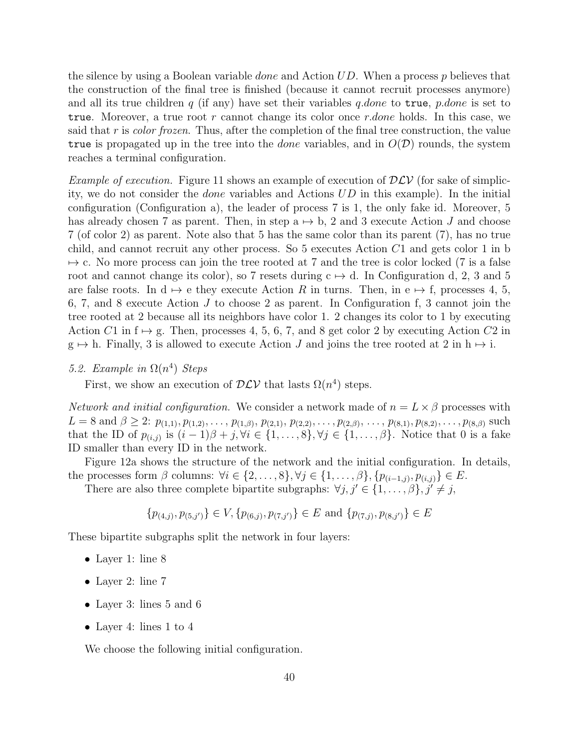the silence by using a Boolean variable *done* and Action  $UD$ . When a process p believes that the construction of the final tree is finished (because it cannot recruit processes anymore) and all its true children  $q$  (if any) have set their variables  $q\cdot done$  to true,  $p\cdot done$  is set to true. Moreover, a true root r cannot change its color once r.done holds. In this case, we said that r is *color frozen*. Thus, after the completion of the final tree construction, the value true is propagated up in the tree into the *done* variables, and in  $O(D)$  rounds, the system reaches a terminal configuration.

*Example of execution.* Figure 11 shows an example of execution of  $D\mathcal{LV}$  (for sake of simplicity, we do not consider the done variables and Actions UD in this example). In the initial configuration (Configuration a), the leader of process 7 is 1, the only fake id. Moreover, 5 has already chosen 7 as parent. Then, in step  $a \mapsto b$ , 2 and 3 execute Action J and choose 7 (of color 2) as parent. Note also that 5 has the same color than its parent (7), has no true child, and cannot recruit any other process. So 5 executes Action C1 and gets color 1 in b  $\rightarrow$  c. No more process can join the tree rooted at 7 and the tree is color locked (7 is a false root and cannot change its color), so 7 resets during  $c \mapsto d$ . In Configuration d, 2, 3 and 5 are false roots. In  $d \mapsto e$  they execute Action R in turns. Then, in  $e \mapsto f$ , processes 4, 5, 6, 7, and 8 execute Action  $J$  to choose 2 as parent. In Configuration f, 3 cannot join the tree rooted at 2 because all its neighbors have color 1. 2 changes its color to 1 by executing Action C1 in  $f \mapsto g$ . Then, processes 4, 5, 6, 7, and 8 get color 2 by executing Action C2 in  $g \mapsto h$ . Finally, 3 is allowed to execute Action J and joins the tree rooted at 2 in  $h \mapsto i$ .

## 5.2. Example in  $\Omega(n^4)$  Steps

First, we show an execution of  $DCV$  that lasts  $\Omega(n^4)$  steps.

Network and initial configuration. We consider a network made of  $n = L \times \beta$  processes with  $L = 8$  and  $\beta \geq 2$ :  $p_{(1,1)}, p_{(1,2)}, \ldots, p_{(1,\beta)}, p_{(2,1)}, p_{(2,2)}, \ldots, p_{(2,\beta)}, \ldots, p_{(8,1)}, p_{(8,2)}, \ldots, p_{(8,\beta)}$  such that the ID of  $p_{(i,j)}$  is  $(i-1)\beta + j, \forall i \in \{1,\ldots,8\}, \forall j \in \{1,\ldots,\beta\}.$  Notice that 0 is a fake ID smaller than every ID in the network.

Figure 12a shows the structure of the network and the initial configuration. In details, the processes form  $\beta$  columns:  $\forall i \in \{2, \ldots, 8\}, \forall j \in \{1, \ldots, \beta\}, \{p_{(i-1,j)}, p_{(i,j)}\} \in E$ .

There are also three complete bipartite subgraphs:  $\forall j, j' \in \{1, \ldots, \beta\}, j' \neq j$ ,

$$
\{p_{(4,j)}, p_{(5,j')}\} \in V, \{p_{(6,j)}, p_{(7,j')}\} \in E \text{ and } \{p_{(7,j)}, p_{(8,j')}\} \in E
$$

These bipartite subgraphs split the network in four layers:

- Layer 1: line 8
- Layer 2: line 7
- Layer 3: lines 5 and 6
- Layer 4: lines 1 to 4

We choose the following initial configuration.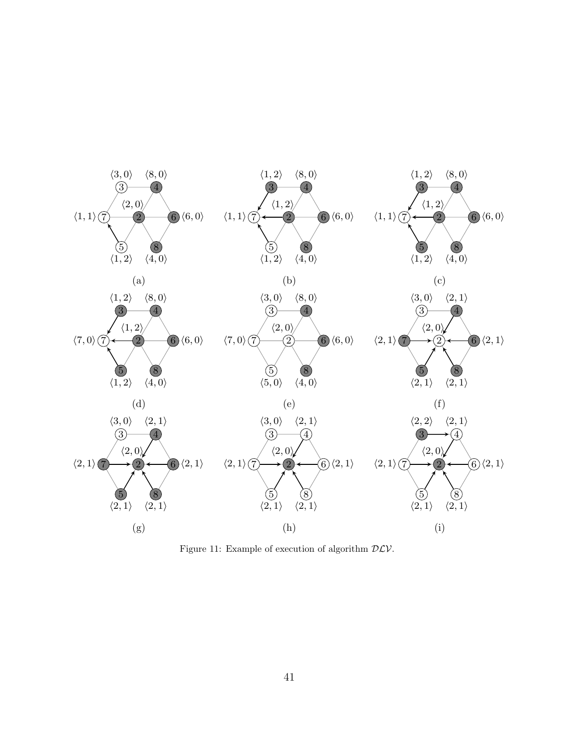

Figure 11: Example of execution of algorithm  $DLV$ .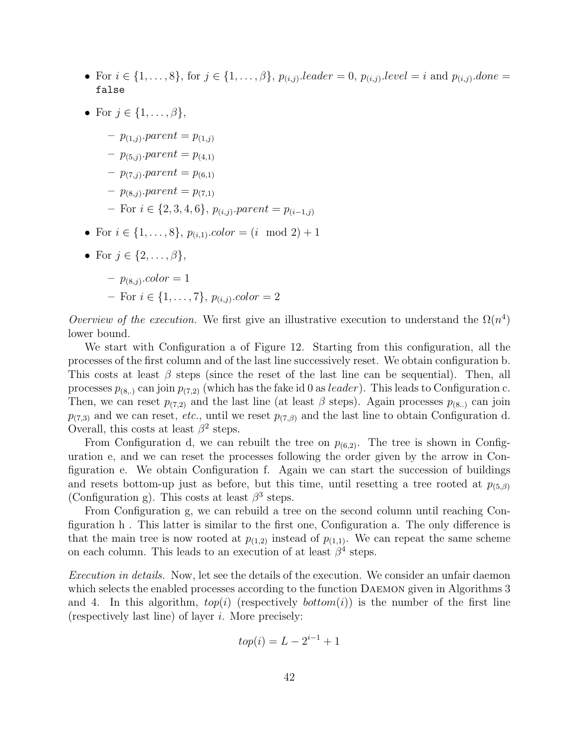- For  $i \in \{1, ..., 8\}$ , for  $j \in \{1, ..., \beta\}$ ,  $p_{(i,j)}$ . leader = 0,  $p_{(i,j)}$ . level = i and  $p_{(i,j)}$ . done = false
- For  $j \in \{1, \ldots, \beta\},\$ 
	- $p_{(1,j)}$ . parent =  $p_{(1,j)}$
	- $p_{(5,j)}$ . parent =  $p_{(4,1)}$
	- $p_{(7,j)}$ . parent =  $p_{(6,1)}$
	- $p_{(8,j)}$ . parent =  $p_{(7,1)}$
	- $-$  For  $i \in \{2, 3, 4, 6\}$ ,  $p_{(i,j)}$ . parent =  $p_{(i-1,j)}$
- For  $i \in \{1, ..., 8\}, p_{(i,1)}.color = (i \mod 2) + 1$
- For  $j \in \{2, \ldots, \beta\},\$

$$
- p_{(8,j)}.color = 1
$$

- For 
$$
i \in \{1, ..., 7\}
$$
,  $p_{(i,j)}$ .*color* = 2

Overview of the execution. We first give an illustrative execution to understand the  $\Omega(n^4)$ lower bound.

We start with Configuration a of Figure 12. Starting from this configuration, all the processes of the first column and of the last line successively reset. We obtain configuration b. This costs at least  $\beta$  steps (since the reset of the last line can be sequential). Then, all processes  $p_{(8,.)}$  can join  $p_{(7,2)}$  (which has the fake id 0 as *leader*). This leads to Configuration c. Then, we can reset  $p_{(7,2)}$  and the last line (at least  $\beta$  steps). Again processes  $p_{(8..)}$  can join  $p_{(7,3)}$  and we can reset, etc., until we reset  $p_{(7,6)}$  and the last line to obtain Configuration d. Overall, this costs at least  $\beta^2$  steps.

From Configuration d, we can rebuilt the tree on  $p_{(6,2)}$ . The tree is shown in Configuration e, and we can reset the processes following the order given by the arrow in Configuration e. We obtain Configuration f. Again we can start the succession of buildings and resets bottom-up just as before, but this time, until resetting a tree rooted at  $p_{(5, \beta)}$ (Configuration g). This costs at least  $\beta^3$  steps.

From Configuration g, we can rebuild a tree on the second column until reaching Configuration h . This latter is similar to the first one, Configuration a. The only difference is that the main tree is now rooted at  $p_{(1,2)}$  instead of  $p_{(1,1)}$ . We can repeat the same scheme on each column. This leads to an execution of at least  $\beta^4$  steps.

Execution in details. Now, let see the details of the execution. We consider an unfair daemon which selects the enabled processes according to the function Daemon given in Algorithms 3 and 4. In this algorithm,  $top(i)$  (respectively  $bottom(i)$ ) is the number of the first line (respectively last line) of layer  $i$ . More precisely:

$$
top(i) = L - 2^{i-1} + 1
$$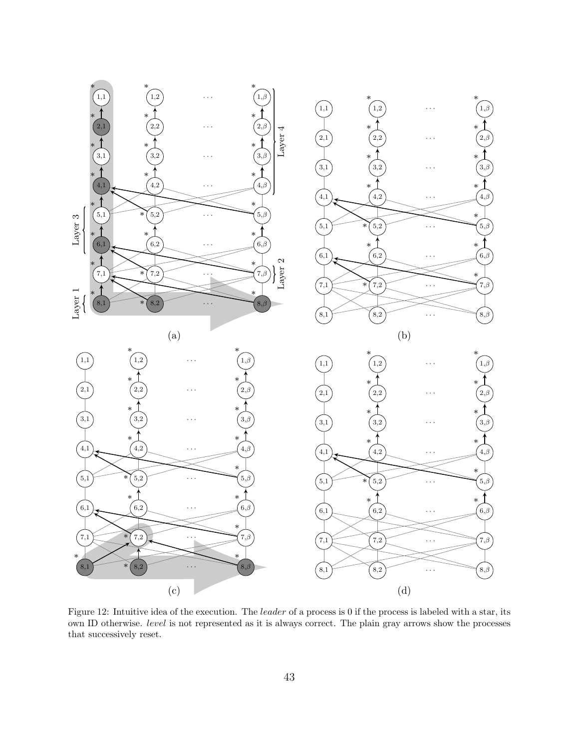

Figure 12: Intuitive idea of the execution. The leader of a process is 0 if the process is labeled with a star, its own ID otherwise. level is not represented as it is always correct. The plain gray arrows show the processes that successively reset.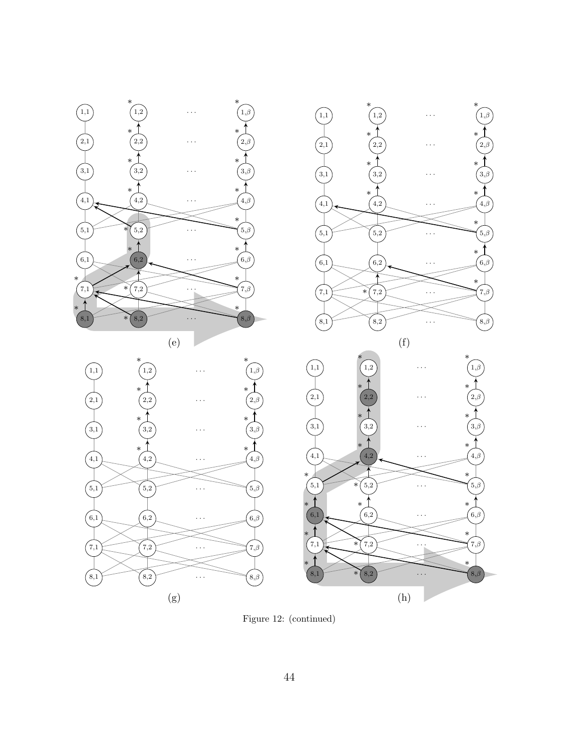

Figure 12: (continued)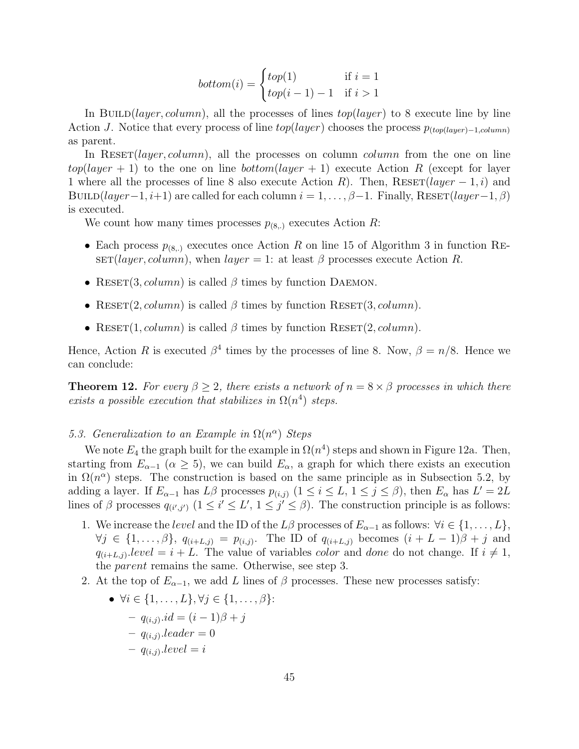$$
bottom(i) = \begin{cases} top(1) & \text{if } i = 1\\ top(i - 1) - 1 & \text{if } i > 1 \end{cases}
$$

In BUILD(*layer*, column), all the processes of lines top(*layer*) to 8 execute line by line Action J. Notice that every process of line  $top(layer)$  chooses the process  $p_{(top(layer)-1,column)}$ as parent.

In RESET(*layer, column*), all the processes on column *column* from the one on line  $top(layer + 1)$  to the one on line bottom(layer + 1) execute Action R (except for layer 1 where all the processes of line 8 also execute Action R). Then,  $\text{Reser}(layer-1,i)$  and BUILD(layer−1, i+1) are called for each column  $i = 1, \ldots, \beta-1$ . Finally, RESET(layer-1,  $\beta$ ) is executed.

We count how many times processes  $p_{(8,.)}$  executes Action R:

- Each process  $p_{(8,.)}$  executes once Action R on line 15 of Algorithm 3 in function RE- $\text{SET}(layer, column)$ , when  $layer = 1$ : at least  $\beta$  processes execute Action R.
- RESET(3, column) is called  $\beta$  times by function DAEMON.
- RESET(2, column) is called  $\beta$  times by function RESET(3, column).
- RESET(1, column) is called  $\beta$  times by function RESET(2, column).

Hence, Action R is executed  $\beta^4$  times by the processes of line 8. Now,  $\beta = n/8$ . Hence we can conclude:

**Theorem 12.** For every  $\beta > 2$ , there exists a network of  $n = 8 \times \beta$  processes in which there exists a possible execution that stabilizes in  $\Omega(n^4)$  steps.

## 5.3. Generalization to an Example in  $\Omega(n^{\alpha})$  Steps

We note  $E_4$  the graph built for the example in  $\Omega(n^4)$  steps and shown in Figure 12a. Then, starting from  $E_{\alpha-1}$  ( $\alpha \geq 5$ ), we can build  $E_{\alpha}$ , a graph for which there exists an execution in  $\Omega(n^{\alpha})$  steps. The construction is based on the same principle as in Subsection 5.2, by adding a layer. If  $E_{\alpha-1}$  has  $L\beta$  processes  $p_{(i,j)}$   $(1 \leq i \leq L, 1 \leq j \leq \beta)$ , then  $E_{\alpha}$  has  $L' = 2L$ lines of  $\beta$  processes  $q_{(i',j')}$   $(1 \leq i' \leq L', 1 \leq j' \leq \beta)$ . The construction principle is as follows:

- 1. We increase the *level* and the ID of the  $L\beta$  processes of  $E_{\alpha-1}$  as follows:  $\forall i \in \{1, ..., L\},$  $\forall j \in \{1,\ldots,\beta\},\ q_{(i+L,j)} = p_{(i,j)}$ . The ID of  $q_{(i+L,j)}$  becomes  $(i+L-1)\beta+j$  and  $q_{(i+L,j)}$  level  $i+L$ . The value of variables *color* and *done* do not change. If  $i \neq 1$ , the parent remains the same. Otherwise, see step 3.
- 2. At the top of  $E_{\alpha-1}$ , we add L lines of  $\beta$  processes. These new processes satisfy:

• 
$$
\forall i \in \{1, ..., L\}, \forall j \in \{1, ..., \beta\}
$$
:  
\n
$$
- q_{(i,j)}.id = (i - 1)\beta + j
$$
\n
$$
- q_{(i,j)}.leader = 0
$$
\n
$$
- q_{(i,j)}.level = i
$$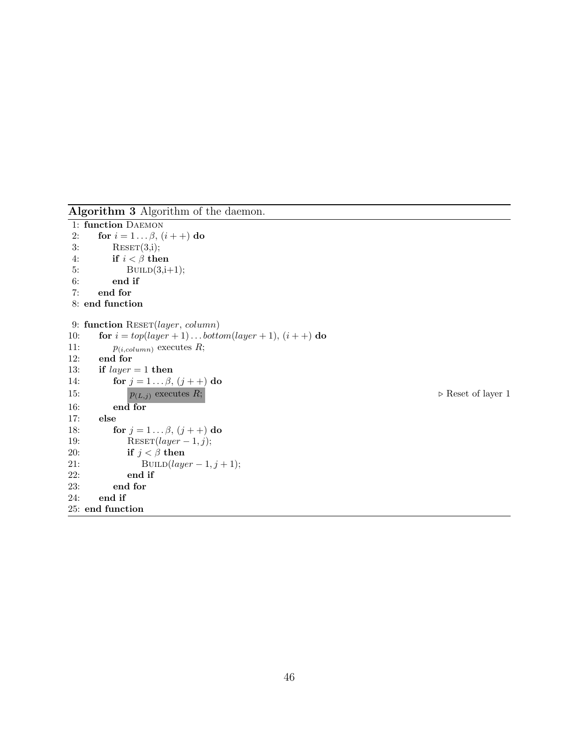Algorithm 3 Algorithm of the daemon.

```
1: function DAEMON
2: for i = 1 ... \beta, (i + +) do
3: RESET(3,i);4: if i < \beta then
5: BUILD(3,i+1);6: end if
7: end for
8: end function
9: function RESET(layer, column)
10: for i = top(layer + 1) \dots bottom(layer + 1), (i + 1) do
11: p_{(i, column)} executes R;<br>12: end for
     end for
13: if layer = 1 then
14: for j = 1... \beta, (j++) do
15: p_{(L,j)} executes R; \triangleright Reset of layer 1
16: end for
17: else
18: for j = 1... \beta, (j + +) do
19: RESET(layer-1, j);20: if j < \beta then
21: BUILD(layer - 1, j + 1);
22: end if
23: end for
24: end if
25: end function
```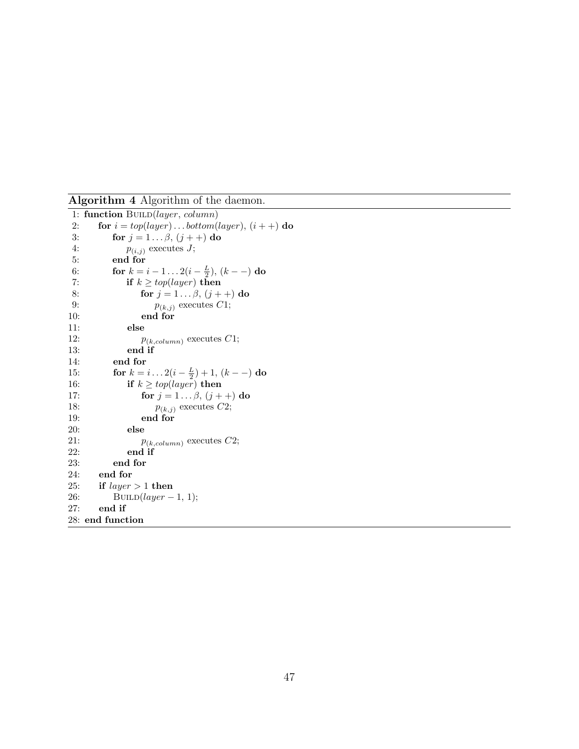Algorithm 4 Algorithm of the daemon.

```
1: function BUILD(layer, column)
2: for i = top(layer) \dots bottom(layer), (i++) do
3: for j = 1... \beta, (j++) do
4: p_{(i,j)} executes J;<br>5: end for
         5: end for
 6: for k = i - 1 ... 2(i - \frac{L}{2}), (k - -) do
7: if k \geq top(\text{layer}) then
8: for j = 1... \beta, (j++) do
9: p_{(k,j)} executes C1;
10: end for
11: else
12: p_{(k, column)} executes C1;<br>13: end if
            end if
14: end for
15: for k = i...2(i - \frac{L}{2}) + 1, (k - -) do
16: if k \geq top(layer) then
17: for j = 1... \beta, (j + 1) do
18: p_{(k,j)} executes C2;<br>19: end for
               end for
20: else
21: p_{(k, column)} executes C2;<br>22: end if
22: end if 23: end for
         end for
24: end for
25: if layer > 1 then
26: BUILD(layer-1, 1);
27: end if
28: end function
```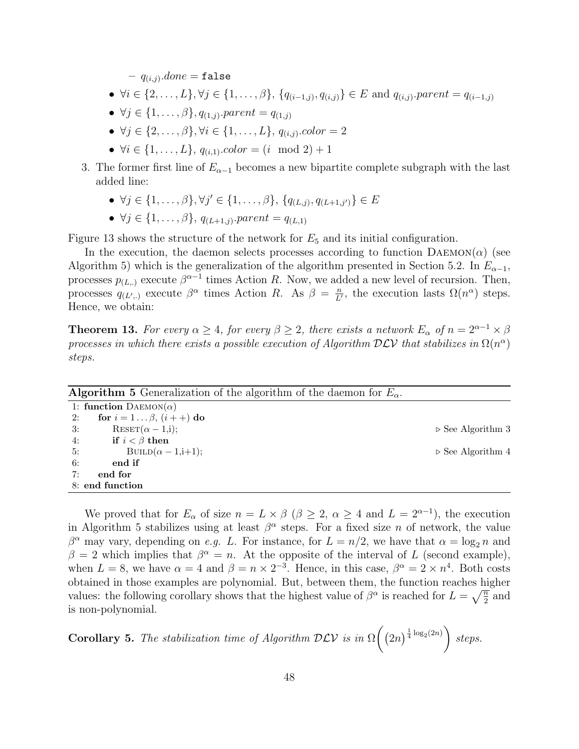$- q_{(i,j)}$ . $done = false$ 

- $\forall i \in \{2, ..., L\}, \forall j \in \{1, ..., \beta\}, \{q_{(i-1,j)}, q_{(i,j)}\} \in E \text{ and } q_{(i,j)}\text{.}parent = q_{(i-1,j)}$
- $\forall j \in \{1, ..., \beta\}, q_{(1,j)}$ . parent =  $q_{(1,j)}$
- $\forall j \in \{2, ..., \beta\}, \forall i \in \{1, ..., L\}, q_{(i,j)}.\text{color} = 2$
- $\forall i \in \{1, ..., L\}, q_{(i,1)}.color = (i \mod 2) + 1$
- 3. The former first line of  $E_{\alpha-1}$  becomes a new bipartite complete subgraph with the last added line:
	- $\forall j \in \{1, \ldots, \beta\}, \forall j' \in \{1, \ldots, \beta\}, \{q_{(L,j)}, q_{(L+1,j')}\} \in E$
	- $\forall j \in \{1, ..., \beta\}, q_{(L+1,j)}$ . parent =  $q_{(L,1)}$

Figure 13 shows the structure of the network for  $E_5$  and its initial configuration.

In the execution, the daemon selects processes according to function  $D A E M O N(\alpha)$  (see Algorithm 5) which is the generalization of the algorithm presented in Section 5.2. In  $E_{\alpha-1}$ , processes  $p_{(L,\cdot)}$  execute  $\beta^{\alpha-1}$  times Action R. Now, we added a new level of recursion. Then, processes  $q_{(L',.)}$  execute  $\beta^{\alpha}$  times Action R. As  $\beta = \frac{n}{L'}$  $\frac{n}{L'}$ , the execution lasts  $\Omega(n^{\alpha})$  steps. Hence, we obtain:

**Theorem 13.** For every  $\alpha \geq 4$ , for every  $\beta \geq 2$ , there exists a network  $E_{\alpha}$  of  $n = 2^{\alpha-1} \times \beta$ processes in which there exists a possible execution of Algorithm  $D\mathcal{LV}$  that stabilizes in  $\Omega(n^{\alpha})$ steps.

| <b>Algorithm 5</b> Generalization of the algorithm of the daemon for $E_{\alpha}$ . |                                  |
|-------------------------------------------------------------------------------------|----------------------------------|
| 1: function $D$ AEMON $(\alpha)$                                                    |                                  |
| for $i = 1 \dots \beta$ , $(i + +)$ do<br>2:                                        |                                  |
| $\text{REST}(\alpha - 1, i);$<br>3:                                                 | $\triangleright$ See Algorithm 3 |
| if $i < \beta$ then<br>4:                                                           |                                  |
| BUILD $(\alpha - 1,i+1);$<br>5:                                                     | $\triangleright$ See Algorithm 4 |
| 6:<br>end if                                                                        |                                  |
| 7:<br>end for                                                                       |                                  |
| 8: end function                                                                     |                                  |

We proved that for  $E_{\alpha}$  of size  $n = L \times \beta$  ( $\beta \geq 2$ ,  $\alpha \geq 4$  and  $L = 2^{\alpha-1}$ ), the execution in Algorithm 5 stabilizes using at least  $\beta^{\alpha}$  steps. For a fixed size *n* of network, the value  $\beta^{\alpha}$  may vary, depending on *e.g. L.* For instance, for  $L = n/2$ , we have that  $\alpha = \log_2 n$  and  $\beta = 2$  which implies that  $\beta^{\alpha} = n$ . At the opposite of the interval of L (second example), when  $L = 8$ , we have  $\alpha = 4$  and  $\beta = n \times 2^{-3}$ . Hence, in this case,  $\beta^{\alpha} = 2 \times n^{4}$ . Both costs obtained in those examples are polynomial. But, between them, the function reaches higher values: the following corollary shows that the highest value of  $\beta^{\alpha}$  is reached for  $L = \sqrt{\frac{n}{2}}$  and is non-polynomial.

Corollary 5. The stabilization time of Algorithm  $D\mathcal{L}V$  is in  $\Omega$  $\left( (2n)^{\frac{1}{4} \log_2(2n)} \right)$ steps.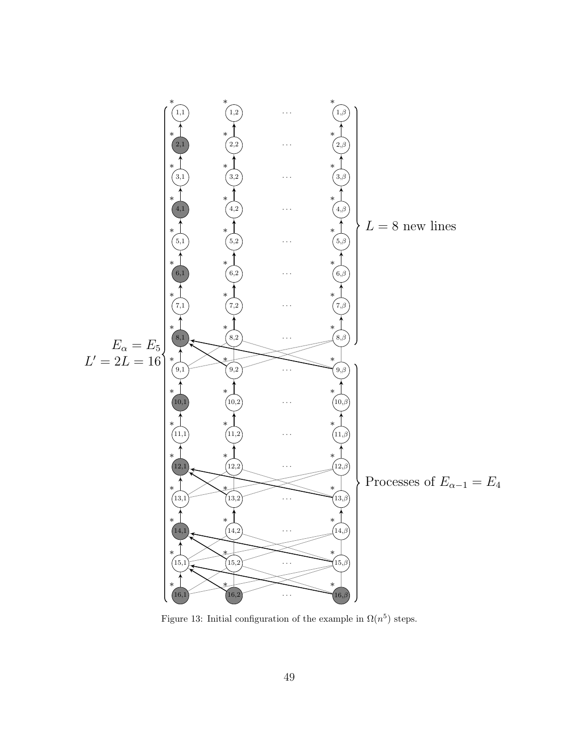

Figure 13: Initial configuration of the example in  $\Omega(n^5)$  steps.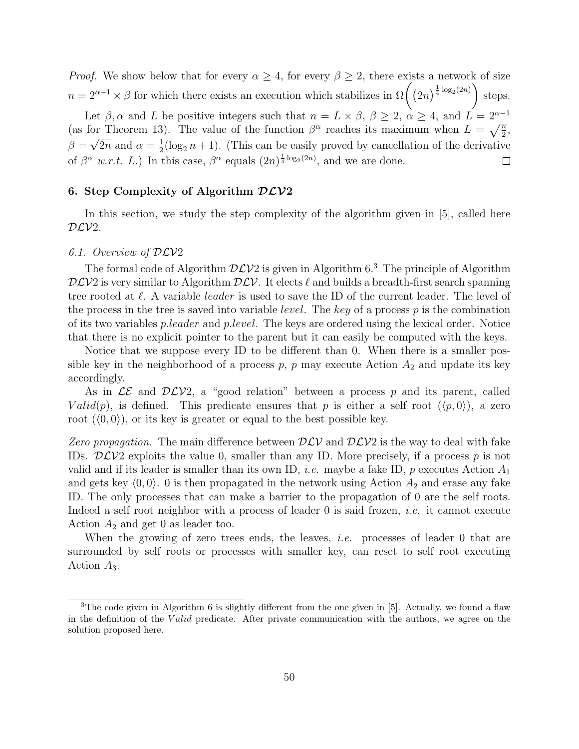*Proof.* We show below that for every  $\alpha \geq 4$ , for every  $\beta \geq 2$ , there exists a network of size  $n = 2^{\alpha-1} \times \beta$  for which there exists an execution which stabilizes in  $\Omega((2n)^{\frac{1}{4}\log_2(2n)})$ steps.

Let  $\beta$ ,  $\alpha$  and L be positive integers such that  $n = L \times \beta$ ,  $\beta \geq 2$ ,  $\alpha \geq 4$ , and  $L = 2^{\alpha-1}$ (as for Theorem 13). The value of the function  $\beta^{\alpha}$  reaches its maximum when  $L = \sqrt{\frac{n}{2}}$ ,  $\beta = \sqrt{2n}$  and  $\alpha = \frac{1}{2}$  $\frac{1}{2}(\log_2 n + 1)$ . (This can be easily proved by cancellation of the derivative of  $\beta^{\alpha}$  w.r.t. L.) In this case,  $\beta^{\alpha}$  equals  $(2n)^{\frac{1}{4}\log_2(2n)}$ , and we are done.  $\Box$ 

#### 6. Step Complexity of Algorithm  $D\mathcal{L}V2$

In this section, we study the step complexity of the algorithm given in [5], called here  $DLV2$ .

#### 6.1. Overview of DLV2

The formal code of Algorithm  $D\mathcal{L}V2$  is given in Algorithm 6.<sup>3</sup> The principle of Algorithm  $D\mathcal{L}V2$  is very similar to Algorithm  $D\mathcal{L}V$ . It elects  $\ell$  and builds a breadth-first search spanning tree rooted at  $\ell$ . A variable *leader* is used to save the ID of the current leader. The level of the process in the tree is saved into variable *level*. The key of a process  $p$  is the combination of its two variables p.leader and p.level. The keys are ordered using the lexical order. Notice that there is no explicit pointer to the parent but it can easily be computed with the keys.

Notice that we suppose every ID to be different than 0. When there is a smaller possible key in the neighborhood of a process  $p$ ,  $p$  may execute Action  $A_2$  and update its key accordingly.

As in  $LE$  and  $DLV2$ , a "good relation" between a process p and its parent, called  $Valid(p)$ , is defined. This predicate ensures that p is either a self root  $(\langle p, 0 \rangle)$ , a zero root  $(\langle 0, 0 \rangle)$ , or its key is greater or equal to the best possible key.

Zero propagation. The main difference between  $D\mathcal{LV}$  and  $D\mathcal{LV}$  is the way to deal with fake IDs.  $D\mathcal{L}V2$  exploits the value 0, smaller than any ID. More precisely, if a process p is not valid and if its leader is smaller than its own ID, *i.e.* maybe a fake ID, p executes Action  $A_1$ and gets key  $\langle 0, 0 \rangle$ . 0 is then propagated in the network using Action  $A_2$  and erase any fake ID. The only processes that can make a barrier to the propagation of 0 are the self roots. Indeed a self root neighbor with a process of leader 0 is said frozen, *i.e.* it cannot execute Action  $A_2$  and get 0 as leader too.

When the growing of zero trees ends, the leaves, *i.e.* processes of leader 0 that are surrounded by self roots or processes with smaller key, can reset to self root executing Action A3.

<sup>&</sup>lt;sup>3</sup>The code given in Algorithm 6 is slightly different from the one given in [5]. Actually, we found a flaw in the definition of the Valid predicate. After private communication with the authors, we agree on the solution proposed here.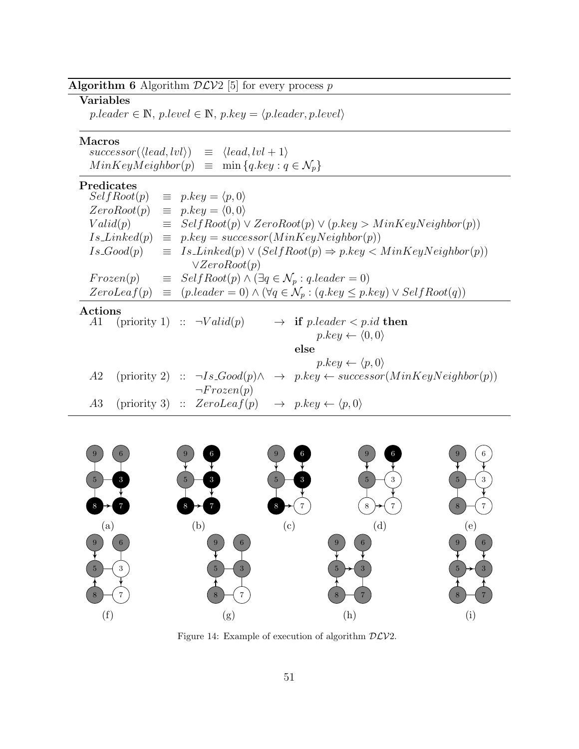## Algorithm 6 Algorithm  $D\mathcal{L}V2$  [5] for every process  $p$

## Variables

 $p. leader \in \mathbb{N}, p. level \in \mathbb{N}, p. key = \langle p. leader, p. level \rangle$ 

## Macros

| $successor(\langle lead, lvl \rangle)$                           | $\equiv \langle lead, lvl+1 \rangle$ |
|------------------------------------------------------------------|--------------------------------------|
| $MinKeyMeighbour(p) \equiv \min\{q. key : q \in \mathcal{N}_p\}$ |                                      |

#### Predicates

 $\overline{a}$ 

|               | SelfRoot(p)     | $\equiv$ p.key = $\langle p, 0 \rangle$                                                                                 |
|---------------|-----------------|-------------------------------------------------------------------------------------------------------------------------|
|               | ZeroRoot(p)     | $\equiv$ p.key = $\langle 0, 0 \rangle$                                                                                 |
| Valid(p)      |                 | $\equiv$ SelfRoot(p) $\vee$ ZeroRoot(p) $\vee$ (p.key > MinKeyNeighbor(p))                                              |
|               | $Is\_Linked(p)$ | $\equiv p \nkey = successor(MinkeyNeighbour(p))$                                                                        |
|               | $Is\_Good(p)$   | $\equiv Is\_Linked(p) \vee (SelfRoot(p) \Rightarrow p. key < MinKeyNeighbour(p))$                                       |
|               |                 | $\vee ZeroRoot(p)$                                                                                                      |
|               | Frozen(p)       | $\equiv$ SelfRoot(p) $\land$ ( $\exists q \in \mathcal{N}_p : q\mathit{.leader} = 0$ )                                  |
|               |                 | ZeroLeaf(p) $\equiv$ (p.leader = 0) $\land$ ( $\forall q \in \mathcal{N}_p$ : (q.key $\leq$ p.key) $\lor$ Self Root(q)) |
| $\rm Actions$ |                 |                                                                                                                         |
| A1            |                 | (priority 1) :: $\neg Valid(p)$<br>$\rightarrow$ if pleader $\lt p$ id then                                             |
|               |                 | $p \text{.} key \leftarrow \langle 0, 0 \rangle$                                                                        |
|               |                 | else                                                                                                                    |
|               |                 | $p \text{.} key \leftarrow \langle p, 0 \rangle$                                                                        |
| A2            |                 | $\rightarrow$ p.key $\leftarrow$ successor(MinKeyNeighbor(p))<br>(priority 2) :: $\neg Is\_Good(p) \wedge$              |
|               |                 | $\neg Frozen(p)$                                                                                                        |
| A3            |                 | (priority 3) :: $ZeroLeaf(p) \rightarrow p(key \leftarrow \langle p, 0 \rangle)$                                        |



Figure 14: Example of execution of algorithm  $D\mathcal{L}V2$ .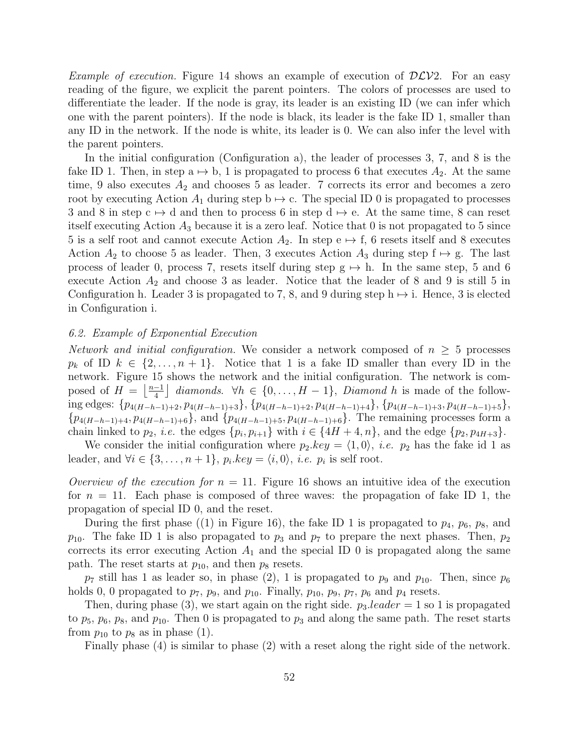*Example of execution.* Figure 14 shows an example of execution of  $D\mathcal{L}V2$ . For an easy reading of the figure, we explicit the parent pointers. The colors of processes are used to differentiate the leader. If the node is gray, its leader is an existing ID (we can infer which one with the parent pointers). If the node is black, its leader is the fake ID 1, smaller than any ID in the network. If the node is white, its leader is 0. We can also infer the level with the parent pointers.

In the initial configuration (Configuration a), the leader of processes 3, 7, and 8 is the fake ID 1. Then, in step a  $\mapsto$  b, 1 is propagated to process 6 that executes  $A_2$ . At the same time, 9 also executes  $A_2$  and chooses 5 as leader. 7 corrects its error and becomes a zero root by executing Action  $A_1$  during step  $b \mapsto c$ . The special ID 0 is propagated to processes 3 and 8 in step  $c \mapsto d$  and then to process 6 in step  $d \mapsto e$ . At the same time, 8 can reset itself executing Action  $A_3$  because it is a zero leaf. Notice that 0 is not propagated to 5 since 5 is a self root and cannot execute Action  $A_2$ . In step e  $\mapsto$  f, 6 resets itself and 8 executes Action  $A_2$  to choose 5 as leader. Then, 3 executes Action  $A_3$  during step  $f \mapsto g$ . The last process of leader 0, process 7, resets itself during step  $g \mapsto h$ . In the same step, 5 and 6 execute Action  $A_2$  and choose 3 as leader. Notice that the leader of 8 and 9 is still 5 in Configuration h. Leader 3 is propagated to 7, 8, and 9 during step  $h \mapsto i$ . Hence, 3 is elected in Configuration i.

### 6.2. Example of Exponential Execution

Network and initial configuration. We consider a network composed of  $n \geq 5$  processes  $p_k$  of ID  $k \in \{2, \ldots, n+1\}$ . Notice that 1 is a fake ID smaller than every ID in the network. Figure 15 shows the network and the initial configuration. The network is composed of  $H = \frac{n-1}{4}$  $\left[\frac{-1}{4}\right]$  diamonds.  $\forall h \in \{0, \ldots, H-1\}$ , Diamond h is made of the following edges:  $\{p_{4(H-h-1)+2}, p_{4(H-h-1)+3}\}, \{p_{4(H-h-1)+2}, p_{4(H-h-1)+4}\}, \{p_{4(H-h-1)+3}, p_{4(H-h-1)+5}\},$  ${p_{4(H-h-1)+4}, p_{4(H-h-1)+6}}$ , and  ${p_{4(H-h-1)+5}, p_{4(H-h-1)+6}}$ . The remaining processes form a chain linked to  $p_2$ , *i.e.* the edges  $\{p_i, p_{i+1}\}$  with  $i \in \{4H + 4, n\}$ , and the edge  $\{p_2, p_{4H+3}\}$ .

We consider the initial configuration where  $p_2 \text{.} key = \langle 1, 0 \rangle$ , *i.e.*  $p_2$  has the fake id 1 as leader, and  $\forall i \in \{3, ..., n+1\}$ ,  $p_i \text{.} key = \langle i, 0 \rangle$ , *i.e.*  $p_i$  is self root.

Overview of the execution for  $n = 11$ . Figure 16 shows an intuitive idea of the execution for  $n = 11$ . Each phase is composed of three waves: the propagation of fake ID 1, the propagation of special ID 0, and the reset.

During the first phase ((1) in Figure 16), the fake ID 1 is propagated to  $p_4$ ,  $p_6$ ,  $p_8$ , and  $p_{10}$ . The fake ID 1 is also propagated to  $p_3$  and  $p_7$  to prepare the next phases. Then,  $p_2$ corrects its error executing Action  $A_1$  and the special ID 0 is propagated along the same path. The reset starts at  $p_{10}$ , and then  $p_8$  resets.

 $p_7$  still has 1 as leader so, in phase (2), 1 is propagated to  $p_9$  and  $p_{10}$ . Then, since  $p_6$ holds 0, 0 propagated to  $p_7$ ,  $p_9$ , and  $p_{10}$ . Finally,  $p_{10}$ ,  $p_9$ ,  $p_7$ ,  $p_6$  and  $p_4$  resets.

Then, during phase (3), we start again on the right side.  $p_3.length$  is propagated to  $p_5$ ,  $p_6$ ,  $p_8$ , and  $p_{10}$ . Then 0 is propagated to  $p_3$  and along the same path. The reset starts from  $p_{10}$  to  $p_8$  as in phase (1).

Finally phase (4) is similar to phase (2) with a reset along the right side of the network.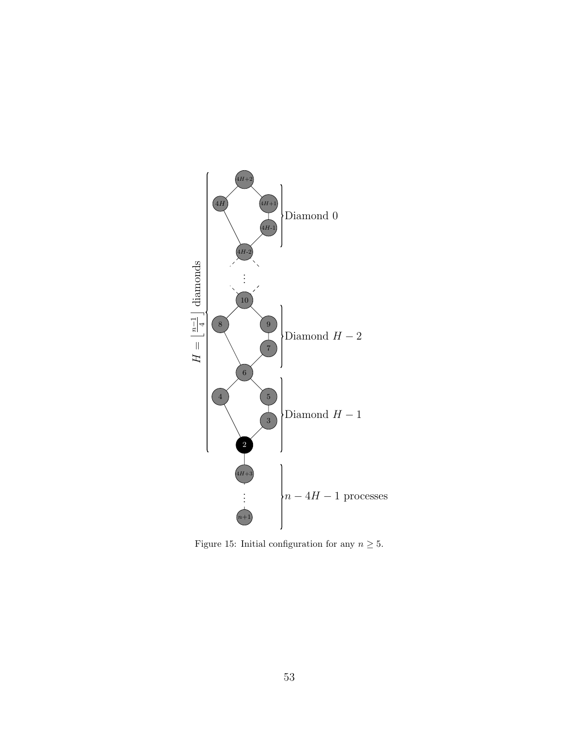

Figure 15: Initial configuration for any  $n\geq 5.$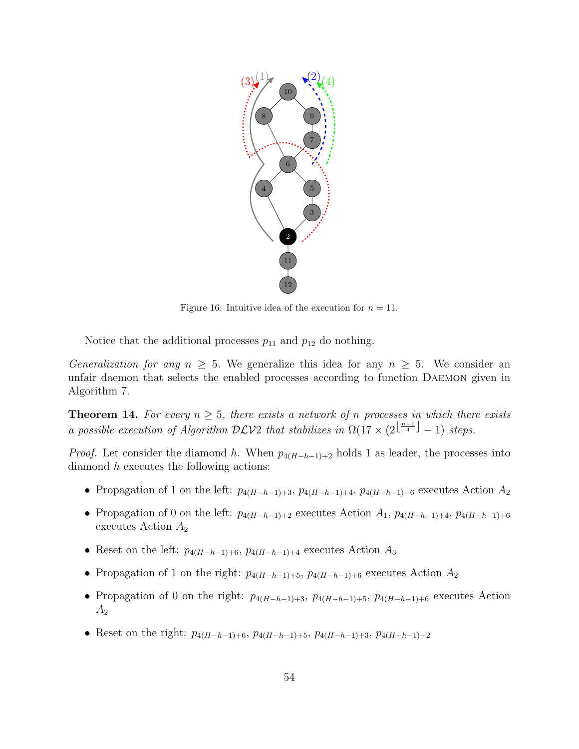

Figure 16: Intuitive idea of the execution for  $n = 11$ .

Notice that the additional processes  $p_{11}$  and  $p_{12}$  do nothing.

Generalization for any  $n \geq 5$ . We generalize this idea for any  $n \geq 5$ . We consider an unfair daemon that selects the enabled processes according to function Daemon given in Algorithm 7.

**Theorem 14.** For every  $n \geq 5$ , there exists a network of n processes in which there exists a possible execution of Algorithm DLV2 that stabilizes in  $\Omega(17 \times (2^{\lfloor \frac{n-1}{4} \rfloor} - 1)$  steps.

*Proof.* Let consider the diamond h. When  $p_{4(H-h-1)+2}$  holds 1 as leader, the processes into diamond h executes the following actions:

- Propagation of 1 on the left:  $p_{4(H-h-1)+3}, p_{4(H-h-1)+4}, p_{4(H-h-1)+6}$  executes Action  $A_2$
- Propagation of 0 on the left:  $p_{4(H-h-1)+2}$  executes Action  $A_1$ ,  $p_{4(H-h-1)+4}$ ,  $p_{4(H-h-1)+6}$ executes Action  $A_2$
- Reset on the left:  $p_{4(H-h-1)+6}, p_{4(H-h-1)+4}$  executes Action  $A_3$
- Propagation of 1 on the right:  $p_{4(H-h-1)+5}$ ,  $p_{4(H-h-1)+6}$  executes Action  $A_2$
- Propagation of 0 on the right:  $p_{4(H-h-1)+3}$ ,  $p_{4(H-h-1)+5}$ ,  $p_{4(H-h-1)+6}$  executes Action  $A<sub>2</sub>$
- Reset on the right:  $p_{4(H-h-1)+6}, p_{4(H-h-1)+5}, p_{4(H-h-1)+3}, p_{4(H-h-1)+2}$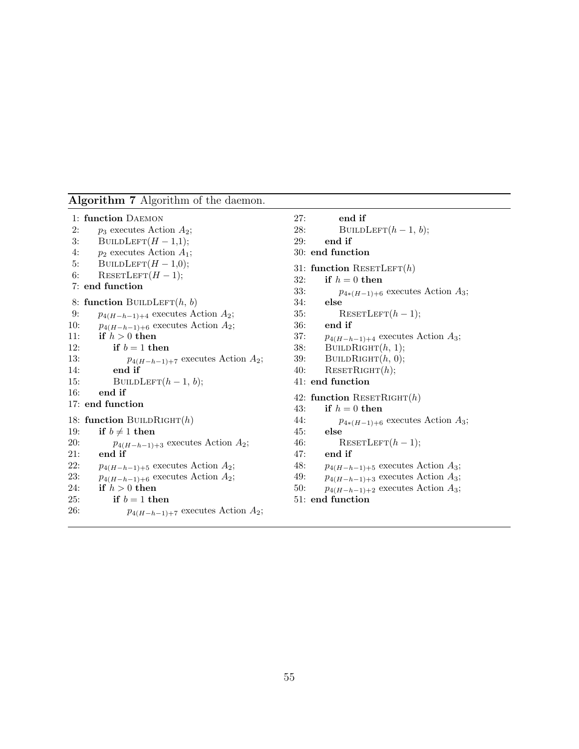#### Algorithm 7 Algorithm of the daemon.

```
1: function Daemon
2: p_3 executes Action A_2;
3: BUILDLEFT(H - 1,1);4: p_2 executes Action A_1;
5: BUILDLEFT(H-1,0);6: RESETLEFT(H - 1);7: end function
8: function BUILDLEFT(h, b)9: p_{4(H-h-1)+4} executes Action A_2;
10: p_{4(H-h-1)+6} executes Action A_2;
11: if h > 0 then
12: if b = 1 then
13: p_{4(H-h-1)+7} executes Action A_2;
14: end if
15: BUILDLEFT(h - 1, b);
16: end if
17: end function
18: function BUILDRIGHT(h)19: if b \neq 1 then
20: p_{4(H-h-1)+3} executes Action A_2;
21: end if
22: p_{4(H-h-1)+5} executes Action A_2;
23: p_{4(H-h-1)+6} executes Action A_2;
24: if h > 0 then
25: if b = 1 then
26: p_{4(H-h-1)+7} executes Action A_2;
                                              27: end if
                                              28: BUILDLEFT(h-1, b);
                                              29: end if
                                              30: end function
                                              31: function RESETLEFT(h)32: if h = 0 then
                                              33: p_{4*(H-1)+6} executes Action A_3;
                                              34: else
                                              35: RESETLEFT(h - 1);36: end if
                                              37: p_{4(H-h-1)+4} executes Action A_3;
                                              38: BUILDRIGHT(h, 1);
                                              39: BUILDRIGHT(h, 0);
                                              40: RESETRIGHT(h);
                                              41: end function
                                              42: function RESETRIGHT(h)43: if h = 0 then
                                              44: p_{4*(H-1)+6} executes Action A_3;
                                              45: else
                                              46: RESETLEFT(h-1);47: end if
                                              48: p_{4(H-h-1)+5} executes Action A_3;
                                              49: p_{4(H-h-1)+3} executes Action A_3;
                                              50: p_{4(H-h-1)+2} executes Action A_3;
                                              51: end function
```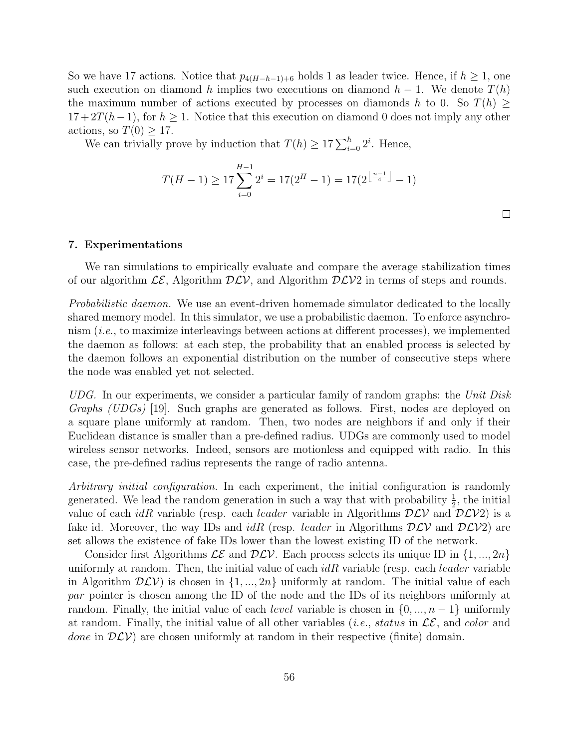So we have 17 actions. Notice that  $p_{4(H-h-1)+6}$  holds 1 as leader twice. Hence, if  $h \geq 1$ , one such execution on diamond h implies two executions on diamond  $h-1$ . We denote  $T(h)$ the maximum number of actions executed by processes on diamonds h to 0. So  $T(h) \geq$  $17+2T(h-1)$ , for  $h\geq 1$ . Notice that this execution on diamond 0 does not imply any other actions, so  $T(0) \geq 17$ .

We can trivially prove by induction that  $T(h) \geq 17 \sum_{i=0}^{h} 2^i$ . Hence,

$$
T(H-1) \ge 17 \sum_{i=0}^{H-1} 2^{i} = 17(2^{H} - 1) = 17(2^{\lfloor \frac{n-1}{4} \rfloor} - 1)
$$

#### 7. Experimentations

We ran simulations to empirically evaluate and compare the average stabilization times of our algorithm  $\mathcal{LE}$ , Algorithm  $\mathcal{DLV}$ , and Algorithm  $\mathcal{DLV}2$  in terms of steps and rounds.

*Probabilistic daemon.* We use an event-driven homemade simulator dedicated to the locally shared memory model. In this simulator, we use a probabilistic daemon. To enforce asynchronism  $(i.e.,$  to maximize interleavings between actions at different processes), we implemented the daemon as follows: at each step, the probability that an enabled process is selected by the daemon follows an exponential distribution on the number of consecutive steps where the node was enabled yet not selected.

UDG. In our experiments, we consider a particular family of random graphs: the Unit Disk Graphs (UDGs) [19]. Such graphs are generated as follows. First, nodes are deployed on a square plane uniformly at random. Then, two nodes are neighbors if and only if their Euclidean distance is smaller than a pre-defined radius. UDGs are commonly used to model wireless sensor networks. Indeed, sensors are motionless and equipped with radio. In this case, the pre-defined radius represents the range of radio antenna.

Arbitrary initial configuration. In each experiment, the initial configuration is randomly generated. We lead the random generation in such a way that with probability  $\frac{1}{2}$ , the initial value of each *idR* variable (resp. each *leader* variable in Algorithms  $DLV$  and  $DLV2$ ) is a fake id. Moreover, the way IDs and  $idR$  (resp. *leader* in Algorithms  $DLV$  and  $DLV2$ ) are set allows the existence of fake IDs lower than the lowest existing ID of the network.

Consider first Algorithms  $\mathcal{LE}$  and  $\mathcal{DLV}$ . Each process selects its unique ID in  $\{1, ..., 2n\}$ uniformly at random. Then, the initial value of each  $idR$  variable (resp. each *leader* variable in Algorithm  $D\mathcal{LV}$  is chosen in  $\{1, ..., 2n\}$  uniformly at random. The initial value of each par pointer is chosen among the ID of the node and the IDs of its neighbors uniformly at random. Finally, the initial value of each *level* variable is chosen in  $\{0, ..., n-1\}$  uniformly at random. Finally, the initial value of all other variables (*i.e.*, *status* in  $\mathcal{LE}$ , and *color* and done in  $D\mathcal{LV}$  are chosen uniformly at random in their respective (finite) domain.

 $\Box$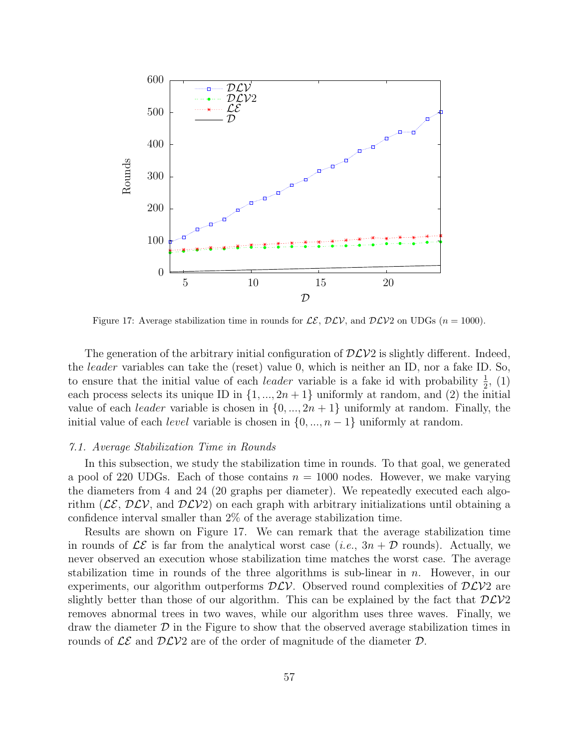

Figure 17: Average stabilization time in rounds for  $\mathcal{LE}, \mathcal{DLV}$ , and  $\mathcal{DLV}2$  on UDGs  $(n = 1000)$ .

The generation of the arbitrary initial configuration of  $D\mathcal{LV}2$  is slightly different. Indeed, the leader variables can take the (reset) value 0, which is neither an ID, nor a fake ID. So, to ensure that the initial value of each *leader* variable is a fake id with probability  $\frac{1}{2}$ , (1) each process selects its unique ID in  $\{1, ..., 2n+1\}$  uniformly at random, and (2) the initial value of each *leader* variable is chosen in  $\{0, ..., 2n + 1\}$  uniformly at random. Finally, the initial value of each *level* variable is chosen in  $\{0, ..., n-1\}$  uniformly at random.

#### 7.1. Average Stabilization Time in Rounds

In this subsection, we study the stabilization time in rounds. To that goal, we generated a pool of 220 UDGs. Each of those contains  $n = 1000$  nodes. However, we make varying the diameters from 4 and 24 (20 graphs per diameter). We repeatedly executed each algorithm ( $\mathcal{LE}, \mathcal{DLV}$ , and  $\mathcal{DLV2}$ ) on each graph with arbitrary initializations until obtaining a confidence interval smaller than 2% of the average stabilization time.

Results are shown on Figure 17. We can remark that the average stabilization time in rounds of  $\mathcal{LE}$  is far from the analytical worst case (*i.e.*,  $3n + \mathcal{D}$  rounds). Actually, we never observed an execution whose stabilization time matches the worst case. The average stabilization time in rounds of the three algorithms is sub-linear in  $n$ . However, in our experiments, our algorithm outperforms  $D\mathcal{L}V$ . Observed round complexities of  $D\mathcal{L}V2$  are slightly better than those of our algorithm. This can be explained by the fact that  $D\mathcal{L}V2$ removes abnormal trees in two waves, while our algorithm uses three waves. Finally, we draw the diameter  $\mathcal D$  in the Figure to show that the observed average stabilization times in rounds of  $\mathcal{LE}$  and  $\mathcal{DLV}2$  are of the order of magnitude of the diameter  $\mathcal{D}$ .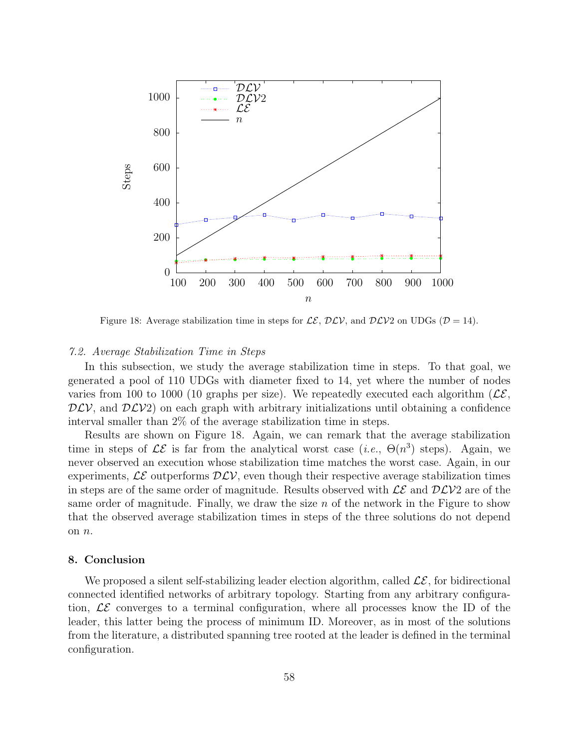

Figure 18: Average stabilization time in steps for  $\mathcal{LE}, \mathcal{DLV}$ , and  $\mathcal{DLV}2$  on UDGs ( $\mathcal{D} = 14$ ).

#### 7.2. Average Stabilization Time in Steps

In this subsection, we study the average stabilization time in steps. To that goal, we generated a pool of 110 UDGs with diameter fixed to 14, yet where the number of nodes varies from 100 to 1000 (10 graphs per size). We repeatedly executed each algorithm ( $\mathcal{LE}$ ,  $DLV$ , and  $DLV2$ ) on each graph with arbitrary initializations until obtaining a confidence interval smaller than 2% of the average stabilization time in steps.

Results are shown on Figure 18. Again, we can remark that the average stabilization time in steps of  $\mathcal{LE}$  is far from the analytical worst case (*i.e.*,  $\Theta(n^3)$  steps). Again, we never observed an execution whose stabilization time matches the worst case. Again, in our experiments,  $\mathcal{LE}$  outperforms  $\mathcal{DLV}$ , even though their respective average stabilization times in steps are of the same order of magnitude. Results observed with  $\mathcal{LE}$  and  $\mathcal{DLV}2$  are of the same order of magnitude. Finally, we draw the size  $n$  of the network in the Figure to show that the observed average stabilization times in steps of the three solutions do not depend on n.

#### 8. Conclusion

We proposed a silent self-stabilizing leader election algorithm, called  $\mathcal{LE}$ , for bidirectional connected identified networks of arbitrary topology. Starting from any arbitrary configuration,  $\mathcal{LE}$  converges to a terminal configuration, where all processes know the ID of the leader, this latter being the process of minimum ID. Moreover, as in most of the solutions from the literature, a distributed spanning tree rooted at the leader is defined in the terminal configuration.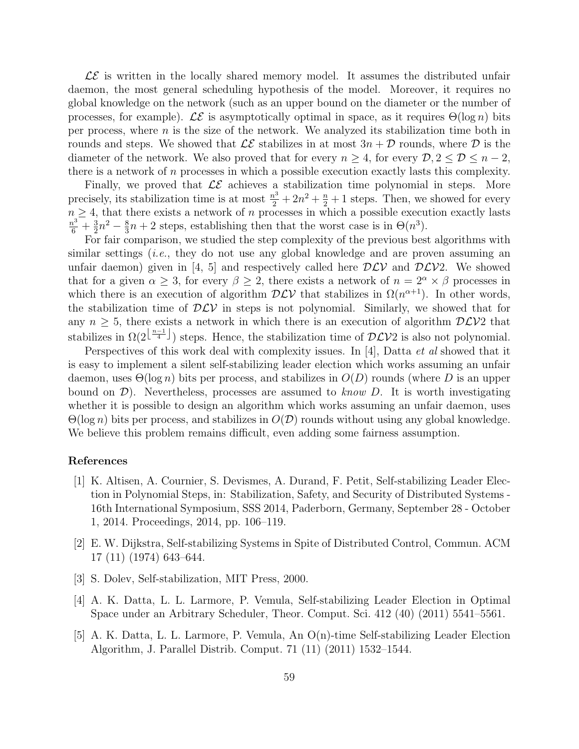$\mathcal{LE}$  is written in the locally shared memory model. It assumes the distributed unfair daemon, the most general scheduling hypothesis of the model. Moreover, it requires no global knowledge on the network (such as an upper bound on the diameter or the number of processes, for example). LE is asymptotically optimal in space, as it requires  $\Theta(\log n)$  bits per process, where  $n$  is the size of the network. We analyzed its stabilization time both in rounds and steps. We showed that  $\mathcal{LE}$  stabilizes in at most  $3n + \mathcal{D}$  rounds, where  $\mathcal D$  is the diameter of the network. We also proved that for every  $n \geq 4$ , for every  $\mathcal{D}, 2 \leq \mathcal{D} \leq n-2$ , there is a network of  $n$  processes in which a possible execution exactly lasts this complexity.

Finally, we proved that  $\mathcal{LE}$  achieves a stabilization time polynomial in steps. More precisely, its stabilization time is at most  $\frac{n^3}{2} + 2n^2 + \frac{n}{2} + 1$  steps. Then, we showed for every  $n \geq 4$ , that there exists a network of n processes in which a possible execution exactly lasts  $\frac{n^3}{6} + \frac{3}{2}$  $\frac{3}{2}n^2 - \frac{8}{3}$  $\frac{8}{3}n + 2$  steps, establishing then that the worst case is in  $\Theta(n^3)$ .

For fair comparison, we studied the step complexity of the previous best algorithms with similar settings (i.e., they do not use any global knowledge and are proven assuming an unfair daemon) given in [4, 5] and respectively called here  $D\mathcal{LV}$  and  $D\mathcal{LV}$ ? We showed that for a given  $\alpha \geq 3$ , for every  $\beta \geq 2$ , there exists a network of  $n = 2^{\alpha} \times \beta$  processes in which there is an execution of algorithm  $D\mathcal{LV}$  that stabilizes in  $\Omega(n^{\alpha+1})$ . In other words, the stabilization time of  $D\mathcal{LV}$  in steps is not polynomial. Similarly, we showed that for any  $n \geq 5$ , there exists a network in which there is an execution of algorithm  $D\mathcal{L}V2$  that stabilizes in  $\Omega(2^{\lfloor \frac{n-1}{4} \rfloor})$  steps. Hence, the stabilization time of  $\mathcal{DLV}2$  is also not polynomial.

Perspectives of this work deal with complexity issues. In [4], Datta *et al* showed that it is easy to implement a silent self-stabilizing leader election which works assuming an unfair daemon, uses  $\Theta(\log n)$  bits per process, and stabilizes in  $O(D)$  rounds (where D is an upper bound on  $\mathcal{D}$ ). Nevertheless, processes are assumed to know D. It is worth investigating whether it is possible to design an algorithm which works assuming an unfair daemon, uses  $\Theta(\log n)$  bits per process, and stabilizes in  $O(\mathcal{D})$  rounds without using any global knowledge. We believe this problem remains difficult, even adding some fairness assumption.

#### References

- [1] K. Altisen, A. Cournier, S. Devismes, A. Durand, F. Petit, Self-stabilizing Leader Election in Polynomial Steps, in: Stabilization, Safety, and Security of Distributed Systems - 16th International Symposium, SSS 2014, Paderborn, Germany, September 28 - October 1, 2014. Proceedings, 2014, pp. 106–119.
- [2] E. W. Dijkstra, Self-stabilizing Systems in Spite of Distributed Control, Commun. ACM 17 (11) (1974) 643–644.
- [3] S. Dolev, Self-stabilization, MIT Press, 2000.
- [4] A. K. Datta, L. L. Larmore, P. Vemula, Self-stabilizing Leader Election in Optimal Space under an Arbitrary Scheduler, Theor. Comput. Sci. 412 (40) (2011) 5541–5561.
- [5] A. K. Datta, L. L. Larmore, P. Vemula, An O(n)-time Self-stabilizing Leader Election Algorithm, J. Parallel Distrib. Comput. 71 (11) (2011) 1532–1544.